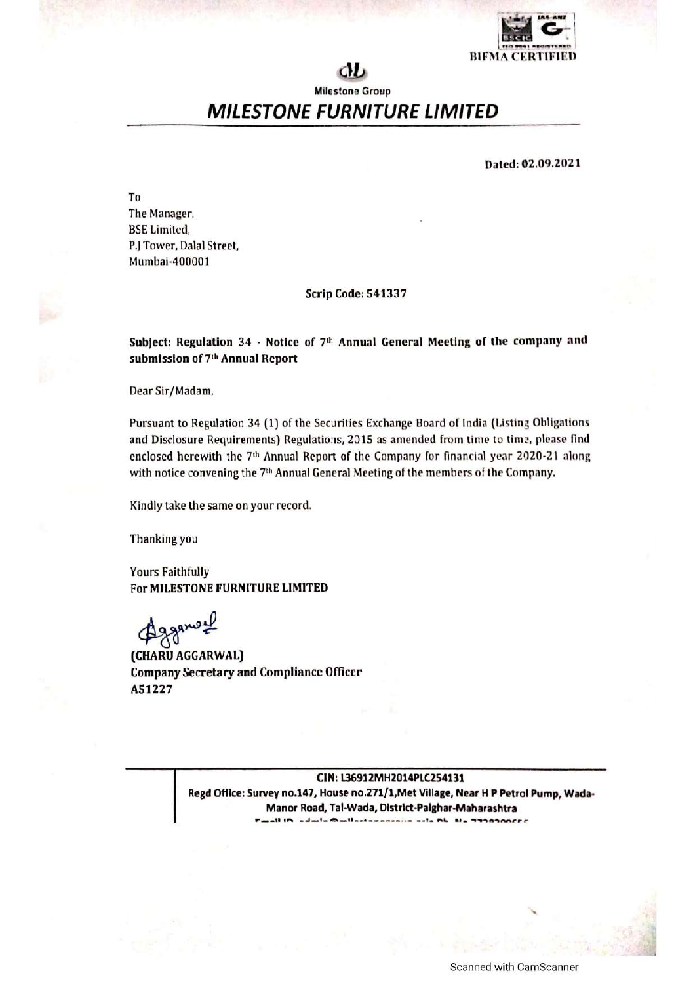

# ral) Milestone Group MILESTONE FUR MILESTONE FURNITURE LIMITED

#### Dated: 02.09.2021

Tao The Manager, BSE Limited, P.J Tower, Dalal Street, Mumbai-400001

Scrip Code: 541337

#### Subject: Regulation 34 - Notice of 7<sup>th</sup> Annual General Meeting of the company and submission of 7'\* Annual Report

Dear Sir/Madam,

Pursuant to Regulation 34 (1) of the Securities Exchange Board of India (Listing Obligations and Disclosure Requirements) Regulations, 2015 as amended from time to time, please find enclosed herewith the 7<sup>th</sup> Annual Report of the Company for financial year 2020-21 along with notice convening the 7<sup>th</sup> Annual General Meeting of the members of the Company. Scrip Code: 541337<br>
Subject: Regulation 34 - Notice of 7<sup>th</sup> Annual General Meetin<br>
submission of 7<sup>th</sup> Annual Report<br>
Dear Sir/Madam,<br>
Pursuant to Regulation 34 (1) of the Securities Exchange Board of<br>
and Disclosure Req

Kindly take the same on your record.

Thanking you

Yours Faithfully For MILESTONE FURNITURE LIMITED

Agganol

(CHARU AGGARWAL) Company Secretary and Compliance Officer A51227

> Regd Office: Survey no.147, House no.271/1,Met Village, Near H P Petrol Pump, Wada-Manor Road, Tal-Wada, District-Palghar-Maharashtra ne Ten: EssaizMAZ014PLC234131<br>Intey no.147, House no.271/1, Met Village, Near H P Petrol<br>Manor Road, Tal-Wada, District-Palghar-Maharashtra<br>Email ID, admin Omilestancescus asia Dh. Na 33383999555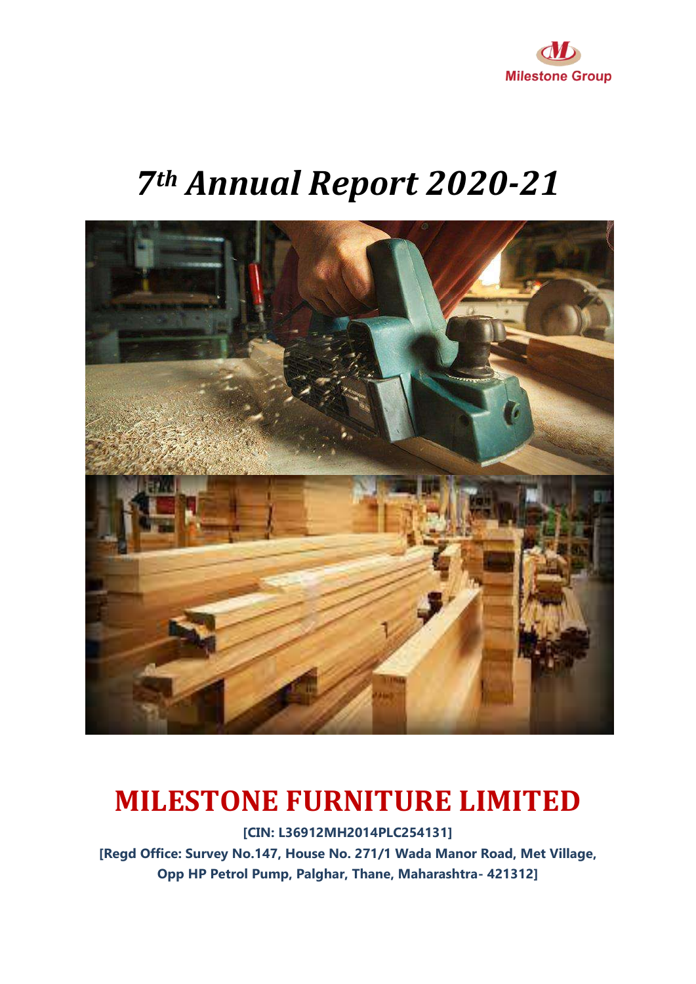

# *7th Annual Report 2020-21*



# **MILESTONE FURNITURE LIMITED**

**[CIN: L36912MH2014PLC254131]**

**[Regd Office: Survey No.147, House No. 271/1 Wada Manor Road, Met Village, Opp HP Petrol Pump, Palghar, Thane, Maharashtra- 421312]**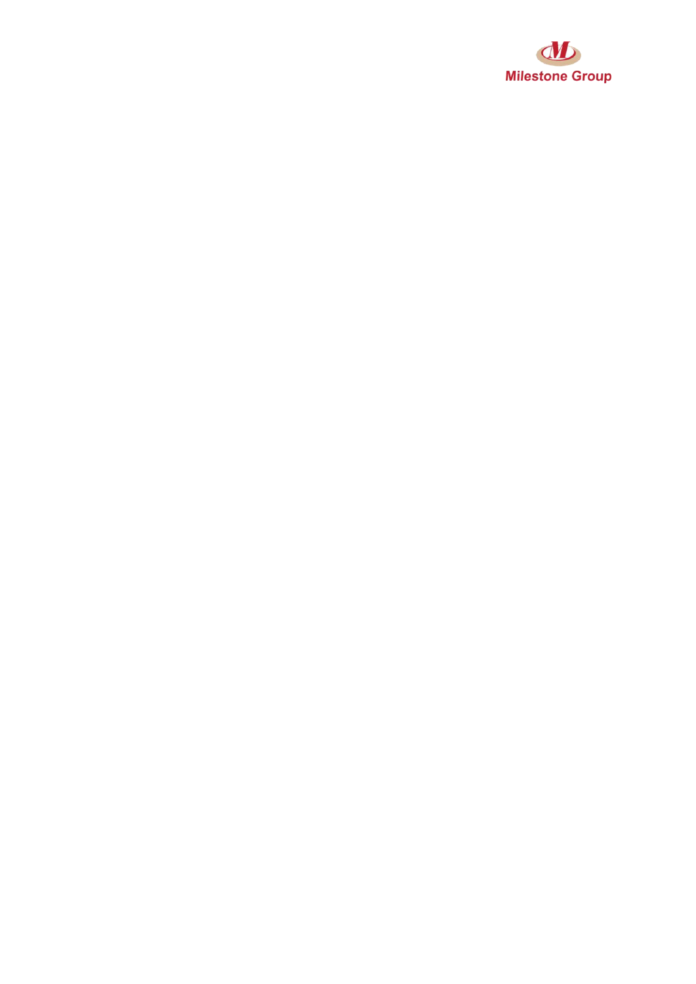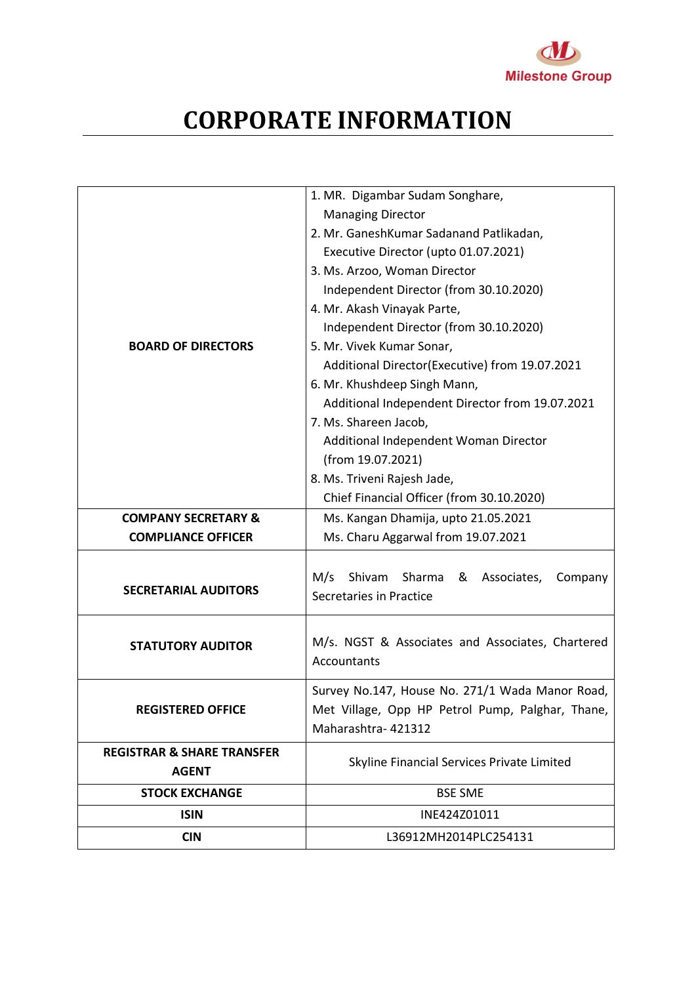

# **CORPORATE INFORMATION**

|                                                                                     | 1. MR. Digambar Sudam Songhare,                     |  |  |
|-------------------------------------------------------------------------------------|-----------------------------------------------------|--|--|
|                                                                                     | <b>Managing Director</b>                            |  |  |
|                                                                                     | 2. Mr. GaneshKumar Sadanand Patlikadan,             |  |  |
|                                                                                     | Executive Director (upto 01.07.2021)                |  |  |
|                                                                                     |                                                     |  |  |
|                                                                                     | 3. Ms. Arzoo, Woman Director                        |  |  |
|                                                                                     | Independent Director (from 30.10.2020)              |  |  |
|                                                                                     | 4. Mr. Akash Vinayak Parte,                         |  |  |
|                                                                                     | Independent Director (from 30.10.2020)              |  |  |
| <b>BOARD OF DIRECTORS</b>                                                           | 5. Mr. Vivek Kumar Sonar,                           |  |  |
|                                                                                     | Additional Director(Executive) from 19.07.2021      |  |  |
|                                                                                     | 6. Mr. Khushdeep Singh Mann,                        |  |  |
|                                                                                     | Additional Independent Director from 19.07.2021     |  |  |
|                                                                                     | 7. Ms. Shareen Jacob,                               |  |  |
|                                                                                     | Additional Independent Woman Director               |  |  |
|                                                                                     | (from 19.07.2021)                                   |  |  |
|                                                                                     | 8. Ms. Triveni Rajesh Jade,                         |  |  |
|                                                                                     | Chief Financial Officer (from 30.10.2020)           |  |  |
| <b>COMPANY SECRETARY &amp;</b>                                                      | Ms. Kangan Dhamija, upto 21.05.2021                 |  |  |
| <b>COMPLIANCE OFFICER</b>                                                           | Ms. Charu Aggarwal from 19.07.2021                  |  |  |
|                                                                                     |                                                     |  |  |
|                                                                                     | M/s<br>Sharma<br>Shivam<br>& Associates,<br>Company |  |  |
| <b>SECRETARIAL AUDITORS</b>                                                         | Secretaries in Practice                             |  |  |
|                                                                                     |                                                     |  |  |
| <b>STATUTORY AUDITOR</b>                                                            | M/s. NGST & Associates and Associates, Chartered    |  |  |
|                                                                                     | Accountants                                         |  |  |
|                                                                                     | Survey No.147, House No. 271/1 Wada Manor Road,     |  |  |
| <b>REGISTERED OFFICE</b>                                                            | Met Village, Opp HP Petrol Pump, Palghar, Thane,    |  |  |
|                                                                                     | Maharashtra- 421312                                 |  |  |
|                                                                                     |                                                     |  |  |
| <b>REGISTRAR &amp; SHARE TRANSFER</b><br>Skyline Financial Services Private Limited |                                                     |  |  |
| <b>AGENT</b>                                                                        |                                                     |  |  |
| <b>STOCK EXCHANGE</b>                                                               | <b>BSE SME</b>                                      |  |  |
| <b>ISIN</b>                                                                         | INE424Z01011                                        |  |  |
| <b>CIN</b>                                                                          | L36912MH2014PLC254131                               |  |  |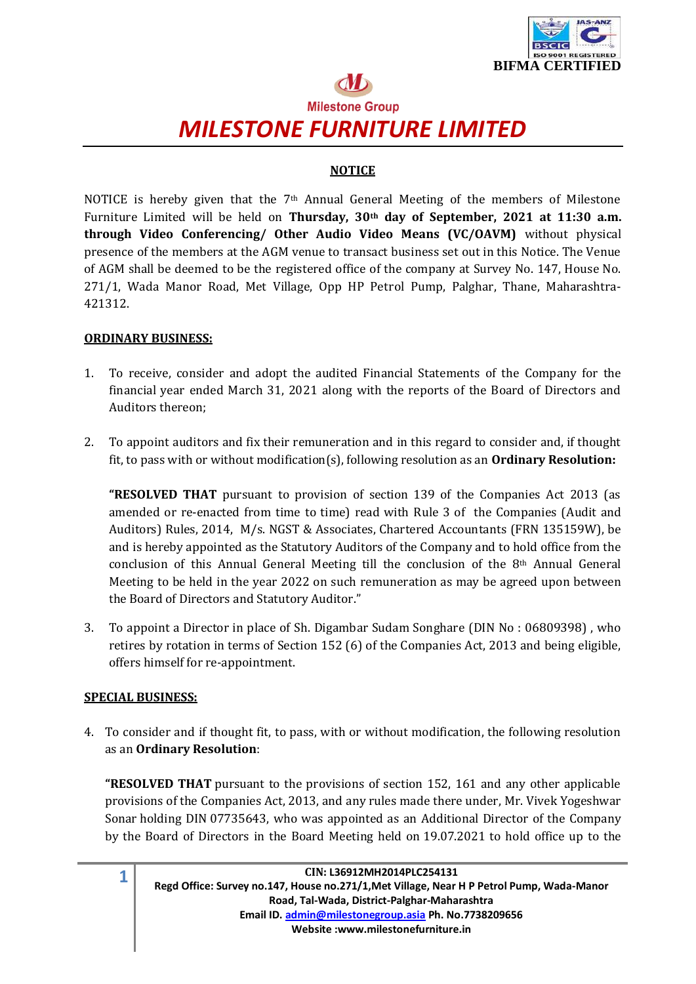



# **Milestone Group** *MILESTONE FURNITURE LIMITED*

# **NOTICE**

NOTICE is hereby given that the  $7<sup>th</sup>$  Annual General Meeting of the members of Milestone Furniture Limited will be held on **Thursday, 30th day of September, 2021 at 11:30 a.m. through Video Conferencing/ Other Audio Video Means (VC/OAVM)** without physical presence of the members at the AGM venue to transact business set out in this Notice. The Venue of AGM shall be deemed to be the registered office of the company at Survey No. 147, House No. 271/1, Wada Manor Road, Met Village, Opp HP Petrol Pump, Palghar, Thane, Maharashtra-421312.

# **ORDINARY BUSINESS:**

- 1. To receive, consider and adopt the audited Financial Statements of the Company for the financial year ended March 31, 2021 along with the reports of the Board of Directors and Auditors thereon;
- 2. To appoint auditors and fix their remuneration and in this regard to consider and, if thought fit, to pass with or without modification(s), following resolution as an **Ordinary Resolution:**

**"RESOLVED THAT** pursuant to provision of section 139 of the Companies Act 2013 (as amended or re-enacted from time to time) read with Rule 3 of the Companies (Audit and Auditors) Rules, 2014, M/s. NGST & Associates, Chartered Accountants (FRN 135159W), be and is hereby appointed as the Statutory Auditors of the Company and to hold office from the conclusion of this Annual General Meeting till the conclusion of the 8th Annual General Meeting to be held in the year 2022 on such remuneration as may be agreed upon between the Board of Directors and Statutory Auditor."

3. To appoint a Director in place of Sh. Digambar Sudam Songhare (DIN No : 06809398) , who retires by rotation in terms of Section 152 (6) of the Companies Act, 2013 and being eligible, offers himself for re-appointment.

# **SPECIAL BUSINESS:**

**1**

4. To consider and if thought fit, to pass, with or without modification, the following resolution as an **Ordinary Resolution**:

**"RESOLVED THAT** pursuant to the provisions of section 152, 161 and any other applicable provisions of the Companies Act, 2013, and any rules made there under, Mr. Vivek Yogeshwar Sonar holding DIN 07735643, who was appointed as an Additional Director of the Company by the Board of Directors in the Board Meeting held on 19.07.2021 to hold office up to the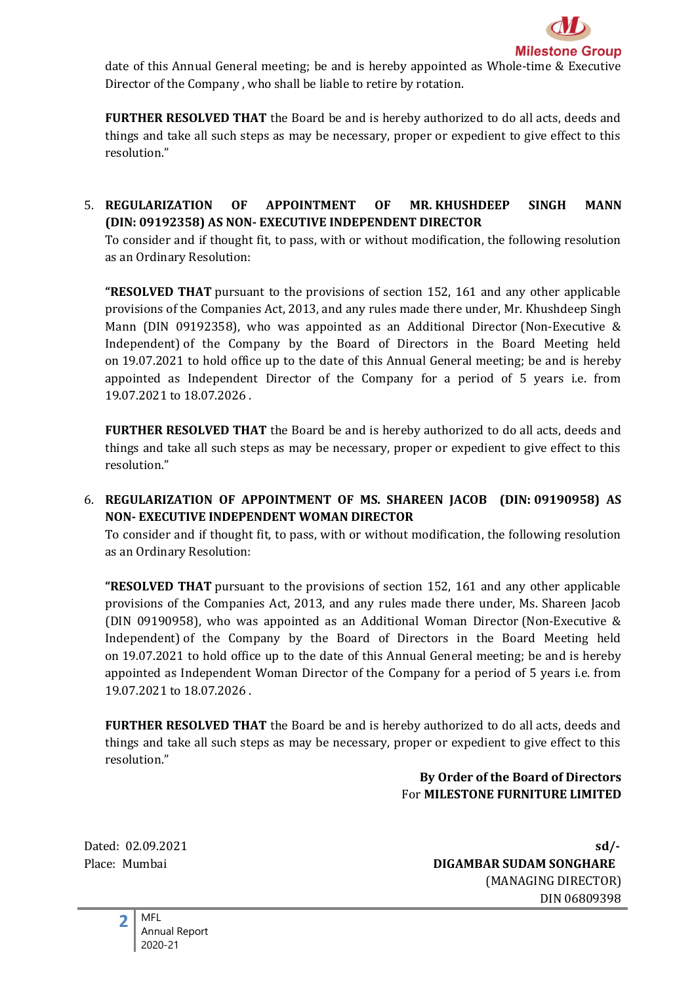

date of this Annual General meeting; be and is hereby appointed as Whole-time & Executive Director of the Company , who shall be liable to retire by rotation.

**FURTHER RESOLVED THAT** the Board be and is hereby authorized to do all acts, deeds and things and take all such steps as may be necessary, proper or expedient to give effect to this resolution."

# 5. **REGULARIZATION OF APPOINTMENT OF MR. KHUSHDEEP SINGH MANN (DIN: 09192358) AS NON- EXECUTIVE INDEPENDENT DIRECTOR**

To consider and if thought fit, to pass, with or without modification, the following resolution as an Ordinary Resolution:

**"RESOLVED THAT** pursuant to the provisions of section 152, 161 and any other applicable provisions of the Companies Act, 2013, and any rules made there under, Mr. Khushdeep Singh Mann (DIN 09192358), who was appointed as an Additional Director (Non-Executive & Independent) of the Company by the Board of Directors in the Board Meeting held on 19.07.2021 to hold office up to the date of this Annual General meeting; be and is hereby appointed as Independent Director of the Company for a period of 5 years i.e. from 19.07.2021 to 18.07.2026 .

**FURTHER RESOLVED THAT** the Board be and is hereby authorized to do all acts, deeds and things and take all such steps as may be necessary, proper or expedient to give effect to this resolution."

6. **REGULARIZATION OF APPOINTMENT OF MS. SHAREEN JACOB (DIN: 09190958) AS NON- EXECUTIVE INDEPENDENT WOMAN DIRECTOR**

To consider and if thought fit, to pass, with or without modification, the following resolution as an Ordinary Resolution:

**"RESOLVED THAT** pursuant to the provisions of section 152, 161 and any other applicable provisions of the Companies Act, 2013, and any rules made there under, Ms. Shareen Jacob (DIN 09190958), who was appointed as an Additional Woman Director (Non-Executive & Independent) of the Company by the Board of Directors in the Board Meeting held on 19.07.2021 to hold office up to the date of this Annual General meeting; be and is hereby appointed as Independent Woman Director of the Company for a period of 5 years i.e. from 19.07.2021 to 18.07.2026 .

**FURTHER RESOLVED THAT** the Board be and is hereby authorized to do all acts, deeds and things and take all such steps as may be necessary, proper or expedient to give effect to this resolution."

> **By Order of the Board of Directors** For **MILESTONE FURNITURE LIMITED**

Dated: 02.09.2021 **sd/-**Place: Mumbai **DIGAMBAR SUDAM SONGHARE** (MANAGING DIRECTOR) DIN 06809398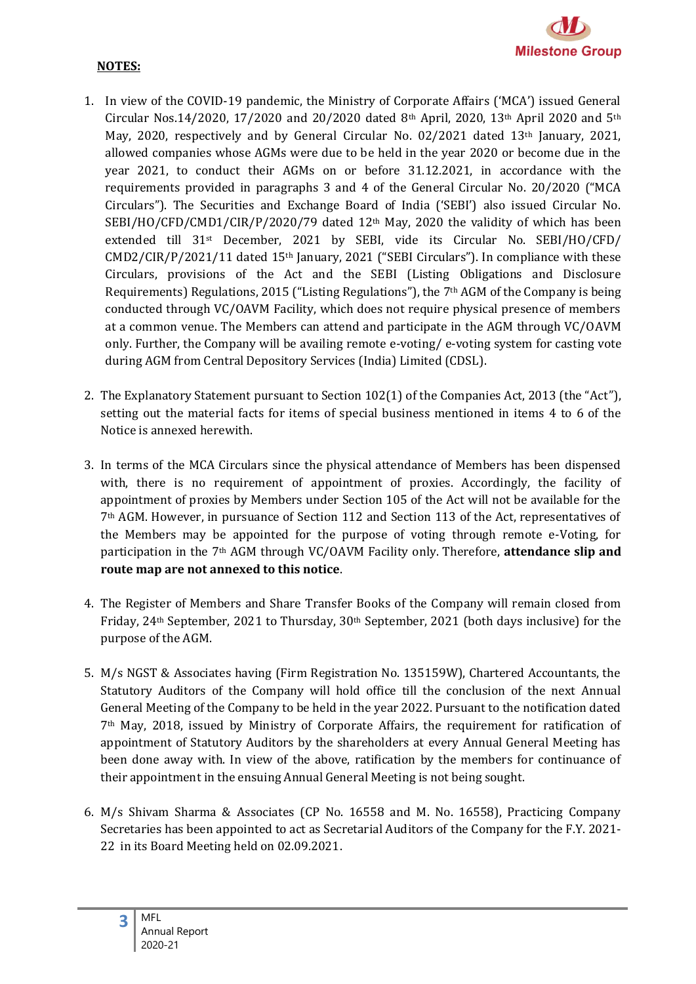

# **NOTES:**

- 1. In view of the COVID-19 pandemic, the Ministry of Corporate Affairs ('MCA') issued General Circular Nos.14/2020, 17/2020 and 20/2020 dated 8th April, 2020, 13th April 2020 and 5th May, 2020, respectively and by General Circular No. 02/2021 dated 13th January, 2021, allowed companies whose AGMs were due to be held in the year 2020 or become due in the year 2021, to conduct their AGMs on or before 31.12.2021, in accordance with the requirements provided in paragraphs 3 and 4 of the General Circular No. 20/2020 ("MCA Circulars"). The Securities and Exchange Board of India ('SEBI') also issued Circular No. SEBI/HO/CFD/CMD1/CIR/P/2020/79 dated 12th May, 2020 the validity of which has been extended till 31st December, 2021 by SEBI, vide its Circular No. SEBI/HO/CFD/ CMD2/CIR/P/2021/11 dated 15th January, 2021 ("SEBI Circulars"). In compliance with these Circulars, provisions of the Act and the SEBI (Listing Obligations and Disclosure Requirements) Regulations, 2015 ("Listing Regulations"), the  $7<sup>th</sup>$  AGM of the Company is being conducted through VC/OAVM Facility, which does not require physical presence of members at a common venue. The Members can attend and participate in the AGM through VC/OAVM only. Further, the Company will be availing remote e-voting/ e-voting system for casting vote during AGM from Central Depository Services (India) Limited (CDSL).
- 2. The Explanatory Statement pursuant to Section 102(1) of the Companies Act, 2013 (the "Act"), setting out the material facts for items of special business mentioned in items 4 to 6 of the Notice is annexed herewith.
- 3. In terms of the MCA Circulars since the physical attendance of Members has been dispensed with, there is no requirement of appointment of proxies. Accordingly, the facility of appointment of proxies by Members under Section 105 of the Act will not be available for the 7th AGM. However, in pursuance of Section 112 and Section 113 of the Act, representatives of the Members may be appointed for the purpose of voting through remote e-Voting, for participation in the 7th AGM through VC/OAVM Facility only. Therefore, **attendance slip and route map are not annexed to this notice**.
- 4. The Register of Members and Share Transfer Books of the Company will remain closed from Friday, 24th September, 2021 to Thursday, 30th September, 2021 (both days inclusive) for the purpose of the AGM.
- 5. M/s NGST & Associates having (Firm Registration No. 135159W), Chartered Accountants, the Statutory Auditors of the Company will hold office till the conclusion of the next Annual General Meeting of the Company to be held in the year 2022. Pursuant to the notification dated 7th May, 2018, issued by Ministry of Corporate Affairs, the requirement for ratification of appointment of Statutory Auditors by the shareholders at every Annual General Meeting has been done away with. In view of the above, ratification by the members for continuance of their appointment in the ensuing Annual General Meeting is not being sought.
- 6. M/s Shivam Sharma & Associates (CP No. 16558 and M. No. 16558), Practicing Company Secretaries has been appointed to act as Secretarial Auditors of the Company for the F.Y. 2021- 22 in its Board Meeting held on 02.09.2021.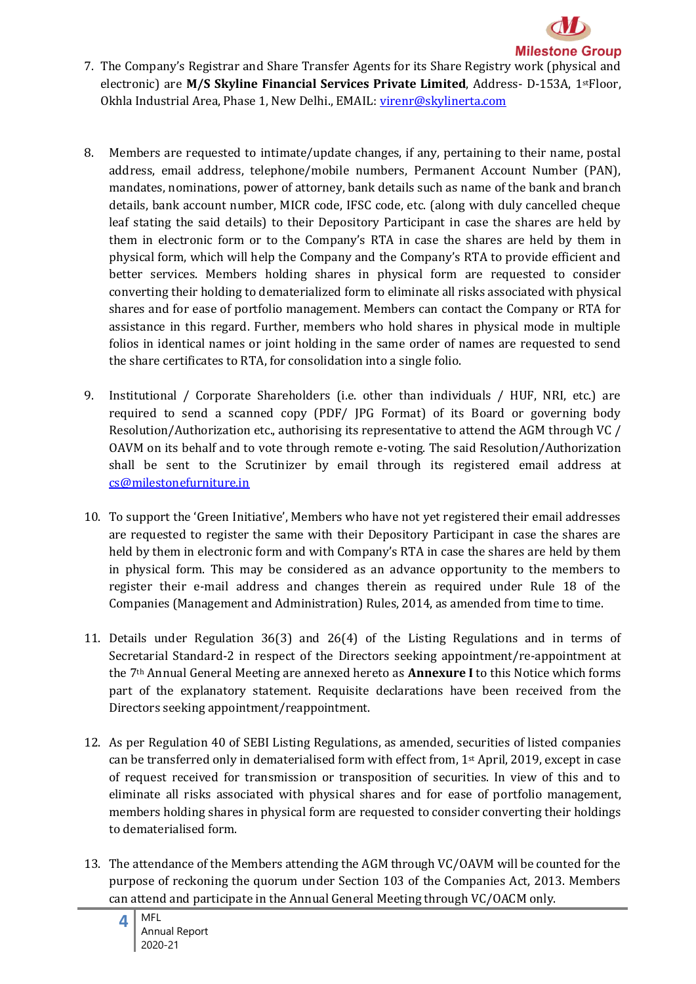

- 7. The Company's Registrar and Share Transfer Agents for its Share Registry work (physical and electronic) are **M/S Skyline Financial Services Private Limited**, Address- D-153A, 1stFloor, Okhla Industrial Area, Phase 1, New Delhi., EMAIL: [virenr@skylinerta.com](mailto:virenr@skylinerta.com)
- 8. Members are requested to intimate/update changes, if any, pertaining to their name, postal address, email address, telephone/mobile numbers, Permanent Account Number (PAN), mandates, nominations, power of attorney, bank details such as name of the bank and branch details, bank account number, MICR code, IFSC code, etc. (along with duly cancelled cheque leaf stating the said details) to their Depository Participant in case the shares are held by them in electronic form or to the Company's RTA in case the shares are held by them in physical form, which will help the Company and the Company's RTA to provide efficient and better services. Members holding shares in physical form are requested to consider converting their holding to dematerialized form to eliminate all risks associated with physical shares and for ease of portfolio management. Members can contact the Company or RTA for assistance in this regard. Further, members who hold shares in physical mode in multiple folios in identical names or joint holding in the same order of names are requested to send the share certificates to RTA, for consolidation into a single folio.
- 9. Institutional / Corporate Shareholders (i.e. other than individuals / HUF, NRI, etc.) are required to send a scanned copy (PDF/ JPG Format) of its Board or governing body Resolution/Authorization etc., authorising its representative to attend the AGM through VC / OAVM on its behalf and to vote through remote e-voting. The said Resolution/Authorization shall be sent to the Scrutinizer by email through its registered email address at [cs@milestonefurniture.in](mailto:cs@milestonefurniture.in)
- 10. To support the 'Green Initiative', Members who have not yet registered their email addresses are requested to register the same with their Depository Participant in case the shares are held by them in electronic form and with Company's RTA in case the shares are held by them in physical form. This may be considered as an advance opportunity to the members to register their e-mail address and changes therein as required under Rule 18 of the Companies (Management and Administration) Rules, 2014, as amended from time to time.
- 11. Details under Regulation 36(3) and 26(4) of the Listing Regulations and in terms of Secretarial Standard-2 in respect of the Directors seeking appointment/re-appointment at the 7th Annual General Meeting are annexed hereto as **Annexure I** to this Notice which forms part of the explanatory statement. Requisite declarations have been received from the Directors seeking appointment/reappointment.
- 12. As per Regulation 40 of SEBI Listing Regulations, as amended, securities of listed companies can be transferred only in dematerialised form with effect from, 1st April, 2019, except in case of request received for transmission or transposition of securities. In view of this and to eliminate all risks associated with physical shares and for ease of portfolio management, members holding shares in physical form are requested to consider converting their holdings to dematerialised form.
- 13. The attendance of the Members attending the AGM through VC/OAVM will be counted for the purpose of reckoning the quorum under Section 103 of the Companies Act, 2013. Members can attend and participate in the Annual General Meeting through VC/OACM only.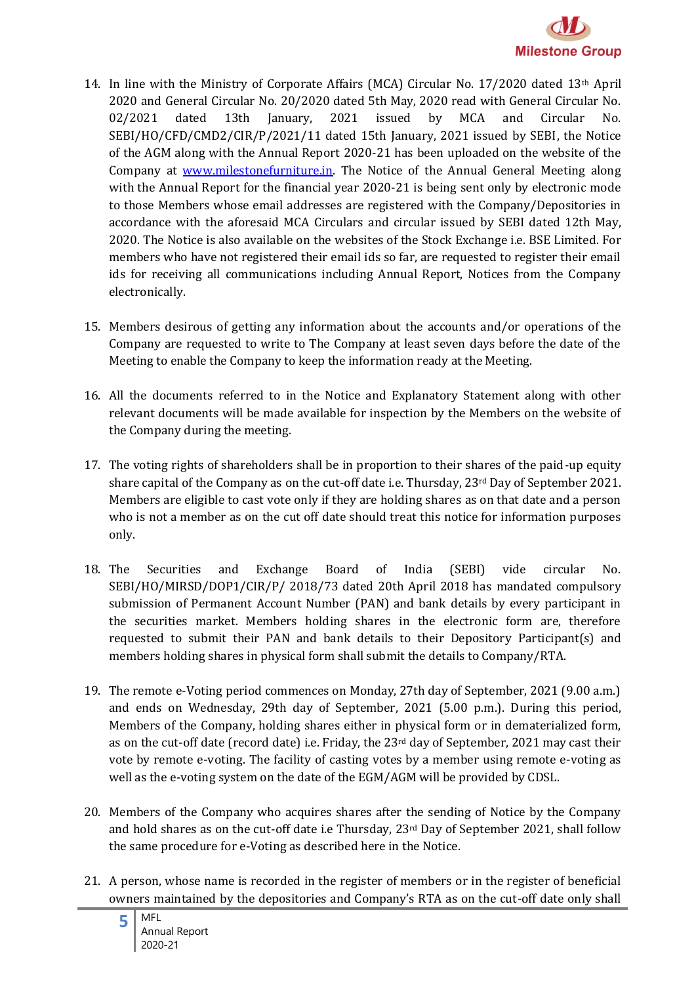

- 14. In line with the Ministry of Corporate Affairs (MCA) Circular No. 17/2020 dated  $13<sup>th</sup>$  April 2020 and General Circular No. 20/2020 dated 5th May, 2020 read with General Circular No. 02/2021 dated 13th January, 2021 issued by MCA and Circular No. SEBI/HO/CFD/CMD2/CIR/P/2021/11 dated 15th January, 2021 issued by SEBI, the Notice of the AGM along with the Annual Report 2020-21 has been uploaded on the website of the Company at [www.milestonefurniture.in.](http://www.milestonefurniture.in/) The Notice of the Annual General Meeting along with the Annual Report for the financial year 2020-21 is being sent only by electronic mode to those Members whose email addresses are registered with the Company/Depositories in accordance with the aforesaid MCA Circulars and circular issued by SEBI dated 12th May, 2020. The Notice is also available on the websites of the Stock Exchange i.e. BSE Limited. For members who have not registered their email ids so far, are requested to register their email ids for receiving all communications including Annual Report, Notices from the Company electronically.
- 15. Members desirous of getting any information about the accounts and/or operations of the Company are requested to write to The Company at least seven days before the date of the Meeting to enable the Company to keep the information ready at the Meeting.
- 16. All the documents referred to in the Notice and Explanatory Statement along with other relevant documents will be made available for inspection by the Members on the website of the Company during the meeting.
- 17. The voting rights of shareholders shall be in proportion to their shares of the paid-up equity share capital of the Company as on the cut-off date i.e. Thursday, 23rd Day of September 2021. Members are eligible to cast vote only if they are holding shares as on that date and a person who is not a member as on the cut off date should treat this notice for information purposes only.
- 18. The Securities and Exchange Board of India (SEBI) vide circular No. SEBI/HO/MIRSD/DOP1/CIR/P/ 2018/73 dated 20th April 2018 has mandated compulsory submission of Permanent Account Number (PAN) and bank details by every participant in the securities market. Members holding shares in the electronic form are, therefore requested to submit their PAN and bank details to their Depository Participant(s) and members holding shares in physical form shall submit the details to Company/RTA.
- 19. The remote e-Voting period commences on Monday, 27th day of September, 2021 (9.00 a.m.) and ends on Wednesday, 29th day of September, 2021 (5.00 p.m.). During this period, Members of the Company, holding shares either in physical form or in dematerialized form, as on the cut-off date (record date) i.e. Friday, the  $23<sup>rd</sup>$  day of September, 2021 may cast their vote by remote e-voting. The facility of casting votes by a member using remote e-voting as well as the e-voting system on the date of the EGM/AGM will be provided by CDSL.
- 20. Members of the Company who acquires shares after the sending of Notice by the Company and hold shares as on the cut-off date i.e Thursday,  $23<sup>rd</sup>$  Day of September 2021, shall follow the same procedure for e-Voting as described here in the Notice.
- 21. A person, whose name is recorded in the register of members or in the register of beneficial owners maintained by the depositories and Company's RTA as on the cut-off date only shall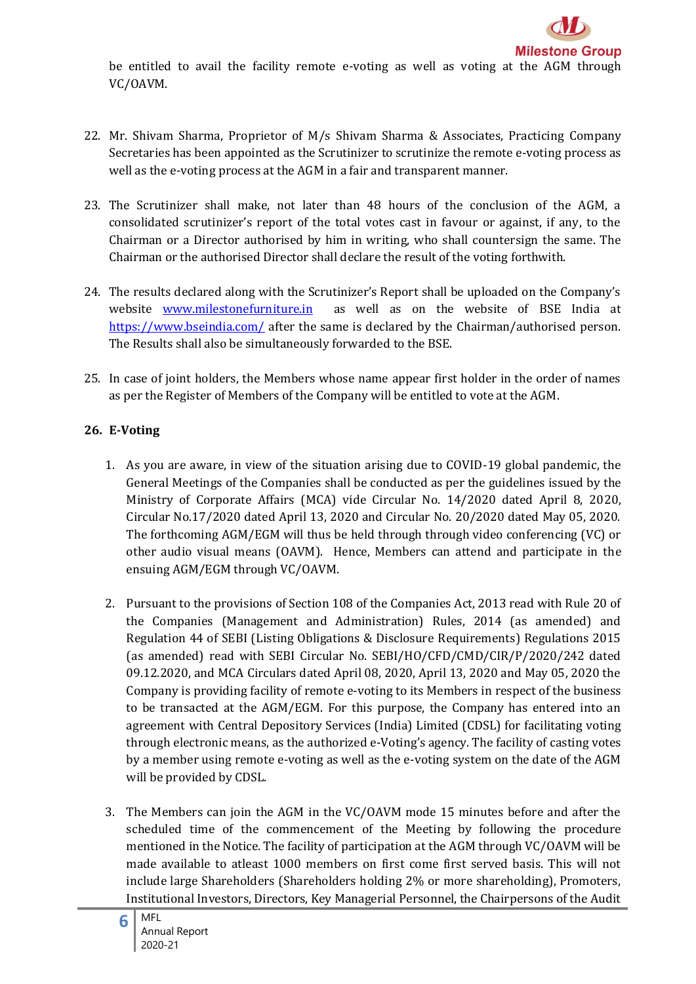

be entitled to avail the facility remote e-voting as well as voting at the AGM through VC/OAVM.

- 22. Mr. Shivam Sharma, Proprietor of M/s Shivam Sharma & Associates, Practicing Company Secretaries has been appointed as the Scrutinizer to scrutinize the remote e-voting process as well as the e-voting process at the AGM in a fair and transparent manner.
- 23. The Scrutinizer shall make, not later than 48 hours of the conclusion of the AGM, a consolidated scrutinizer's report of the total votes cast in favour or against, if any, to the Chairman or a Director authorised by him in writing, who shall countersign the same. The Chairman or the authorised Director shall declare the result of the voting forthwith.
- 24. The results declared along with the Scrutinizer's Report shall be uploaded on the Company's website [www.milestonefurniture.in](http://www.milestonefurniture.in/) as well as on the website of BSE India at <https://www.bseindia.com/> after the same is declared by the Chairman/authorised person. The Results shall also be simultaneously forwarded to the BSE.
- 25. In case of joint holders, the Members whose name appear first holder in the order of names as per the Register of Members of the Company will be entitled to vote at the AGM.

# **26. E-Voting**

- 1. As you are aware, in view of the situation arising due to COVID-19 global pandemic, the General Meetings of the Companies shall be conducted as per the guidelines issued by the Ministry of Corporate Affairs (MCA) vide Circular No. 14/2020 dated April 8, 2020, Circular No.17/2020 dated April 13, 2020 and Circular No. 20/2020 dated May 05, 2020. The forthcoming AGM/EGM will thus be held through through video conferencing (VC) or other audio visual means (OAVM). Hence, Members can attend and participate in the ensuing AGM/EGM through VC/OAVM.
- 2. Pursuant to the provisions of Section 108 of the Companies Act, 2013 read with Rule 20 of the Companies (Management and Administration) Rules, 2014 (as amended) and Regulation 44 of SEBI (Listing Obligations & Disclosure Requirements) Regulations 2015 (as amended) read with SEBI Circular No. SEBI/HO/CFD/CMD/CIR/P/2020/242 dated 09.12.2020, and MCA Circulars dated April 08, 2020, April 13, 2020 and May 05, 2020 the Company is providing facility of remote e-voting to its Members in respect of the business to be transacted at the AGM/EGM. For this purpose, the Company has entered into an agreement with Central Depository Services (India) Limited (CDSL) for facilitating voting through electronic means, as the authorized e-Voting's agency. The facility of casting votes by a member using remote e-voting as well as the e-voting system on the date of the AGM will be provided by CDSL.
- 3. The Members can join the AGM in the VC/OAVM mode 15 minutes before and after the scheduled time of the commencement of the Meeting by following the procedure mentioned in the Notice. The facility of participation at the AGM through VC/OAVM will be made available to atleast 1000 members on first come first served basis. This will not include large Shareholders (Shareholders holding 2% or more shareholding), Promoters, Institutional Investors, Directors, Key Managerial Personnel, the Chairpersons of the Audit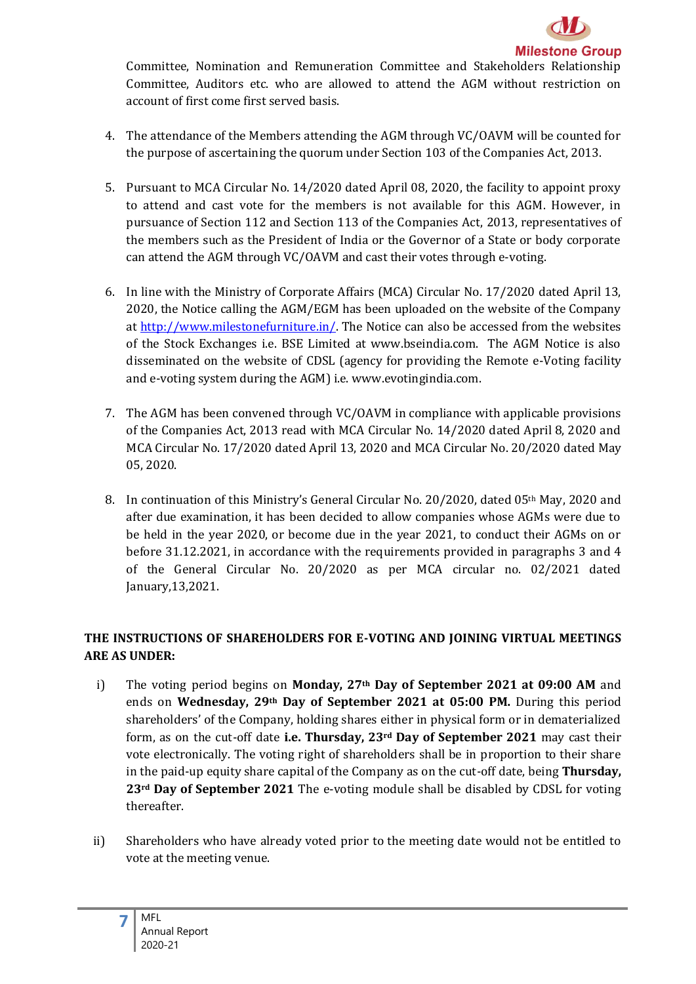

Committee, Nomination and Remuneration Committee and Stakeholders Relationship Committee, Auditors etc. who are allowed to attend the AGM without restriction on account of first come first served basis.

- 4. The attendance of the Members attending the AGM through VC/OAVM will be counted for the purpose of ascertaining the quorum under Section 103 of the Companies Act, 2013.
- 5. Pursuant to MCA Circular No. 14/2020 dated April 08, 2020, the facility to appoint proxy to attend and cast vote for the members is not available for this AGM. However, in pursuance of Section 112 and Section 113 of the Companies Act, 2013, representatives of the members such as the President of India or the Governor of a State or body corporate can attend the AGM through VC/OAVM and cast their votes through e-voting.
- 6. In line with the Ministry of Corporate Affairs (MCA) Circular No. 17/2020 dated April 13, 2020, the Notice calling the AGM/EGM has been uploaded on the website of the Company at [http://www.milestonefurniture.in/.](http://www.milestonefurniture.in/) The Notice can also be accessed from the websites of the Stock Exchanges i.e. BSE Limited at www.bseindia.com. The AGM Notice is also disseminated on the website of CDSL (agency for providing the Remote e-Voting facility and e-voting system during the AGM) i.e. [www.evotingindia.com.](http://www.evotingindia.com/)
- 7. The AGM has been convened through VC/OAVM in compliance with applicable provisions of the Companies Act, 2013 read with MCA Circular No. 14/2020 dated April 8, 2020 and MCA Circular No. 17/2020 dated April 13, 2020 and MCA Circular No. 20/2020 dated May 05, 2020.
- 8. In continuation of this Ministry's [General Circular No. 20/2020,](https://abcaus.in/companies-act/cos-allowed-conduct-agm-video-conferencing-audio-visual-means-during-calendar-year-2020.html) dated 05th May, 2020 and after due examination, it has been decided to allow companies whose AGMs were due to be held in the year 2020, or become due in the year 2021, to conduct their AGMs on or before 31.12.2021, in accordance with the requirements provided in paragraphs 3 and 4 of the General Circular No. 20/2020 as per MCA circular no. 02/2021 dated January,13,2021.

# **THE INSTRUCTIONS OF SHAREHOLDERS FOR E-VOTING AND JOINING VIRTUAL MEETINGS ARE AS UNDER:**

- i) The voting period begins on **Monday, 27th Day of September 2021 at 09:00 AM** and ends on **Wednesday, 29th Day of September 2021 at 05:00 PM.** During this period shareholders' of the Company, holding shares either in physical form or in dematerialized form, as on the cut-off date **i.e. Thursday, 23rd Day of September 2021** may cast their vote electronically. The voting right of shareholders shall be in proportion to their share in the paid-up equity share capital of the Company as on the cut-off date, being **Thursday, 23rd Day of September 2021** The e-voting module shall be disabled by CDSL for voting thereafter.
- ii) Shareholders who have already voted prior to the meeting date would not be entitled to vote at the meeting venue.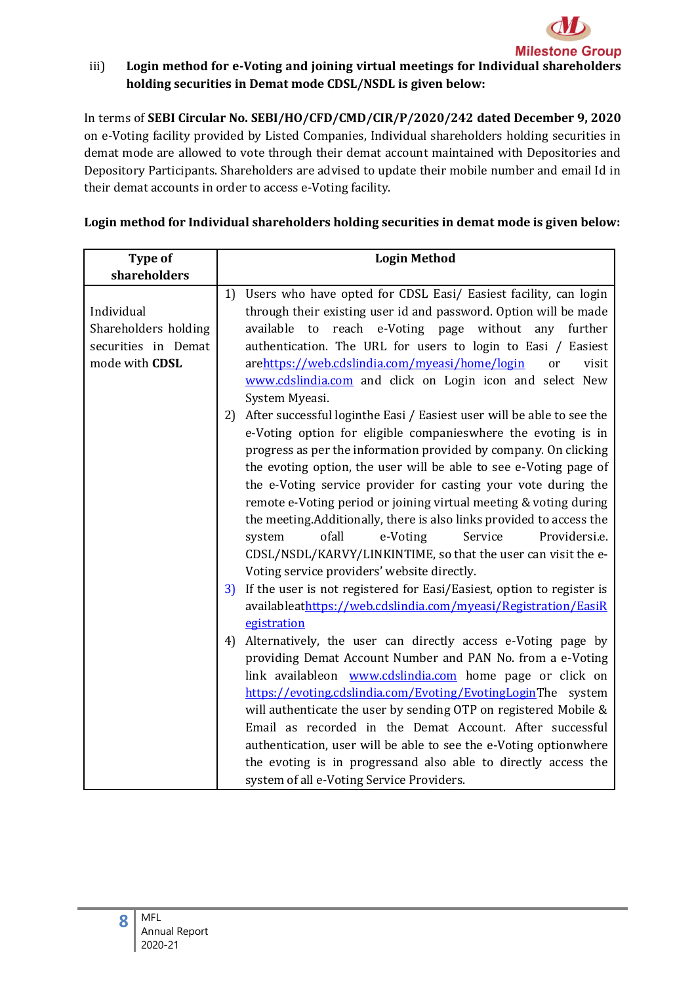

# iii) **Login method for e-Voting and joining virtual meetings for Individual shareholders holding securities in Demat mode CDSL/NSDL is given below:**

In terms of **SEBI Circular No. SEBI/HO/CFD/CMD/CIR/P/2020/242 dated December 9, 2020** on e-Voting facility provided by Listed Companies, Individual shareholders holding securities in demat mode are allowed to vote through their demat account maintained with Depositories and Depository Participants. Shareholders are advised to update their mobile number and email Id in their demat accounts in order to access e-Voting facility.

# **Login method for Individual shareholders holding securities in demat mode is given below:**

| Type of                                                                     | <b>Login Method</b>                                                                                                                                                                                                                                                                                                                                                                                                                                                                                                                                                                                                                                                                                                                                                                                                                                 |  |
|-----------------------------------------------------------------------------|-----------------------------------------------------------------------------------------------------------------------------------------------------------------------------------------------------------------------------------------------------------------------------------------------------------------------------------------------------------------------------------------------------------------------------------------------------------------------------------------------------------------------------------------------------------------------------------------------------------------------------------------------------------------------------------------------------------------------------------------------------------------------------------------------------------------------------------------------------|--|
| shareholders                                                                |                                                                                                                                                                                                                                                                                                                                                                                                                                                                                                                                                                                                                                                                                                                                                                                                                                                     |  |
| Individual<br>Shareholders holding<br>securities in Demat<br>mode with CDSL | 1) Users who have opted for CDSL Easi/ Easiest facility, can login<br>through their existing user id and password. Option will be made<br>reach e-Voting page without any further<br>available<br>to<br>authentication. The URL for users to login to Easi / Easiest<br>arehttps://web.cdslindia.com/myeasi/home/login<br>visit<br>or<br>www.cdslindia.com and click on Login icon and select New                                                                                                                                                                                                                                                                                                                                                                                                                                                   |  |
|                                                                             | System Myeasi.<br>After successful loginthe Easi / Easiest user will be able to see the<br>2)<br>e-Voting option for eligible companieswhere the evoting is in<br>progress as per the information provided by company. On clicking<br>the evoting option, the user will be able to see e-Voting page of<br>the e-Voting service provider for casting your vote during the<br>remote e-Voting period or joining virtual meeting & voting during<br>the meeting. Additionally, there is also links provided to access the<br>Service<br>ofall<br>Providersi.e.<br>e-Voting<br>system<br>CDSL/NSDL/KARVY/LINKINTIME, so that the user can visit the e-<br>Voting service providers' website directly.<br>If the user is not registered for Easi/Easiest, option to register is<br>3)<br>availableathttps://web.cdslindia.com/myeasi/Registration/EasiR |  |
|                                                                             | egistration<br>Alternatively, the user can directly access e-Voting page by<br>4)<br>providing Demat Account Number and PAN No. from a e-Voting<br>link availableon www.cdslindia.com home page or click on<br>https://evoting.cdslindia.com/Evoting/EvotingLoginThe system<br>will authenticate the user by sending OTP on registered Mobile &<br>Email as recorded in the Demat Account. After successful<br>authentication, user will be able to see the e-Voting optionwhere<br>the evoting is in progressand also able to directly access the<br>system of all e-Voting Service Providers.                                                                                                                                                                                                                                                     |  |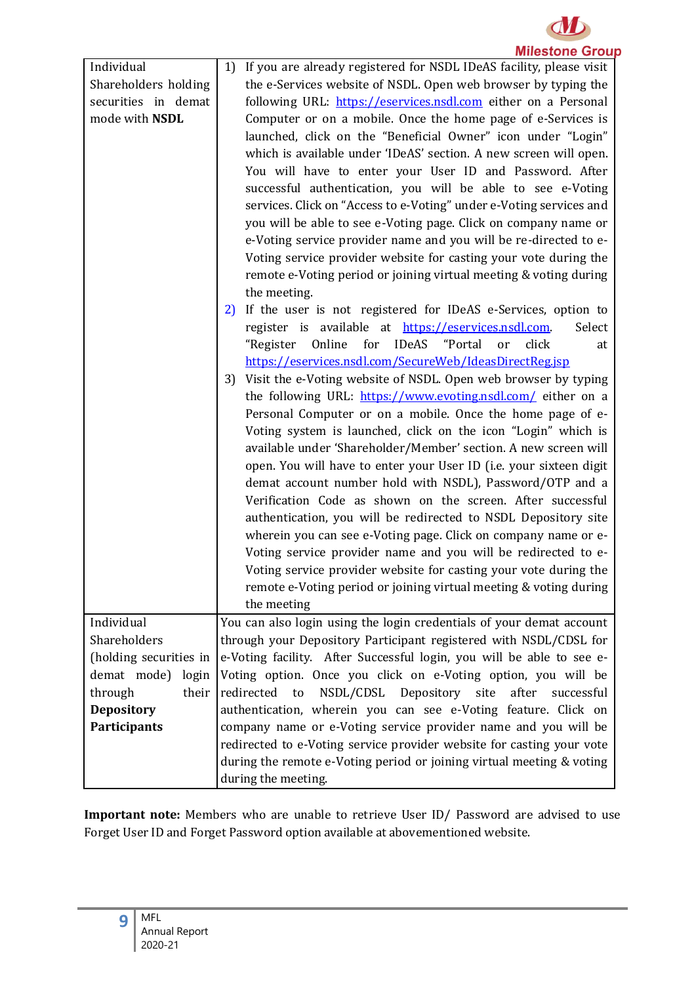

|                        | <b>MILESTOLIE GLOU</b>                                                  |
|------------------------|-------------------------------------------------------------------------|
| Individual             | 1) If you are already registered for NSDL IDeAS facility, please visit  |
| Shareholders holding   | the e-Services website of NSDL. Open web browser by typing the          |
| securities in demat    | following URL: https://eservices.nsdl.com either on a Personal          |
| mode with NSDL         | Computer or on a mobile. Once the home page of e-Services is            |
|                        | launched, click on the "Beneficial Owner" icon under "Login"            |
|                        | which is available under 'IDeAS' section. A new screen will open.       |
|                        | You will have to enter your User ID and Password. After                 |
|                        | successful authentication, you will be able to see e-Voting             |
|                        | services. Click on "Access to e-Voting" under e-Voting services and     |
|                        | you will be able to see e-Voting page. Click on company name or         |
|                        | e-Voting service provider name and you will be re-directed to e-        |
|                        | Voting service provider website for casting your vote during the        |
|                        | remote e-Voting period or joining virtual meeting & voting during       |
|                        | the meeting.                                                            |
|                        | If the user is not registered for IDeAS e-Services, option to<br>2)     |
|                        | register is available at https://eservices.nsdl.com.<br>Select          |
|                        | "Register Online for IDeAS "Portal<br>click<br>or<br>at                 |
|                        | https://eservices.nsdl.com/SecureWeb/IdeasDirectReg.jsp                 |
|                        | Visit the e-Voting website of NSDL. Open web browser by typing<br>3)    |
|                        | the following URL: https://www.evoting.nsdl.com/ either on a            |
|                        | Personal Computer or on a mobile. Once the home page of e-              |
|                        | Voting system is launched, click on the icon "Login" which is           |
|                        | available under 'Shareholder/Member' section. A new screen will         |
|                        | open. You will have to enter your User ID (i.e. your sixteen digit      |
|                        | demat account number hold with NSDL), Password/OTP and a                |
|                        | Verification Code as shown on the screen. After successful              |
|                        | authentication, you will be redirected to NSDL Depository site          |
|                        | wherein you can see e-Voting page. Click on company name or e-          |
|                        | Voting service provider name and you will be redirected to e-           |
|                        | Voting service provider website for casting your vote during the        |
|                        | remote e-Voting period or joining virtual meeting & voting during       |
|                        | the meeting                                                             |
| Individual             | You can also login using the login credentials of your demat account    |
| Shareholders           | through your Depository Participant registered with NSDL/CDSL for       |
| (holding securities in | e-Voting facility. After Successful login, you will be able to see e-   |
| demat mode) login      | Voting option. Once you click on e-Voting option, you will be           |
| through<br>their       | redirected<br>NSDL/CDSL<br>Depository site<br>after<br>to<br>successful |
| <b>Depository</b>      | authentication, wherein you can see e-Voting feature. Click on          |
| Participants           | company name or e-Voting service provider name and you will be          |
|                        | redirected to e-Voting service provider website for casting your vote   |
|                        | during the remote e-Voting period or joining virtual meeting & voting   |
|                        | during the meeting.                                                     |
|                        |                                                                         |

**Important note:** Members who are unable to retrieve User ID/ Password are advised to use Forget User ID and Forget Password option available at abovementioned website.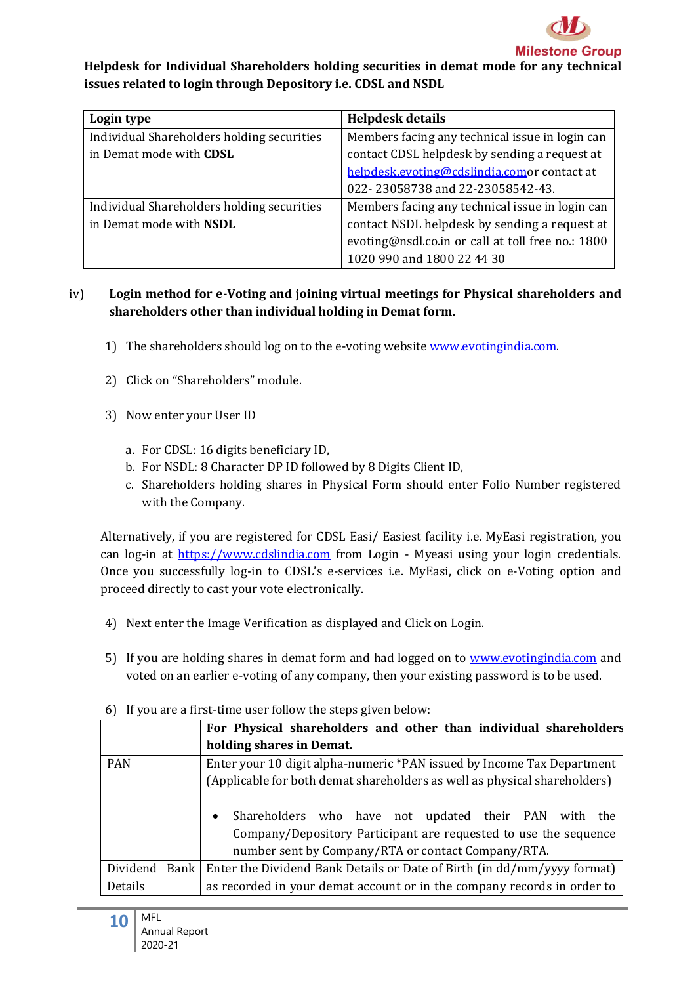

# **Helpdesk for Individual Shareholders holding securities in demat mode for any technical issues related to login through Depository i.e. CDSL and NSDL**

| Login type                                 | <b>Helpdesk details</b>                           |
|--------------------------------------------|---------------------------------------------------|
| Individual Shareholders holding securities | Members facing any technical issue in login can   |
| in Demat mode with CDSL                    | contact CDSL helpdesk by sending a request at     |
|                                            | helpdesk.evoting@cdslindia.comor contact at       |
|                                            | 022-23058738 and 22-23058542-43.                  |
| Individual Shareholders holding securities | Members facing any technical issue in login can   |
| in Demat mode with NSDL                    | contact NSDL helpdesk by sending a request at     |
|                                            | evoting@nsdl.co.in or call at toll free no.: 1800 |
|                                            | 1020 990 and 1800 22 44 30                        |

# iv) **Login method for e-Voting and joining virtual meetings for Physical shareholders and shareholders other than individual holding in Demat form.**

- 1) The shareholders should log on to the e-voting website [www.evotingindia.com.](http://www.evotingindia.com/)
- 2) Click on "Shareholders" module.
- 3) Now enter your User ID
	- a. For CDSL: 16 digits beneficiary ID,
	- b. For NSDL: 8 Character DP ID followed by 8 Digits Client ID,
	- c. Shareholders holding shares in Physical Form should enter Folio Number registered with the Company.

Alternatively, if you are registered for CDSL Easi/ Easiest facility i.e. MyEasi registration, you can log-in at [https://www.cdslindia.com](https://www.cdslindia.com/) from Login - Myeasi using your login credentials. Once you successfully log-in to CDSL's e-services i.e. MyEasi, click on e-Voting option and proceed directly to cast your vote electronically.

- 4) Next enter the Image Verification as displayed and Click on Login.
- 5) If you are holding shares in demat form and had logged on to [www.evotingindia.com](http://www.evotingindia.com/) and voted on an earlier e-voting of any company, then your existing password is to be used.
- 6) If you are a first-time user follow the steps given below:

|            |      | For Physical shareholders and other than individual shareholders                                                                                                                            |  |
|------------|------|---------------------------------------------------------------------------------------------------------------------------------------------------------------------------------------------|--|
|            |      | holding shares in Demat.                                                                                                                                                                    |  |
| <b>PAN</b> |      | Enter your 10 digit alpha-numeric *PAN issued by Income Tax Department                                                                                                                      |  |
|            |      | (Applicable for both demat shareholders as well as physical shareholders)                                                                                                                   |  |
|            |      | Shareholders who have not updated their PAN with the<br>$\bullet$<br>Company/Depository Participant are requested to use the sequence<br>number sent by Company/RTA or contact Company/RTA. |  |
| Dividend   | Bank | Enter the Dividend Bank Details or Date of Birth (in dd/mm/yyyy format)                                                                                                                     |  |
| Details    |      | as recorded in your demat account or in the company records in order to                                                                                                                     |  |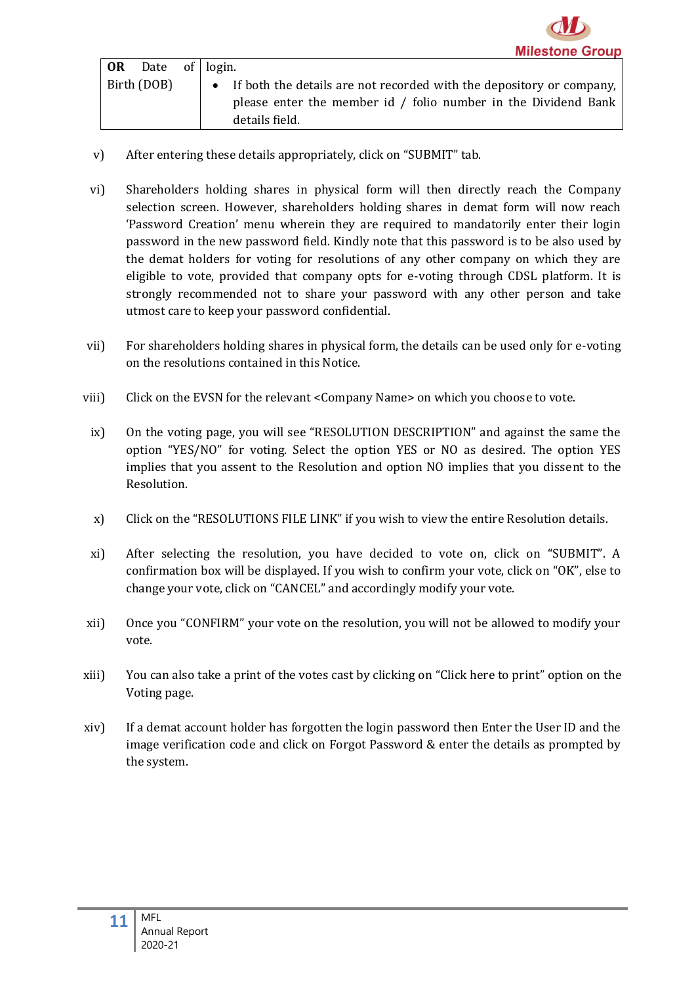

| <b>OR</b> Date of login. |                                                                        |
|--------------------------|------------------------------------------------------------------------|
| Birth (DOB)              | • If both the details are not recorded with the depository or company, |
|                          | please enter the member id / folio number in the Dividend Bank         |
|                          | details field.                                                         |

- v) After entering these details appropriately, click on "SUBMIT" tab.
- vi) Shareholders holding shares in physical form will then directly reach the Company selection screen. However, shareholders holding shares in demat form will now reach 'Password Creation' menu wherein they are required to mandatorily enter their login password in the new password field. Kindly note that this password is to be also used by the demat holders for voting for resolutions of any other company on which they are eligible to vote, provided that company opts for e-voting through CDSL platform. It is strongly recommended not to share your password with any other person and take utmost care to keep your password confidential.
- vii) For shareholders holding shares in physical form, the details can be used only for e-voting on the resolutions contained in this Notice.
- viii) Click on the EVSN for the relevant <Company Name> on which you choose to vote.
- ix) On the voting page, you will see "RESOLUTION DESCRIPTION" and against the same the option "YES/NO" for voting. Select the option YES or NO as desired. The option YES implies that you assent to the Resolution and option NO implies that you dissent to the Resolution.
- x) Click on the "RESOLUTIONS FILE LINK" if you wish to view the entire Resolution details.
- xi) After selecting the resolution, you have decided to vote on, click on "SUBMIT". A confirmation box will be displayed. If you wish to confirm your vote, click on "OK", else to change your vote, click on "CANCEL" and accordingly modify your vote.
- xii) Once you "CONFIRM" your vote on the resolution, you will not be allowed to modify your vote.
- xiii) You can also take a print of the votes cast by clicking on "Click here to print" option on the Voting page.
- xiv) If a demat account holder has forgotten the login password then Enter the User ID and the image verification code and click on Forgot Password & enter the details as prompted by the system.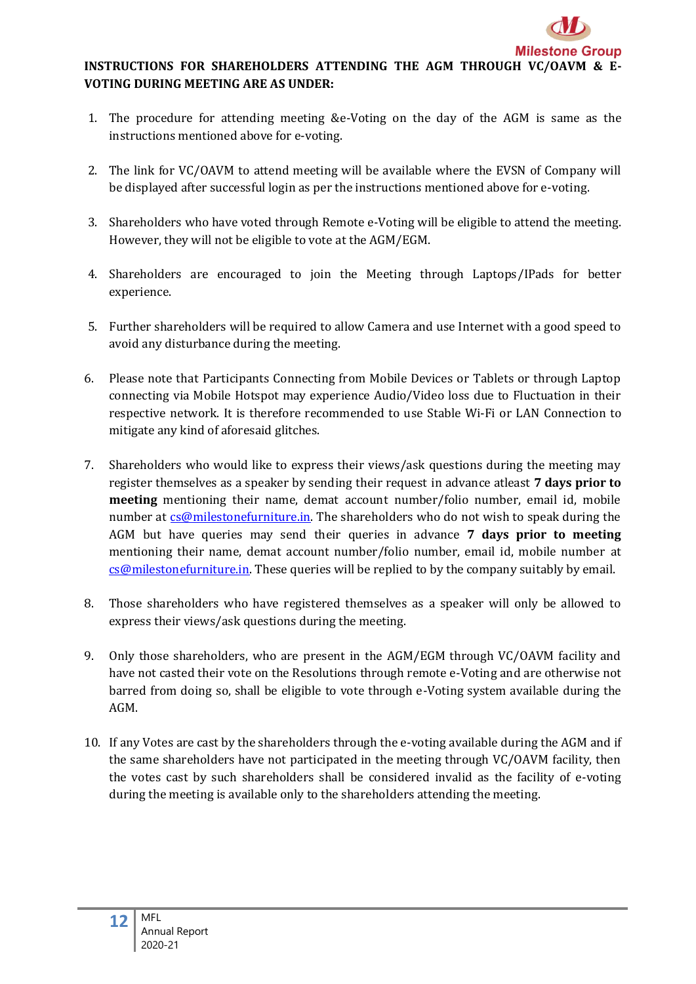# **INSTRUCTIONS FOR SHAREHOLDERS ATTENDING THE AGM THROUGH VC/OAVM & E-VOTING DURING MEETING ARE AS UNDER:**

- 1. The procedure for attending meeting &e-Voting on the day of the AGM is same as the instructions mentioned above for e-voting.
- 2. The link for VC/OAVM to attend meeting will be available where the EVSN of Company will be displayed after successful login as per the instructions mentioned above for e-voting.
- 3. Shareholders who have voted through Remote e-Voting will be eligible to attend the meeting. However, they will not be eligible to vote at the AGM/EGM.
- 4. Shareholders are encouraged to join the Meeting through Laptops/IPads for better experience.
- 5. Further shareholders will be required to allow Camera and use Internet with a good speed to avoid any disturbance during the meeting.
- 6. Please note that Participants Connecting from Mobile Devices or Tablets or through Laptop connecting via Mobile Hotspot may experience Audio/Video loss due to Fluctuation in their respective network. It is therefore recommended to use Stable Wi-Fi or LAN Connection to mitigate any kind of aforesaid glitches.
- 7. Shareholders who would like to express their views/ask questions during the meeting may register themselves as a speaker by sending their request in advance atleast **7 days prior to meeting** mentioning their name, demat account number/folio number, email id, mobile number at [cs@milestonefurniture.in.](mailto:cs@milestonefurniture.in) The shareholders who do not wish to speak during the AGM but have queries may send their queries in advance **7 days prior to meeting** mentioning their name, demat account number/folio number, email id, mobile number at [cs@milestonefurniture.in.](mailto:cs@milestonefurniture.in) These queries will be replied to by the company suitably by email.
- 8. Those shareholders who have registered themselves as a speaker will only be allowed to express their views/ask questions during the meeting.
- 9. Only those shareholders, who are present in the AGM/EGM through VC/OAVM facility and have not casted their vote on the Resolutions through remote e-Voting and are otherwise not barred from doing so, shall be eligible to vote through e-Voting system available during the AGM.
- 10. If any Votes are cast by the shareholders through the e-voting available during the AGM and if the same shareholders have not participated in the meeting through VC/OAVM facility, then the votes cast by such shareholders shall be considered invalid as the facility of e-voting during the meeting is available only to the shareholders attending the meeting.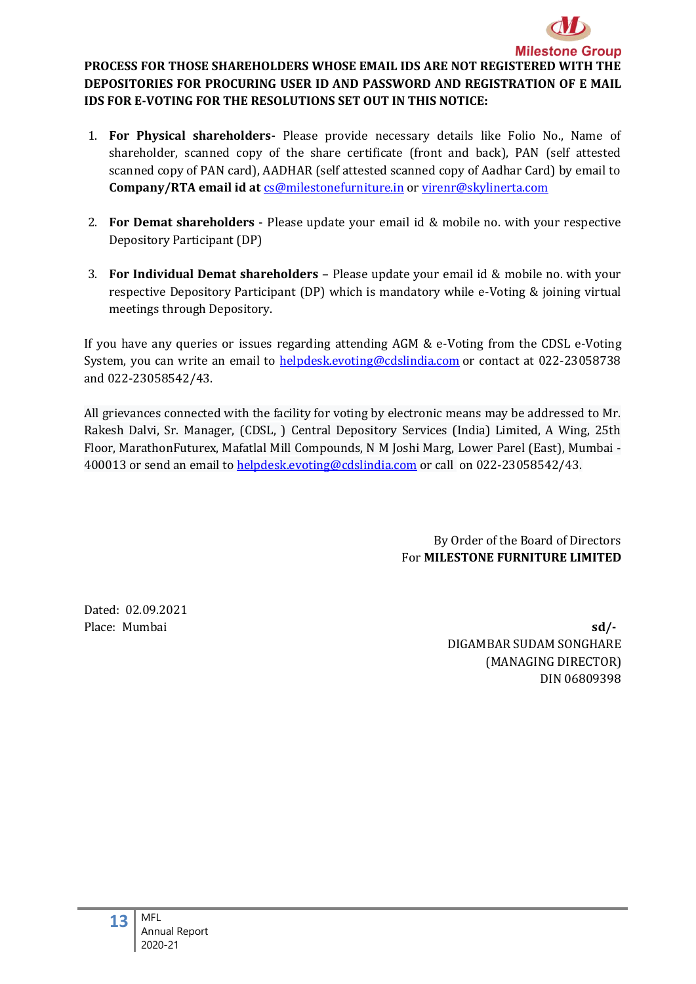

# **PROCESS FOR THOSE SHAREHOLDERS WHOSE EMAIL IDS ARE NOT REGISTERED WITH THE DEPOSITORIES FOR PROCURING USER ID AND PASSWORD AND REGISTRATION OF E MAIL IDS FOR E-VOTING FOR THE RESOLUTIONS SET OUT IN THIS NOTICE:**

- 1. **For Physical shareholders-** Please provide necessary details like Folio No., Name of shareholder, scanned copy of the share certificate (front and back), PAN (self attested scanned copy of PAN card), AADHAR (self attested scanned copy of Aadhar Card) by email to **Company/RTA email id at** [cs@milestonefurniture.in](mailto:cs@milestonefurniture.in) or [virenr@skylinerta.com](mailto:virenr@skylinerta.com)
- 2. **For Demat shareholders** Please update your email id & mobile no. with your respective Depository Participant (DP)
- 3. **For Individual Demat shareholders** Please update your email id & mobile no. with your respective Depository Participant (DP) which is mandatory while e-Voting & joining virtual meetings through Depository.

If you have any queries or issues regarding attending AGM & e-Voting from the CDSL e-Voting System, you can write an email to [helpdesk.evoting@cdslindia.com](mailto:helpdesk.evoting@cdslindia.com) or contact at 022-23058738 and 022-23058542/43.

All grievances connected with the facility for voting by electronic means may be addressed to Mr. Rakesh Dalvi, Sr. Manager, (CDSL, ) Central Depository Services (India) Limited, A Wing, 25th Floor, MarathonFuturex, Mafatlal Mill Compounds, N M Joshi Marg, Lower Parel (East), Mumbai - 400013 or send an email to [helpdesk.evoting@cdslindia.com](mailto:helpdesk.evoting@cdslindia.com) or call on 022-23058542/43.

> By Order of the Board of Directors For **MILESTONE FURNITURE LIMITED**

Dated: 02.09.2021

Place: Mumbai **sd/-** DIGAMBAR SUDAM SONGHARE (MANAGING DIRECTOR) DIN 06809398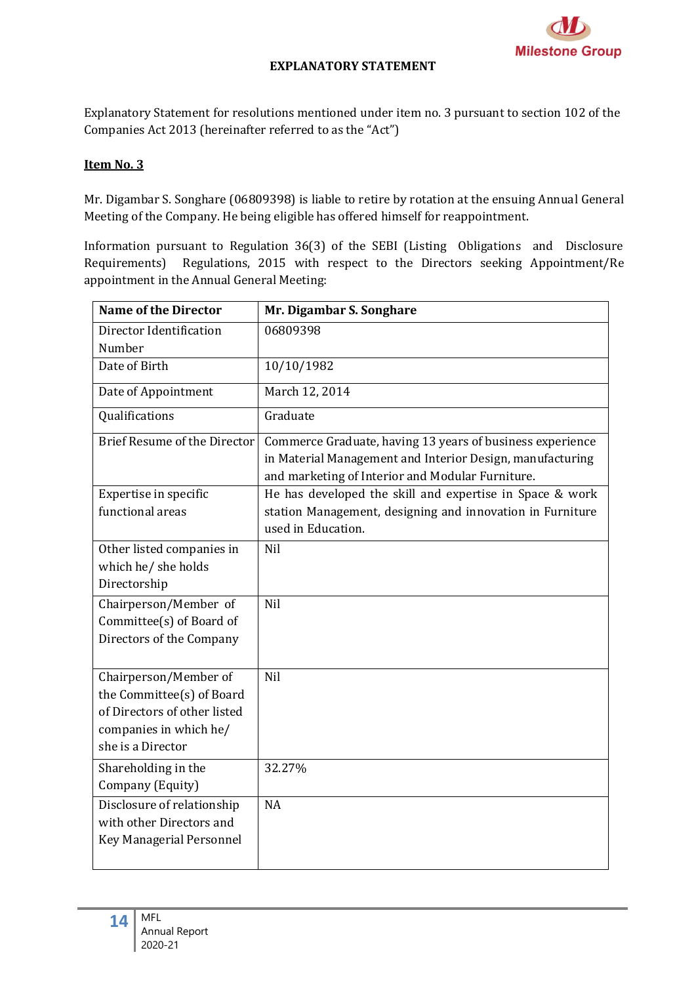

# **EXPLANATORY STATEMENT**

Explanatory Statement for resolutions mentioned under item no. 3 pursuant to section 102 of the Companies Act 2013 (hereinafter referred to as the "Act")

# **Item No. 3**

Mr. Digambar S. Songhare (06809398) is liable to retire by rotation at the ensuing Annual General Meeting of the Company. He being eligible has offered himself for reappointment.

Information pursuant to Regulation 36(3) of the SEBI (Listing Obligations and Disclosure Requirements) Regulations, 2015 with respect to the Directors seeking Appointment/Re appointment in the Annual General Meeting:

| <b>Name of the Director</b>         | Mr. Digambar S. Songhare                                                                                                                                                   |
|-------------------------------------|----------------------------------------------------------------------------------------------------------------------------------------------------------------------------|
| Director Identification             | 06809398                                                                                                                                                                   |
| Number                              |                                                                                                                                                                            |
| Date of Birth                       | 10/10/1982                                                                                                                                                                 |
| Date of Appointment                 | March 12, 2014                                                                                                                                                             |
| Qualifications                      | Graduate                                                                                                                                                                   |
| <b>Brief Resume of the Director</b> | Commerce Graduate, having 13 years of business experience<br>in Material Management and Interior Design, manufacturing<br>and marketing of Interior and Modular Furniture. |
| Expertise in specific               | He has developed the skill and expertise in Space & work                                                                                                                   |
| functional areas                    | station Management, designing and innovation in Furniture                                                                                                                  |
|                                     | used in Education.                                                                                                                                                         |
| Other listed companies in           | Nil                                                                                                                                                                        |
| which he/ she holds                 |                                                                                                                                                                            |
| Directorship                        |                                                                                                                                                                            |
| Chairperson/Member of               | Nil                                                                                                                                                                        |
| Committee(s) of Board of            |                                                                                                                                                                            |
| Directors of the Company            |                                                                                                                                                                            |
| Chairperson/Member of               | Nil                                                                                                                                                                        |
| the Committee(s) of Board           |                                                                                                                                                                            |
| of Directors of other listed        |                                                                                                                                                                            |
| companies in which he/              |                                                                                                                                                                            |
| she is a Director                   |                                                                                                                                                                            |
| Shareholding in the                 | 32.27%                                                                                                                                                                     |
| Company (Equity)                    |                                                                                                                                                                            |
| Disclosure of relationship          | <b>NA</b>                                                                                                                                                                  |
| with other Directors and            |                                                                                                                                                                            |
| <b>Key Managerial Personnel</b>     |                                                                                                                                                                            |
|                                     |                                                                                                                                                                            |

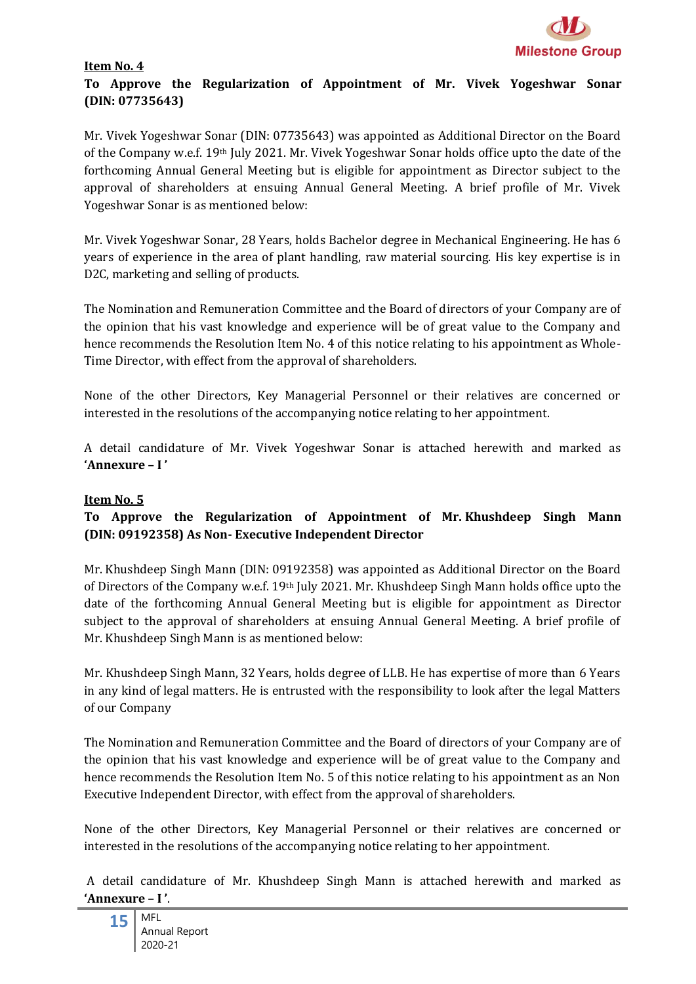

# **Item No. 4**

# **To Approve the Regularization of Appointment of Mr. Vivek Yogeshwar Sonar (DIN: 07735643)**

Mr. Vivek Yogeshwar Sonar (DIN: 07735643) was appointed as Additional Director on the Board of the Company w.e.f. 19th July 2021. Mr. Vivek Yogeshwar Sonar holds office upto the date of the forthcoming Annual General Meeting but is eligible for appointment as Director subject to the approval of shareholders at ensuing Annual General Meeting. A brief profile of Mr. Vivek Yogeshwar Sonar is as mentioned below:

Mr. Vivek Yogeshwar Sonar, 28 Years, holds Bachelor degree in Mechanical Engineering. He has 6 years of experience in the area of plant handling, raw material sourcing. His key expertise is in D2C, marketing and selling of products.

The Nomination and Remuneration Committee and the Board of directors of your Company are of the opinion that his vast knowledge and experience will be of great value to the Company and hence recommends the Resolution Item No. 4 of this notice relating to his appointment as Whole-Time Director, with effect from the approval of shareholders.

None of the other Directors, Key Managerial Personnel or their relatives are concerned or interested in the resolutions of the accompanying notice relating to her appointment.

A detail candidature of Mr. Vivek Yogeshwar Sonar is attached herewith and marked as **'Annexure – I '**

# **Item No. 5**

# **To Approve the Regularization of Appointment of Mr. Khushdeep Singh Mann (DIN: 09192358) As Non- Executive Independent Director**

Mr. Khushdeep Singh Mann (DIN: 09192358) was appointed as Additional Director on the Board of Directors of the Company w.e.f. 19th July 2021. Mr. Khushdeep Singh Mann holds office upto the date of the forthcoming Annual General Meeting but is eligible for appointment as Director subject to the approval of shareholders at ensuing Annual General Meeting. A brief profile of Mr. Khushdeep Singh Mann is as mentioned below:

Mr. Khushdeep Singh Mann, 32 Years, holds degree of LLB. He has expertise of more than 6 Years in any kind of legal matters. He is entrusted with the responsibility to look after the legal Matters of our Company

The Nomination and Remuneration Committee and the Board of directors of your Company are of the opinion that his vast knowledge and experience will be of great value to the Company and hence recommends the Resolution Item No. 5 of this notice relating to his appointment as an Non Executive Independent Director, with effect from the approval of shareholders.

None of the other Directors, Key Managerial Personnel or their relatives are concerned or interested in the resolutions of the accompanying notice relating to her appointment.

A detail candidature of Mr. Khushdeep Singh Mann is attached herewith and marked as **'Annexure – I '**.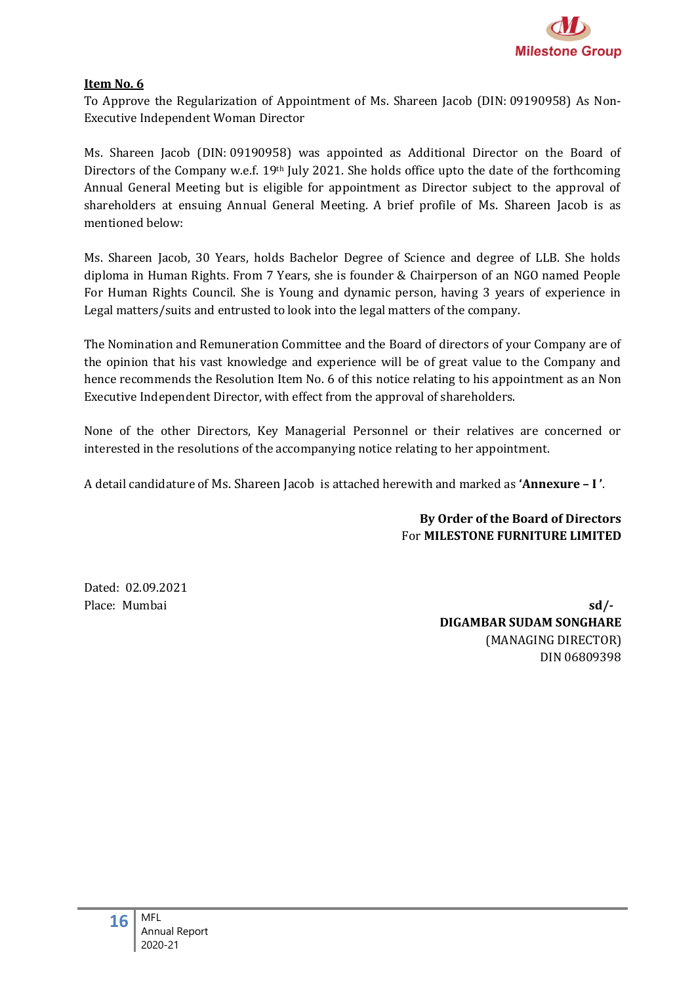

# **Item No. 6**

To Approve the Regularization of Appointment of Ms. Shareen Jacob (DIN: 09190958) As Non-Executive Independent Woman Director

Ms. Shareen Jacob (DIN: 09190958) was appointed as Additional Director on the Board of Directors of the Company w.e.f. 19th July 2021. She holds office upto the date of the forthcoming Annual General Meeting but is eligible for appointment as Director subject to the approval of shareholders at ensuing Annual General Meeting. A brief profile of Ms. Shareen Jacob is as mentioned below:

Ms. Shareen Jacob, 30 Years, holds Bachelor Degree of Science and degree of LLB. She holds diploma in Human Rights. From 7 Years, she is founder & Chairperson of an NGO named People For Human Rights Council. She is Young and dynamic person, having 3 years of experience in Legal matters/suits and entrusted to look into the legal matters of the company.

The Nomination and Remuneration Committee and the Board of directors of your Company are of the opinion that his vast knowledge and experience will be of great value to the Company and hence recommends the Resolution Item No. 6 of this notice relating to his appointment as an Non Executive Independent Director, with effect from the approval of shareholders.

None of the other Directors, Key Managerial Personnel or their relatives are concerned or interested in the resolutions of the accompanying notice relating to her appointment.

A detail candidature of Ms. Shareen Jacob is attached herewith and marked as **'Annexure – I '**.

**By Order of the Board of Directors** For **MILESTONE FURNITURE LIMITED**

Dated: 02.09.2021

Place: Mumbai **sd/- DIGAMBAR SUDAM SONGHARE** (MANAGING DIRECTOR) DIN 06809398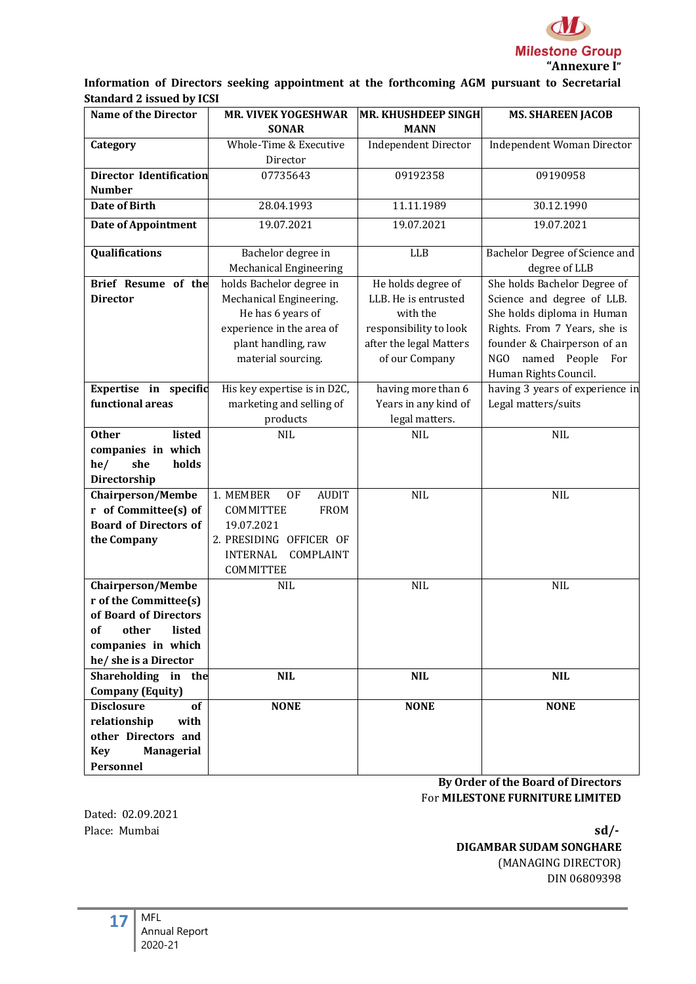

**Information of Directors seeking appointment at the forthcoming AGM pursuant to Secretarial Standard 2 issued by ICSI**

| <b>Name of the Director</b>     | <b>MR. VIVEK YOGESHWAR</b>      | <b>MR. KHUSHDEEP SINGH</b>            | <b>MS. SHAREEN JACOB</b>          |
|---------------------------------|---------------------------------|---------------------------------------|-----------------------------------|
|                                 | <b>SONAR</b>                    | <b>MANN</b>                           |                                   |
| Category                        | Whole-Time & Executive          | <b>Independent Director</b>           | <b>Independent Woman Director</b> |
|                                 | Director                        |                                       |                                   |
| <b>Director Identification</b>  | 07735643                        | 09192358                              | 09190958                          |
| <b>Number</b>                   |                                 |                                       |                                   |
| <b>Date of Birth</b>            | 28.04.1993                      | 11.11.1989                            | 30.12.1990                        |
| <b>Date of Appointment</b>      | 19.07.2021                      | 19.07.2021                            | 19.07.2021                        |
|                                 |                                 |                                       |                                   |
| Qualifications                  | Bachelor degree in              | Bachelor Degree of Science and<br>LLB |                                   |
|                                 | <b>Mechanical Engineering</b>   |                                       | degree of LLB                     |
| Brief Resume of the             | holds Bachelor degree in        | He holds degree of                    | She holds Bachelor Degree of      |
| <b>Director</b>                 | Mechanical Engineering.         | LLB. He is entrusted                  | Science and degree of LLB.        |
|                                 | He has 6 years of               | with the                              | She holds diploma in Human        |
|                                 | experience in the area of       | responsibility to look                | Rights. From 7 Years, she is      |
|                                 | plant handling, raw             | after the legal Matters               | founder & Chairperson of an       |
|                                 | material sourcing.              | of our Company                        | named People<br>NGO<br>For        |
|                                 |                                 |                                       | Human Rights Council.             |
| Expertise in specific           | His key expertise is in D2C,    | having more than 6                    | having 3 years of experience in   |
| functional areas                | marketing and selling of        | Years in any kind of                  | Legal matters/suits               |
|                                 | products                        | legal matters.                        |                                   |
| listed<br><b>Other</b>          | <b>NIL</b>                      | $\rm NIL$                             | <b>NIL</b>                        |
| companies in which              |                                 |                                       |                                   |
| he/<br>she<br>holds             |                                 |                                       |                                   |
| Directorship                    |                                 |                                       |                                   |
| Chairperson/Membe               | 1. MEMBER<br><b>AUDIT</b><br>OF | <b>NIL</b>                            | <b>NIL</b>                        |
| r of Committee(s) of            | COMMITTEE<br><b>FROM</b>        |                                       |                                   |
| <b>Board of Directors of</b>    | 19.07.2021                      |                                       |                                   |
| the Company                     | 2. PRESIDING OFFICER OF         |                                       |                                   |
|                                 | <b>INTERNAL</b><br>COMPLAINT    |                                       |                                   |
|                                 | COMMITTEE                       |                                       |                                   |
| Chairperson/Membe               | <b>NIL</b>                      | <b>NIL</b>                            | <b>NIL</b>                        |
| r of the Committee(s)           |                                 |                                       |                                   |
| of Board of Directors           |                                 |                                       |                                   |
| of<br>other<br>listed           |                                 |                                       |                                   |
| companies in which              |                                 |                                       |                                   |
| he/she is a Director            |                                 |                                       |                                   |
| Shareholding in the             | <b>NIL</b>                      | <b>NIL</b>                            | <b>NIL</b>                        |
| <b>Company (Equity)</b>         |                                 |                                       |                                   |
| <b>Disclosure</b><br>of         | <b>NONE</b>                     | <b>NONE</b>                           | <b>NONE</b>                       |
| relationship<br>with            |                                 |                                       |                                   |
| other Directors and             |                                 |                                       |                                   |
| <b>Managerial</b><br><b>Key</b> |                                 |                                       |                                   |
| Personnel                       |                                 |                                       |                                   |

**By Order of the Board of Directors** For **MILESTONE FURNITURE LIMITED**

Dated: 02.09.2021

Place: Mumbai **sd/- DIGAMBAR SUDAM SONGHARE** (MANAGING DIRECTOR) DIN 06809398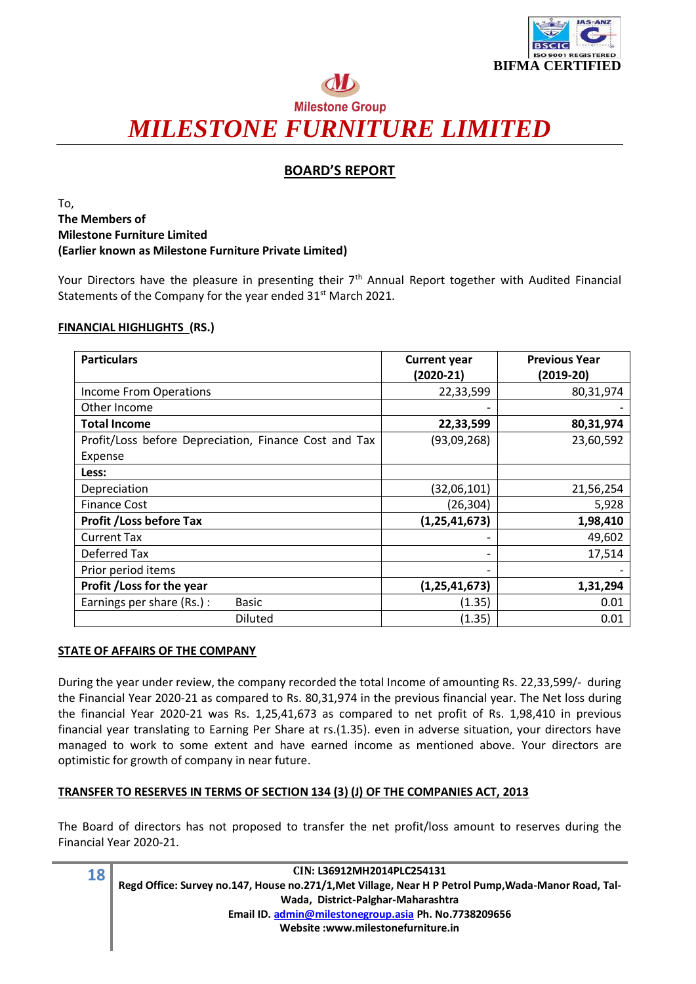

# **Milestone Group** *MILESTONE FURNITURE LIMITED*

# **BOARD'S REPORT**

### To, **The Members of Milestone Furniture Limited (Earlier known as Milestone Furniture Private Limited)**

Your Directors have the pleasure in presenting their 7<sup>th</sup> Annual Report together with Audited Financial Statements of the Company for the year ended 31<sup>st</sup> March 2021.

#### **FINANCIAL HIGHLIGHTS (RS.)**

| <b>Particulars</b>                                    | <b>Current year</b> | <b>Previous Year</b> |
|-------------------------------------------------------|---------------------|----------------------|
|                                                       | $(2020-21)$         | $(2019-20)$          |
| <b>Income From Operations</b>                         | 22,33,599           | 80,31,974            |
| Other Income                                          |                     |                      |
| <b>Total Income</b>                                   | 22,33,599           | 80,31,974            |
| Profit/Loss before Depreciation, Finance Cost and Tax | (93,09,268)         | 23,60,592            |
| Expense                                               |                     |                      |
| Less:                                                 |                     |                      |
| Depreciation                                          | (32,06,101)         | 21,56,254            |
| <b>Finance Cost</b>                                   | (26, 304)           | 5,928                |
| <b>Profit / Loss before Tax</b>                       | (1, 25, 41, 673)    | 1,98,410             |
| <b>Current Tax</b>                                    |                     | 49,602               |
| Deferred Tax                                          |                     | 17,514               |
| Prior period items                                    |                     |                      |
| Profit / Loss for the year                            | (1, 25, 41, 673)    | 1,31,294             |
| Earnings per share (Rs.) :<br><b>Basic</b>            | (1.35)              | 0.01                 |
| <b>Diluted</b>                                        | (1.35)              | 0.01                 |

#### **STATE OF AFFAIRS OF THE COMPANY**

During the year under review, the company recorded the total Income of amounting Rs. 22,33,599/- during the Financial Year 2020-21 as compared to Rs. 80,31,974 in the previous financial year. The Net loss during the financial Year 2020-21 was Rs. 1,25,41,673 as compared to net profit of Rs. 1,98,410 in previous financial year translating to Earning Per Share at rs.(1.35). even in adverse situation, your directors have managed to work to some extent and have earned income as mentioned above. Your directors are optimistic for growth of company in near future.

## **TRANSFER TO RESERVES IN TERMS OF SECTION 134 (3) (J) OF THE COMPANIES ACT, 2013**

The Board of directors has not proposed to transfer the net profit/loss amount to reserves during the Financial Year 2020-21.

**18 CIN: L36912MH2014PLC254131 Regd Office: Survey no.147, House no.271/1,Met Village, Near H P Petrol Pump,Wada-Manor Road, Tal-Wada, District-Palghar-Maharashtra Email ID. [admin@milestonegroup.asia](mailto:admin@milestonegroup.asia) Ph. No.7738209656 Website :www.milestonefurniture.in**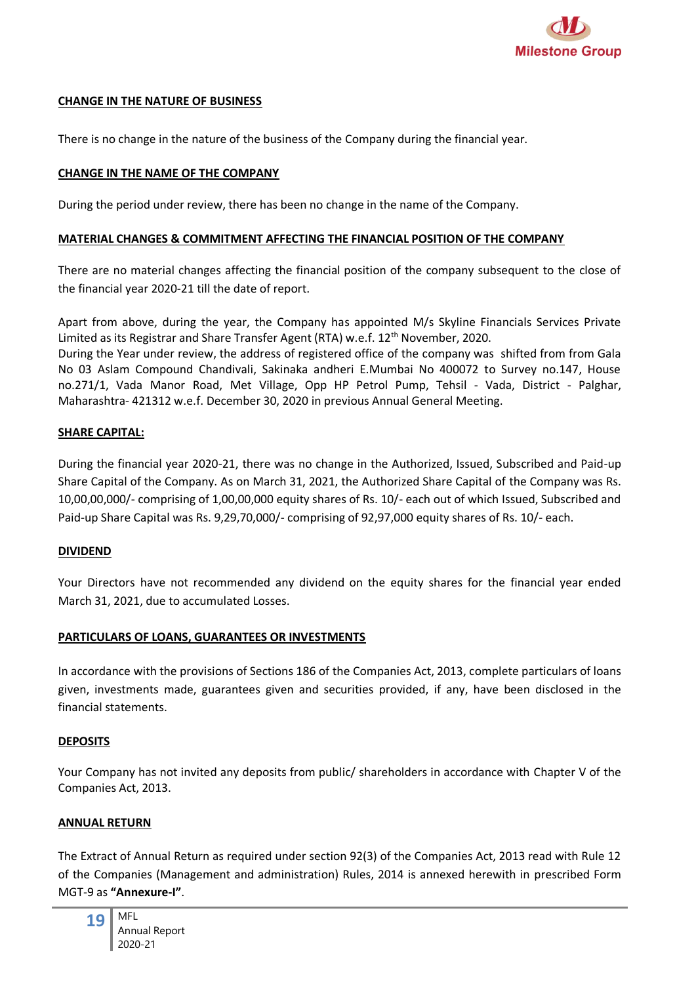

#### **CHANGE IN THE NATURE OF BUSINESS**

There is no change in the nature of the business of the Company during the financial year.

#### **CHANGE IN THE NAME OF THE COMPANY**

During the period under review, there has been no change in the name of the Company.

#### **MATERIAL CHANGES & COMMITMENT AFFECTING THE FINANCIAL POSITION OF THE COMPANY**

There are no material changes affecting the financial position of the company subsequent to the close of the financial year 2020-21 till the date of report.

Apart from above, during the year, the Company has appointed M/s Skyline Financials Services Private Limited as its Registrar and Share Transfer Agent (RTA) w.e.f. 12<sup>th</sup> November, 2020.

During the Year under review, the address of registered office of the company was shifted from from Gala No 03 Aslam Compound Chandivali, Sakinaka andheri E.Mumbai No 400072 to Survey no.147, House no.271/1, Vada Manor Road, Met Village, Opp HP Petrol Pump, Tehsil - Vada, District - Palghar, Maharashtra- 421312 w.e.f. December 30, 2020 in previous Annual General Meeting.

#### **SHARE CAPITAL:**

During the financial year 2020-21, there was no change in the Authorized, Issued, Subscribed and Paid-up Share Capital of the Company. As on March 31, 2021, the Authorized Share Capital of the Company was Rs. 10,00,00,000/- comprising of 1,00,00,000 equity shares of Rs. 10/- each out of which Issued, Subscribed and Paid-up Share Capital was Rs. 9,29,70,000/- comprising of 92,97,000 equity shares of Rs. 10/- each.

#### **DIVIDEND**

Your Directors have not recommended any dividend on the equity shares for the financial year ended March 31, 2021, due to accumulated Losses.

#### **PARTICULARS OF LOANS, GUARANTEES OR INVESTMENTS**

In accordance with the provisions of Sections 186 of the Companies Act, 2013, complete particulars of loans given, investments made, guarantees given and securities provided, if any, have been disclosed in the financial statements.

#### **DEPOSITS**

Your Company has not invited any deposits from public/ shareholders in accordance with Chapter V of the Companies Act, 2013.

#### **ANNUAL RETURN**

The Extract of Annual Return as required under section 92(3) of the Companies Act, 2013 read with Rule 12 of the Companies (Management and administration) Rules, 2014 is annexed herewith in prescribed Form MGT-9 as **"Annexure-I"**.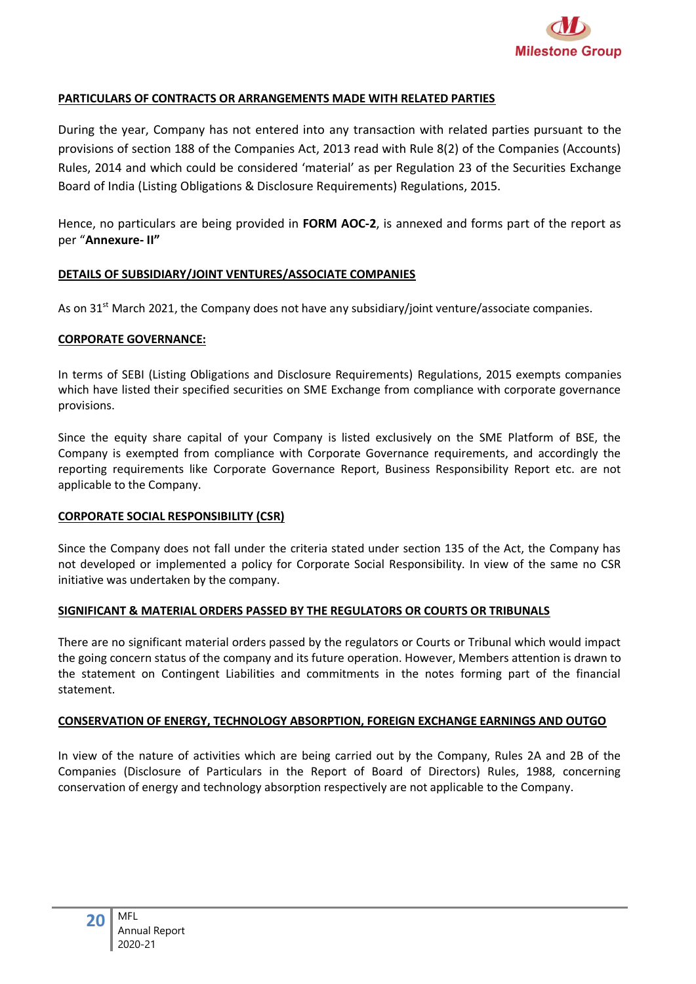

#### **PARTICULARS OF CONTRACTS OR ARRANGEMENTS MADE WITH RELATED PARTIES**

During the year, Company has not entered into any transaction with related parties pursuant to the provisions of section 188 of the Companies Act, 2013 read with Rule 8(2) of the Companies (Accounts) Rules, 2014 and which could be considered 'material' as per Regulation 23 of the Securities Exchange Board of India (Listing Obligations & Disclosure Requirements) Regulations, 2015.

Hence, no particulars are being provided in **FORM AOC-2**, is annexed and forms part of the report as per "**Annexure- II"** 

#### **DETAILS OF SUBSIDIARY/JOINT VENTURES/ASSOCIATE COMPANIES**

As on  $31^{st}$  March 2021, the Company does not have any subsidiary/joint venture/associate companies.

#### **CORPORATE GOVERNANCE:**

In terms of SEBI (Listing Obligations and Disclosure Requirements) Regulations, 2015 exempts companies which have listed their specified securities on SME Exchange from compliance with corporate governance provisions.

Since the equity share capital of your Company is listed exclusively on the SME Platform of BSE, the Company is exempted from compliance with Corporate Governance requirements, and accordingly the reporting requirements like Corporate Governance Report, Business Responsibility Report etc. are not applicable to the Company.

#### **CORPORATE SOCIAL RESPONSIBILITY (CSR)**

Since the Company does not fall under the criteria stated under section 135 of the Act, the Company has not developed or implemented a policy for Corporate Social Responsibility. In view of the same no CSR initiative was undertaken by the company.

#### **SIGNIFICANT & MATERIAL ORDERS PASSED BY THE REGULATORS OR COURTS OR TRIBUNALS**

There are no significant material orders passed by the regulators or Courts or Tribunal which would impact the going concern status of the company and its future operation. However, Members attention is drawn to the statement on Contingent Liabilities and commitments in the notes forming part of the financial statement.

#### **CONSERVATION OF ENERGY, TECHNOLOGY ABSORPTION, FOREIGN EXCHANGE EARNINGS AND OUTGO**

In view of the nature of activities which are being carried out by the Company, Rules 2A and 2B of the Companies (Disclosure of Particulars in the Report of Board of Directors) Rules, 1988, concerning conservation of energy and technology absorption respectively are not applicable to the Company.

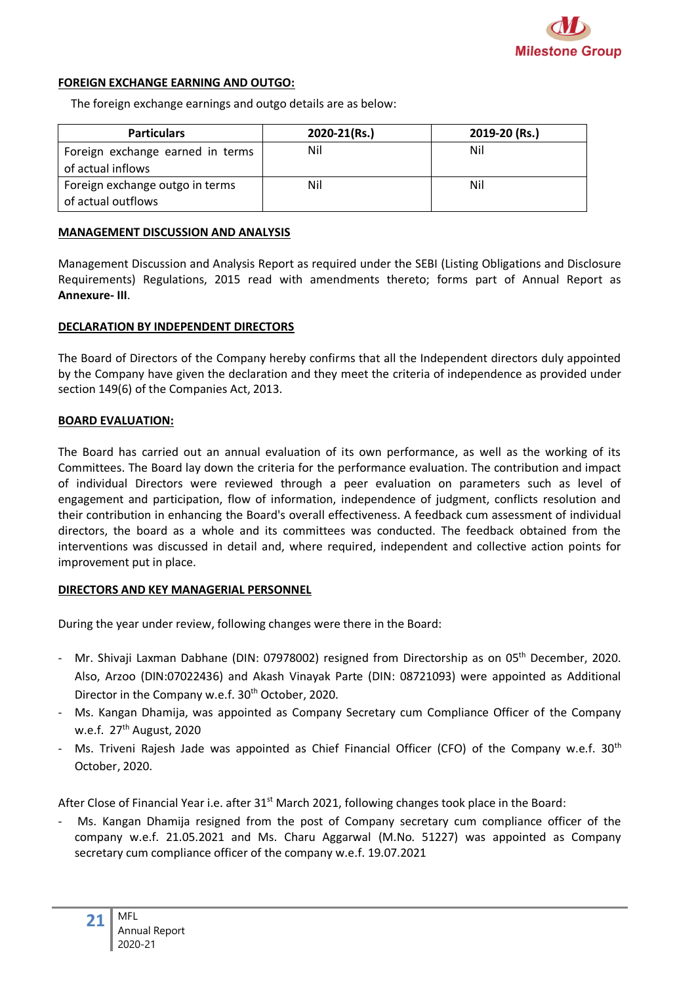

#### **FOREIGN EXCHANGE EARNING AND OUTGO:**

The foreign exchange earnings and outgo details are as below:

| <b>Particulars</b>               | 2020-21(Rs.) | 2019-20 (Rs.) |
|----------------------------------|--------------|---------------|
| Foreign exchange earned in terms | Nil          | Nil           |
| of actual inflows                |              |               |
| Foreign exchange outgo in terms  | Nil          | Nil           |
| of actual outflows               |              |               |

#### **MANAGEMENT DISCUSSION AND ANALYSIS**

Management Discussion and Analysis Report as required under the SEBI (Listing Obligations and Disclosure Requirements) Regulations, 2015 read with amendments thereto; forms part of Annual Report as **Annexure- III**.

#### **DECLARATION BY INDEPENDENT DIRECTORS**

The Board of Directors of the Company hereby confirms that all the Independent directors duly appointed by the Company have given the declaration and they meet the criteria of independence as provided under section 149(6) of the Companies Act, 2013.

#### **BOARD EVALUATION:**

The Board has carried out an annual evaluation of its own performance, as well as the working of its Committees. The Board lay down the criteria for the performance evaluation. The contribution and impact of individual Directors were reviewed through a peer evaluation on parameters such as level of engagement and participation, flow of information, independence of judgment, conflicts resolution and their contribution in enhancing the Board's overall effectiveness. A feedback cum assessment of individual directors, the board as a whole and its committees was conducted. The feedback obtained from the interventions was discussed in detail and, where required, independent and collective action points for improvement put in place.

#### **DIRECTORS AND KEY MANAGERIAL PERSONNEL**

During the year under review, following changes were there in the Board:

- Mr. Shivaji Laxman Dabhane (DIN: 07978002) resigned from Directorship as on 05<sup>th</sup> December, 2020. Also, Arzoo (DIN:07022436) and Akash Vinayak Parte (DIN: 08721093) were appointed as Additional Director in the Company w.e.f. 30<sup>th</sup> October, 2020.
- Ms. Kangan Dhamija, was appointed as Company Secretary cum Compliance Officer of the Company w.e.f. 27<sup>th</sup> August, 2020
- Ms. Triveni Rajesh Jade was appointed as Chief Financial Officer (CFO) of the Company w.e.f.  $30<sup>th</sup>$ October, 2020.

After Close of Financial Year i.e. after 31<sup>st</sup> March 2021, following changes took place in the Board:

Ms. Kangan Dhamija resigned from the post of Company secretary cum compliance officer of the company w.e.f. 21.05.2021 and Ms. Charu Aggarwal (M.No. 51227) was appointed as Company secretary cum compliance officer of the company w.e.f. 19.07.2021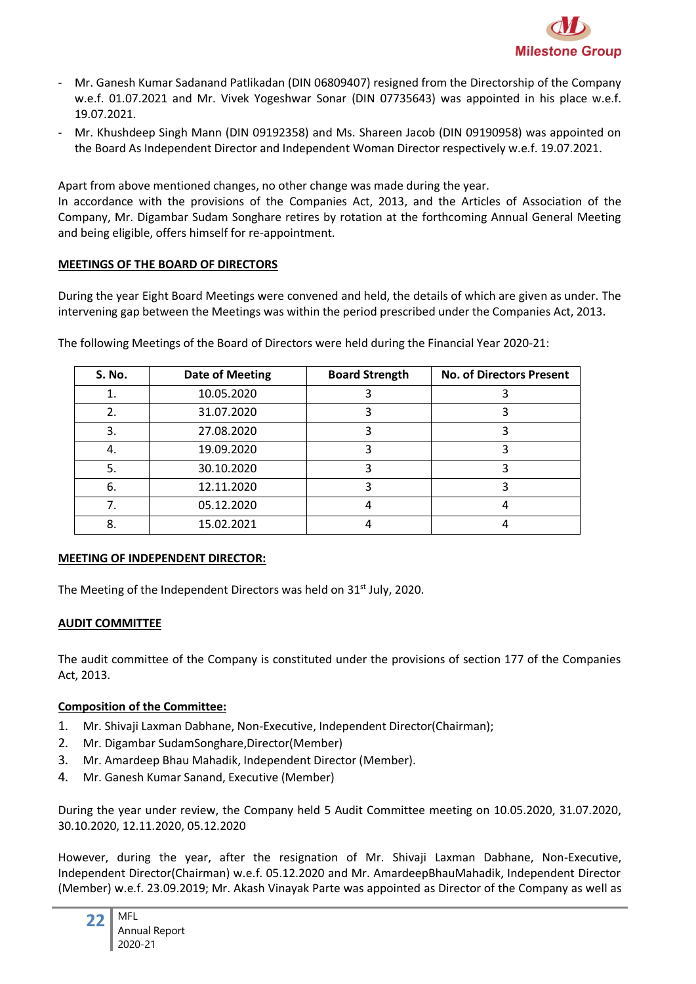

- Mr. Ganesh Kumar Sadanand Patlikadan (DIN 06809407) resigned from the Directorship of the Company w.e.f. 01.07.2021 and Mr. Vivek Yogeshwar Sonar (DIN 07735643) was appointed in his place w.e.f. 19.07.2021.
- Mr. Khushdeep Singh Mann (DIN 09192358) and Ms. Shareen Jacob (DIN 09190958) was appointed on the Board As Independent Director and Independent Woman Director respectively w.e.f. 19.07.2021.

Apart from above mentioned changes, no other change was made during the year.

In accordance with the provisions of the Companies Act, 2013, and the Articles of Association of the Company, Mr. Digambar Sudam Songhare retires by rotation at the forthcoming Annual General Meeting and being eligible, offers himself for re-appointment.

#### **MEETINGS OF THE BOARD OF DIRECTORS**

During the year Eight Board Meetings were convened and held, the details of which are given as under. The intervening gap between the Meetings was within the period prescribed under the Companies Act, 2013.

| <b>S. No.</b> | <b>Date of Meeting</b> | <b>Board Strength</b> | <b>No. of Directors Present</b> |
|---------------|------------------------|-----------------------|---------------------------------|
| 1.            | 10.05.2020             |                       |                                 |
| 2.            | 31.07.2020             |                       |                                 |
| 3.            | 27.08.2020             |                       |                                 |
| 4.            | 19.09.2020             |                       |                                 |
| 5.            | 30.10.2020             |                       |                                 |
| 6.            | 12.11.2020             |                       |                                 |
| 7.            | 05.12.2020             |                       |                                 |
| 8.            | 15.02.2021             |                       |                                 |

The following Meetings of the Board of Directors were held during the Financial Year 2020-21:

#### **MEETING OF INDEPENDENT DIRECTOR:**

The Meeting of the Independent Directors was held on 31<sup>st</sup> July, 2020.

#### **AUDIT COMMITTEE**

The audit committee of the Company is constituted under the provisions of section 177 of the Companies Act, 2013.

#### **Composition of the Committee:**

- 1. Mr. Shivaji Laxman Dabhane, Non-Executive, Independent Director(Chairman);
- 2. Mr. Digambar SudamSonghare,Director(Member)
- 3. Mr. Amardeep Bhau Mahadik, Independent Director (Member).
- 4. Mr. Ganesh Kumar Sanand, Executive (Member)

During the year under review, the Company held 5 Audit Committee meeting on 10.05.2020, 31.07.2020, 30.10.2020, 12.11.2020, 05.12.2020

However, during the year, after the resignation of Mr. Shivaji Laxman Dabhane, Non-Executive, Independent Director(Chairman) w.e.f. 05.12.2020 and Mr. AmardeepBhauMahadik, Independent Director (Member) w.e.f. 23.09.2019; Mr. Akash Vinayak Parte was appointed as Director of the Company as well as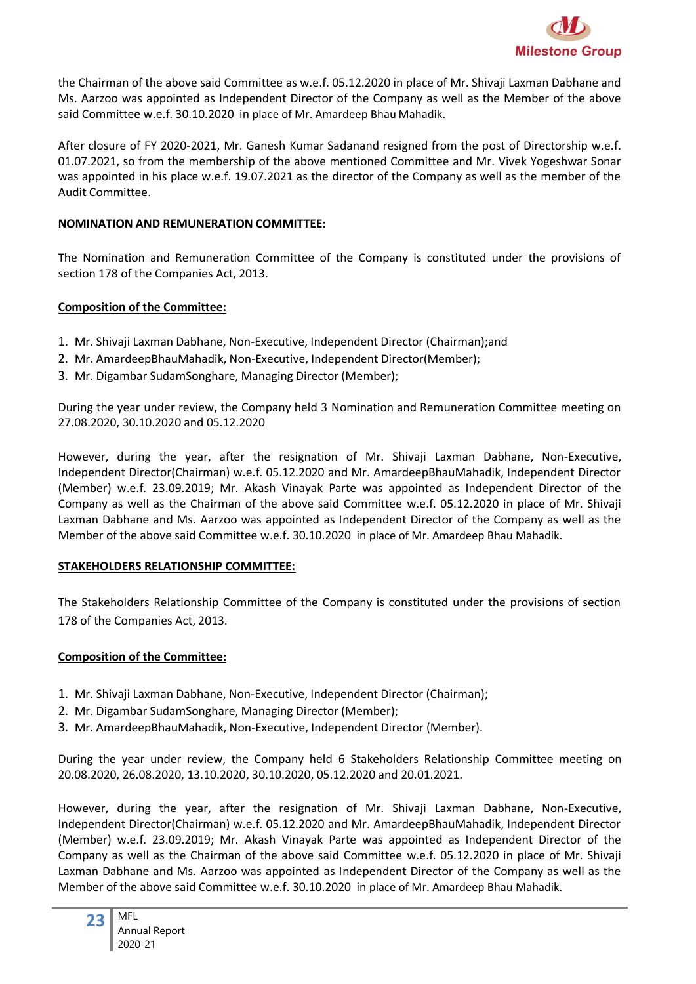

the Chairman of the above said Committee as w.e.f. 05.12.2020 in place of Mr. Shivaji Laxman Dabhane and Ms. Aarzoo was appointed as Independent Director of the Company as well as the Member of the above said Committee w.e.f. 30.10.2020 in place of Mr. Amardeep Bhau Mahadik.

After closure of FY 2020-2021, Mr. Ganesh Kumar Sadanand resigned from the post of Directorship w.e.f. 01.07.2021, so from the membership of the above mentioned Committee and Mr. Vivek Yogeshwar Sonar was appointed in his place w.e.f. 19.07.2021 as the director of the Company as well as the member of the Audit Committee.

#### **NOMINATION AND REMUNERATION COMMITTEE:**

The Nomination and Remuneration Committee of the Company is constituted under the provisions of section 178 of the Companies Act, 2013.

#### **Composition of the Committee:**

- 1. Mr. Shivaji Laxman Dabhane, Non-Executive, Independent Director (Chairman);and
- 2. Mr. AmardeepBhauMahadik, Non-Executive, Independent Director(Member);
- 3. Mr. Digambar SudamSonghare, Managing Director (Member);

During the year under review, the Company held 3 Nomination and Remuneration Committee meeting on 27.08.2020, 30.10.2020 and 05.12.2020

However, during the year, after the resignation of Mr. Shivaji Laxman Dabhane, Non-Executive, Independent Director(Chairman) w.e.f. 05.12.2020 and Mr. AmardeepBhauMahadik, Independent Director (Member) w.e.f. 23.09.2019; Mr. Akash Vinayak Parte was appointed as Independent Director of the Company as well as the Chairman of the above said Committee w.e.f. 05.12.2020 in place of Mr. Shivaji Laxman Dabhane and Ms. Aarzoo was appointed as Independent Director of the Company as well as the Member of the above said Committee w.e.f. 30.10.2020 in place of Mr. Amardeep Bhau Mahadik.

#### **STAKEHOLDERS RELATIONSHIP COMMITTEE:**

The Stakeholders Relationship Committee of the Company is constituted under the provisions of section 178 of the Companies Act, 2013.

#### **Composition of the Committee:**

- 1. Mr. Shivaji Laxman Dabhane, Non-Executive, Independent Director (Chairman);
- 2. Mr. Digambar SudamSonghare, Managing Director (Member);
- 3. Mr. AmardeepBhauMahadik, Non-Executive, Independent Director (Member).

During the year under review, the Company held 6 Stakeholders Relationship Committee meeting on 20.08.2020, 26.08.2020, 13.10.2020, 30.10.2020, 05.12.2020 and 20.01.2021.

However, during the year, after the resignation of Mr. Shivaji Laxman Dabhane, Non-Executive, Independent Director(Chairman) w.e.f. 05.12.2020 and Mr. AmardeepBhauMahadik, Independent Director (Member) w.e.f. 23.09.2019; Mr. Akash Vinayak Parte was appointed as Independent Director of the Company as well as the Chairman of the above said Committee w.e.f. 05.12.2020 in place of Mr. Shivaji Laxman Dabhane and Ms. Aarzoo was appointed as Independent Director of the Company as well as the Member of the above said Committee w.e.f. 30.10.2020 in place of Mr. Amardeep Bhau Mahadik.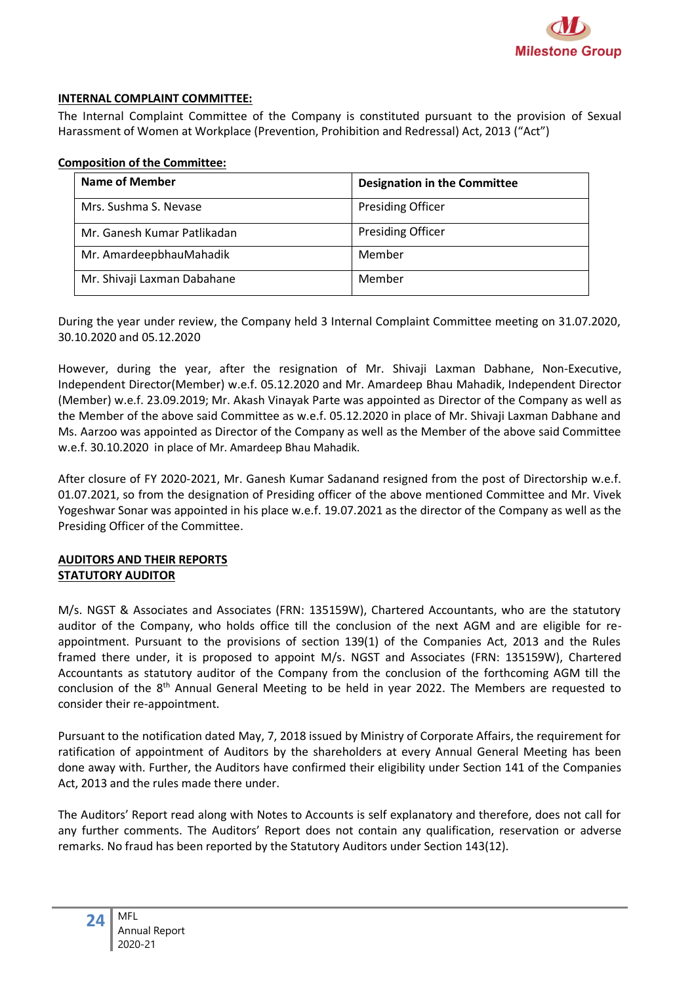

#### **INTERNAL COMPLAINT COMMITTEE:**

The Internal Complaint Committee of the Company is constituted pursuant to the provision of Sexual Harassment of Women at Workplace (Prevention, Prohibition and Redressal) Act, 2013 ("Act")

#### **Composition of the Committee:**

| <b>Name of Member</b>       | <b>Designation in the Committee</b> |
|-----------------------------|-------------------------------------|
| Mrs. Sushma S. Nevase       | <b>Presiding Officer</b>            |
| Mr. Ganesh Kumar Patlikadan | <b>Presiding Officer</b>            |
| Mr. AmardeepbhauMahadik     | Member                              |
| Mr. Shivaji Laxman Dabahane | Member                              |

During the year under review, the Company held 3 Internal Complaint Committee meeting on 31.07.2020, 30.10.2020 and 05.12.2020

However, during the year, after the resignation of Mr. Shivaji Laxman Dabhane, Non-Executive, Independent Director(Member) w.e.f. 05.12.2020 and Mr. Amardeep Bhau Mahadik, Independent Director (Member) w.e.f. 23.09.2019; Mr. Akash Vinayak Parte was appointed as Director of the Company as well as the Member of the above said Committee as w.e.f. 05.12.2020 in place of Mr. Shivaji Laxman Dabhane and Ms. Aarzoo was appointed as Director of the Company as well as the Member of the above said Committee w.e.f. 30.10.2020 in place of Mr. Amardeep Bhau Mahadik.

After closure of FY 2020-2021, Mr. Ganesh Kumar Sadanand resigned from the post of Directorship w.e.f. 01.07.2021, so from the designation of Presiding officer of the above mentioned Committee and Mr. Vivek Yogeshwar Sonar was appointed in his place w.e.f. 19.07.2021 as the director of the Company as well as the Presiding Officer of the Committee.

#### **AUDITORS AND THEIR REPORTS STATUTORY AUDITOR**

M/s. NGST & Associates and Associates (FRN: 135159W), Chartered Accountants, who are the statutory auditor of the Company, who holds office till the conclusion of the next AGM and are eligible for reappointment. Pursuant to the provisions of section 139(1) of the Companies Act, 2013 and the Rules framed there under, it is proposed to appoint M/s. NGST and Associates (FRN: 135159W), Chartered Accountants as statutory auditor of the Company from the conclusion of the forthcoming AGM till the conclusion of the 8<sup>th</sup> Annual General Meeting to be held in year 2022. The Members are requested to consider their re-appointment.

Pursuant to the notification dated May, 7, 2018 issued by Ministry of Corporate Affairs, the requirement for ratification of appointment of Auditors by the shareholders at every Annual General Meeting has been done away with. Further, the Auditors have confirmed their eligibility under Section 141 of the Companies Act, 2013 and the rules made there under.

The Auditors' Report read along with Notes to Accounts is self explanatory and therefore, does not call for any further comments. The Auditors' Report does not contain any qualification, reservation or adverse remarks. No fraud has been reported by the Statutory Auditors under Section 143(12).

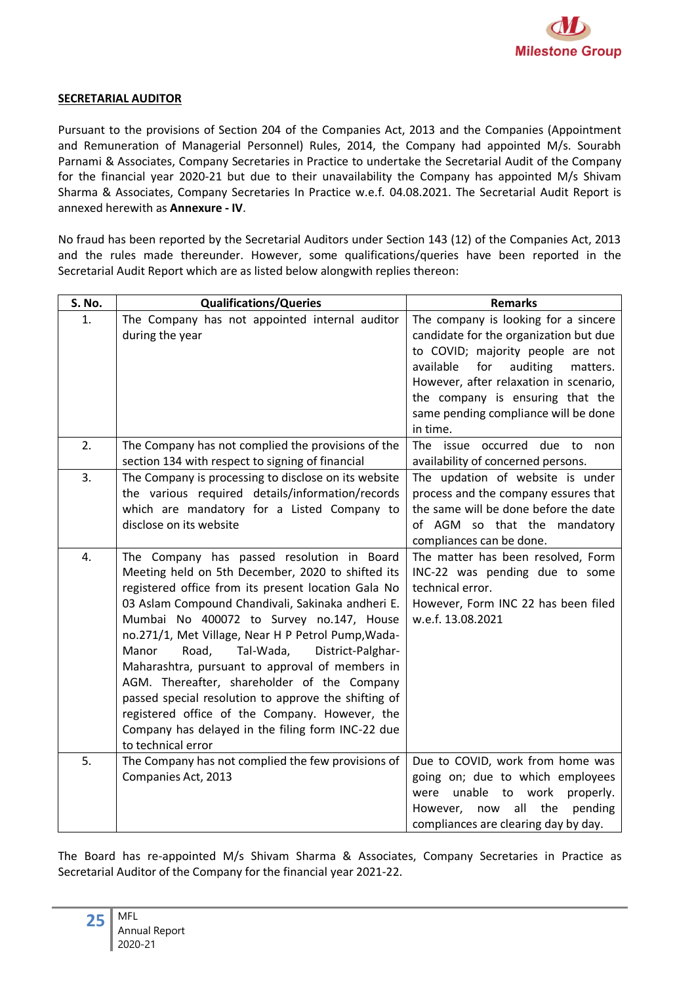

#### **SECRETARIAL AUDITOR**

Pursuant to the provisions of Section 204 of the Companies Act, 2013 and the Companies (Appointment and Remuneration of Managerial Personnel) Rules, 2014, the Company had appointed M/s. Sourabh Parnami & Associates, Company Secretaries in Practice to undertake the Secretarial Audit of the Company for the financial year 2020-21 but due to their unavailability the Company has appointed M/s Shivam Sharma & Associates, Company Secretaries In Practice w.e.f. 04.08.2021. The Secretarial Audit Report is annexed herewith as **Annexure - IV**.

No fraud has been reported by the Secretarial Auditors under Section 143 (12) of the Companies Act, 2013 and the rules made thereunder. However, some qualifications/queries have been reported in the Secretarial Audit Report which are as listed below alongwith replies thereon:

| S. No. | <b>Qualifications/Queries</b>                                                                                                                                                                                                                                                                                                                                                                                                                                                                                                                                                                                                                            | <b>Remarks</b>                                                                                                                                                                                                                                                                                    |
|--------|----------------------------------------------------------------------------------------------------------------------------------------------------------------------------------------------------------------------------------------------------------------------------------------------------------------------------------------------------------------------------------------------------------------------------------------------------------------------------------------------------------------------------------------------------------------------------------------------------------------------------------------------------------|---------------------------------------------------------------------------------------------------------------------------------------------------------------------------------------------------------------------------------------------------------------------------------------------------|
| 1.     | The Company has not appointed internal auditor<br>during the year                                                                                                                                                                                                                                                                                                                                                                                                                                                                                                                                                                                        | The company is looking for a sincere<br>candidate for the organization but due<br>to COVID; majority people are not<br>for<br>available<br>auditing<br>matters.<br>However, after relaxation in scenario,<br>the company is ensuring that the<br>same pending compliance will be done<br>in time. |
| 2.     | The Company has not complied the provisions of the<br>section 134 with respect to signing of financial                                                                                                                                                                                                                                                                                                                                                                                                                                                                                                                                                   | The issue occurred due to<br>non<br>availability of concerned persons.                                                                                                                                                                                                                            |
| 3.     | The Company is processing to disclose on its website<br>the various required details/information/records<br>which are mandatory for a Listed Company to<br>disclose on its website                                                                                                                                                                                                                                                                                                                                                                                                                                                                       | The updation of website is under<br>process and the company essures that<br>the same will be done before the date<br>of AGM so that the mandatory<br>compliances can be done.                                                                                                                     |
| 4.     | The Company has passed resolution in Board<br>Meeting held on 5th December, 2020 to shifted its<br>registered office from its present location Gala No<br>03 Aslam Compound Chandivali, Sakinaka andheri E.<br>Mumbai No 400072 to Survey no.147, House<br>no.271/1, Met Village, Near H P Petrol Pump, Wada-<br>Manor<br>Road,<br>Tal-Wada,<br>District-Palghar-<br>Maharashtra, pursuant to approval of members in<br>AGM. Thereafter, shareholder of the Company<br>passed special resolution to approve the shifting of<br>registered office of the Company. However, the<br>Company has delayed in the filing form INC-22 due<br>to technical error | The matter has been resolved, Form<br>INC-22 was pending due to some<br>technical error.<br>However, Form INC 22 has been filed<br>w.e.f. 13.08.2021                                                                                                                                              |
| 5.     | The Company has not complied the few provisions of<br>Companies Act, 2013                                                                                                                                                                                                                                                                                                                                                                                                                                                                                                                                                                                | Due to COVID, work from home was<br>going on; due to which employees<br>unable to work<br>properly.<br>were<br>all the<br>pending<br>However,<br>now<br>compliances are clearing day by day.                                                                                                      |

The Board has re-appointed M/s Shivam Sharma & Associates, Company Secretaries in Practice as Secretarial Auditor of the Company for the financial year 2021-22.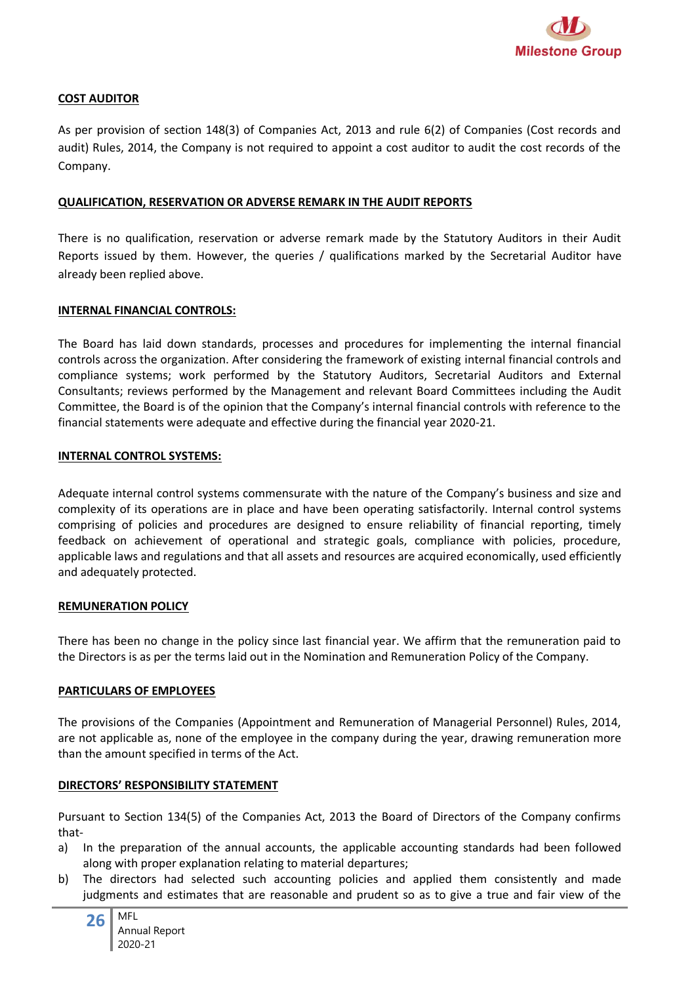

#### **COST AUDITOR**

As per provision of section 148(3) of Companies Act, 2013 and rule 6(2) of Companies (Cost records and audit) Rules, 2014, the Company is not required to appoint a cost auditor to audit the cost records of the Company.

#### **QUALIFICATION, RESERVATION OR ADVERSE REMARK IN THE AUDIT REPORTS**

There is no qualification, reservation or adverse remark made by the Statutory Auditors in their Audit Reports issued by them. However, the queries / qualifications marked by the Secretarial Auditor have already been replied above.

#### **INTERNAL FINANCIAL CONTROLS:**

The Board has laid down standards, processes and procedures for implementing the internal financial controls across the organization. After considering the framework of existing internal financial controls and compliance systems; work performed by the Statutory Auditors, Secretarial Auditors and External Consultants; reviews performed by the Management and relevant Board Committees including the Audit Committee, the Board is of the opinion that the Company's internal financial controls with reference to the financial statements were adequate and effective during the financial year 2020-21.

#### **INTERNAL CONTROL SYSTEMS:**

Adequate internal control systems commensurate with the nature of the Company's business and size and complexity of its operations are in place and have been operating satisfactorily. Internal control systems comprising of policies and procedures are designed to ensure reliability of financial reporting, timely feedback on achievement of operational and strategic goals, compliance with policies, procedure, applicable laws and regulations and that all assets and resources are acquired economically, used efficiently and adequately protected.

#### **REMUNERATION POLICY**

There has been no change in the policy since last financial year. We affirm that the remuneration paid to the Directors is as per the terms laid out in the Nomination and Remuneration Policy of the Company.

#### **PARTICULARS OF EMPLOYEES**

The provisions of the Companies (Appointment and Remuneration of Managerial Personnel) Rules, 2014, are not applicable as, none of the employee in the company during the year, drawing remuneration more than the amount specified in terms of the Act.

#### **DIRECTORS' RESPONSIBILITY STATEMENT**

Pursuant to Section 134(5) of the Companies Act, 2013 the Board of Directors of the Company confirms that-

- a) In the preparation of the annual accounts, the applicable accounting standards had been followed along with proper explanation relating to material departures;
- b) The directors had selected such accounting policies and applied them consistently and made judgments and estimates that are reasonable and prudent so as to give a true and fair view of the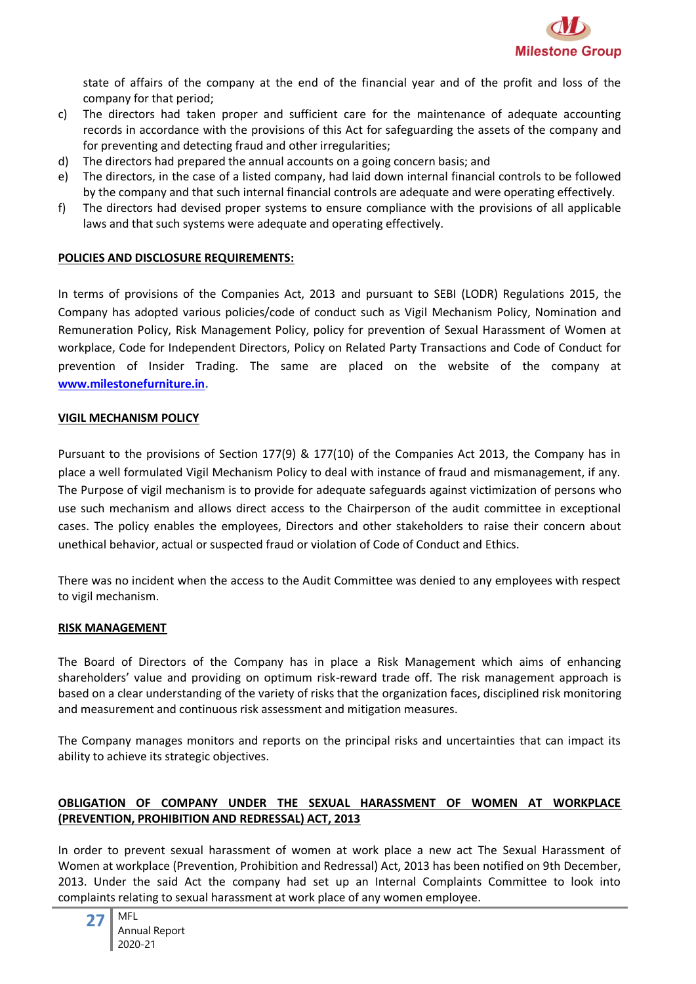

state of affairs of the company at the end of the financial year and of the profit and loss of the company for that period;

- c) The directors had taken proper and sufficient care for the maintenance of adequate accounting records in accordance with the provisions of this Act for safeguarding the assets of the company and for preventing and detecting fraud and other irregularities;
- d) The directors had prepared the annual accounts on a going concern basis; and
- e) The directors, in the case of a listed company, had laid down internal financial controls to be followed by the company and that such internal financial controls are adequate and were operating effectively.
- f) The directors had devised proper systems to ensure compliance with the provisions of all applicable laws and that such systems were adequate and operating effectively.

#### **POLICIES AND DISCLOSURE REQUIREMENTS:**

In terms of provisions of the Companies Act, 2013 and pursuant to SEBI (LODR) Regulations 2015, the Company has adopted various policies/code of conduct such as Vigil Mechanism Policy, Nomination and Remuneration Policy, Risk Management Policy, policy for prevention of Sexual Harassment of Women at workplace, Code for Independent Directors, Policy on Related Party Transactions and Code of Conduct for prevention of Insider Trading. The same are placed on the website of the company at **[www.milestonefurniture.in.](http://www.milestonefurniture.in/)**

#### **VIGIL MECHANISM POLICY**

Pursuant to the provisions of Section 177(9) & 177(10) of the Companies Act 2013, the Company has in place a well formulated Vigil Mechanism Policy to deal with instance of fraud and mismanagement, if any. The Purpose of vigil mechanism is to provide for adequate safeguards against victimization of persons who use such mechanism and allows direct access to the Chairperson of the audit committee in exceptional cases. The policy enables the employees, Directors and other stakeholders to raise their concern about unethical behavior, actual or suspected fraud or violation of Code of Conduct and Ethics.

There was no incident when the access to the Audit Committee was denied to any employees with respect to vigil mechanism.

#### **RISK MANAGEMENT**

The Board of Directors of the Company has in place a Risk Management which aims of enhancing shareholders' value and providing on optimum risk-reward trade off. The risk management approach is based on a clear understanding of the variety of risks that the organization faces, disciplined risk monitoring and measurement and continuous risk assessment and mitigation measures.

The Company manages monitors and reports on the principal risks and uncertainties that can impact its ability to achieve its strategic objectives.

## **OBLIGATION OF COMPANY UNDER THE SEXUAL HARASSMENT OF WOMEN AT WORKPLACE (PREVENTION, PROHIBITION AND REDRESSAL) ACT, 2013**

In order to prevent sexual harassment of women at work place a new act The Sexual Harassment of Women at workplace (Prevention, Prohibition and Redressal) Act, 2013 has been notified on 9th December, 2013. Under the said Act the company had set up an Internal Complaints Committee to look into complaints relating to sexual harassment at work place of any women employee.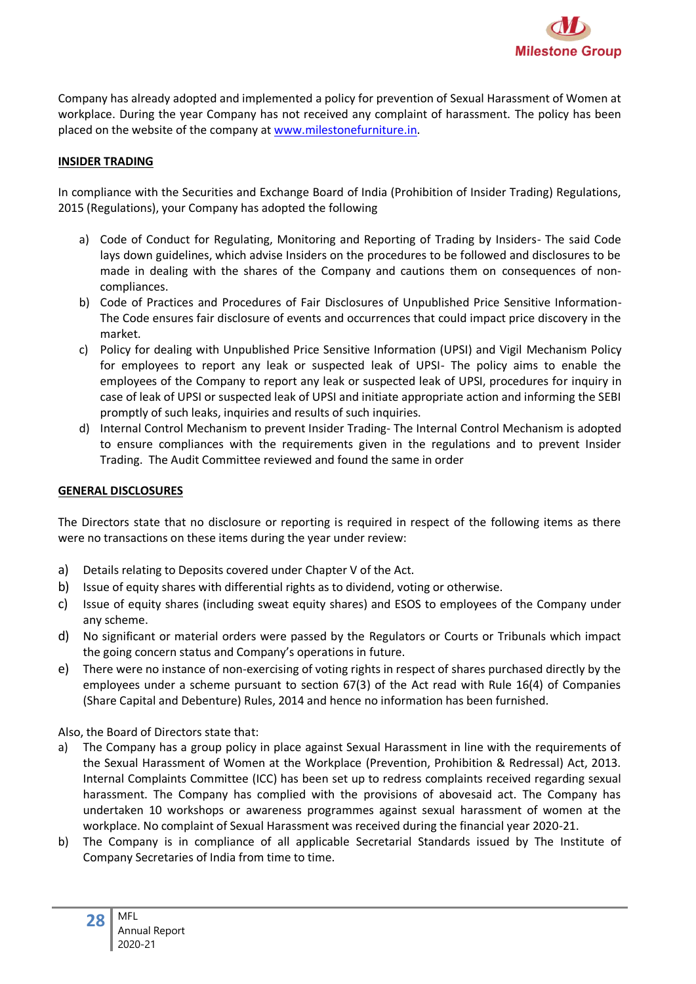

Company has already adopted and implemented a policy for prevention of Sexual Harassment of Women at workplace. During the year Company has not received any complaint of harassment. The policy has been placed on the website of the company a[t www.milestonefurniture.in.](http://www.milestonefurniture.in/)

#### **INSIDER TRADING**

In compliance with the Securities and Exchange Board of India (Prohibition of Insider Trading) Regulations, 2015 (Regulations), your Company has adopted the following

- a) Code of Conduct for Regulating, Monitoring and Reporting of Trading by Insiders- The said Code lays down guidelines, which advise Insiders on the procedures to be followed and disclosures to be made in dealing with the shares of the Company and cautions them on consequences of noncompliances.
- b) Code of Practices and Procedures of Fair Disclosures of Unpublished Price Sensitive Information-The Code ensures fair disclosure of events and occurrences that could impact price discovery in the market.
- c) Policy for dealing with Unpublished Price Sensitive Information (UPSI) and Vigil Mechanism Policy for employees to report any leak or suspected leak of UPSI- The policy aims to enable the employees of the Company to report any leak or suspected leak of UPSI, procedures for inquiry in case of leak of UPSI or suspected leak of UPSI and initiate appropriate action and informing the SEBI promptly of such leaks, inquiries and results of such inquiries.
- d) Internal Control Mechanism to prevent Insider Trading- The Internal Control Mechanism is adopted to ensure compliances with the requirements given in the regulations and to prevent Insider Trading. The Audit Committee reviewed and found the same in order

#### **GENERAL DISCLOSURES**

The Directors state that no disclosure or reporting is required in respect of the following items as there were no transactions on these items during the year under review:

- a) Details relating to Deposits covered under Chapter V of the Act.
- b) Issue of equity shares with differential rights as to dividend, voting or otherwise.
- c) Issue of equity shares (including sweat equity shares) and ESOS to employees of the Company under any scheme.
- d) No significant or material orders were passed by the Regulators or Courts or Tribunals which impact the going concern status and Company's operations in future.
- e) There were no instance of non-exercising of voting rights in respect of shares purchased directly by the employees under a scheme pursuant to section 67(3) of the Act read with Rule 16(4) of Companies (Share Capital and Debenture) Rules, 2014 and hence no information has been furnished.

Also, the Board of Directors state that:

- a) The Company has a group policy in place against Sexual Harassment in line with the requirements of the Sexual Harassment of Women at the Workplace (Prevention, Prohibition & Redressal) Act, 2013. Internal Complaints Committee (ICC) has been set up to redress complaints received regarding sexual harassment. The Company has complied with the provisions of abovesaid act. The Company has undertaken 10 workshops or awareness programmes against sexual harassment of women at the workplace. No complaint of Sexual Harassment was received during the financial year 2020-21.
- b) The Company is in compliance of all applicable Secretarial Standards issued by The Institute of Company Secretaries of India from time to time.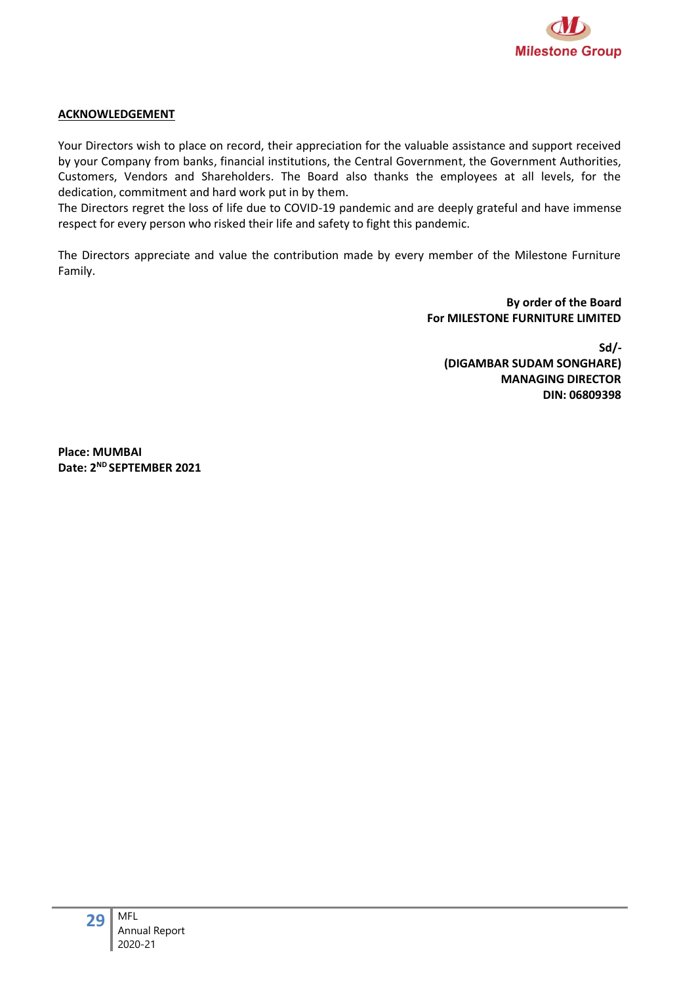

#### **ACKNOWLEDGEMENT**

Your Directors wish to place on record, their appreciation for the valuable assistance and support received by your Company from banks, financial institutions, the Central Government, the Government Authorities, Customers, Vendors and Shareholders. The Board also thanks the employees at all levels, for the dedication, commitment and hard work put in by them.

The Directors regret the loss of life due to COVID-19 pandemic and are deeply grateful and have immense respect for every person who risked their life and safety to fight this pandemic.

The Directors appreciate and value the contribution made by every member of the Milestone Furniture Family.

> **By order of the Board For MILESTONE FURNITURE LIMITED**

**Sd/- (DIGAMBAR SUDAM SONGHARE) MANAGING DIRECTOR DIN: 06809398**

**Place: MUMBAI Date: 2ND SEPTEMBER 2021**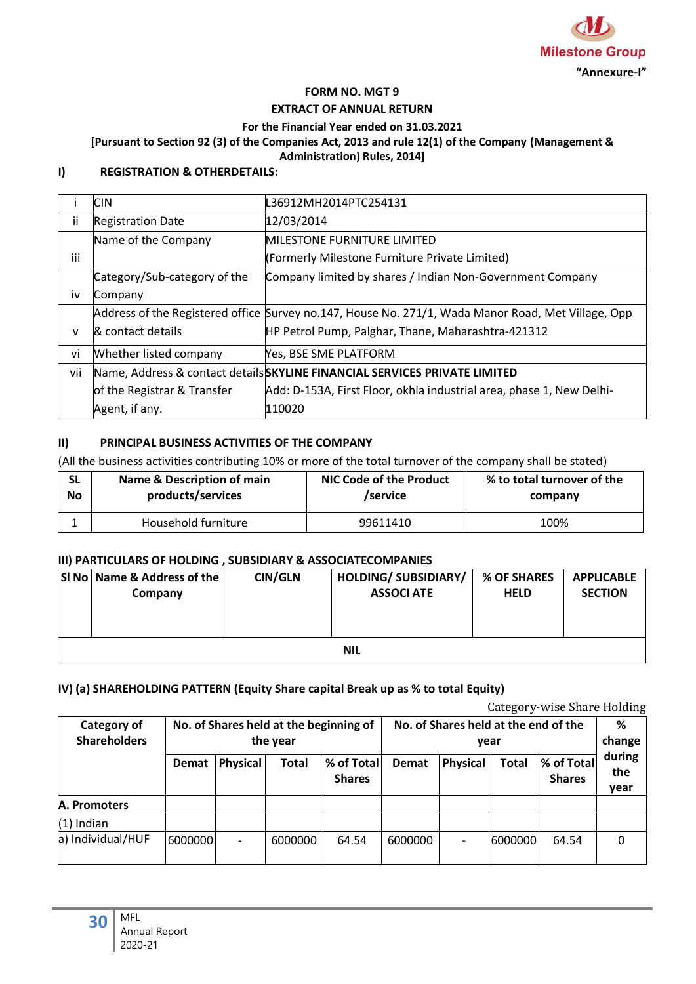

#### **FORM NO. MGT 9 EXTRACT OF ANNUAL RETURN**

# **For the Financial Year ended on 31.03.2021**

# **[Pursuant to Section 92 (3) of the Companies Act, 2013 and rule 12(1) of the Company (Management &**

**Administration) Rules, 2014]**

#### **I) REGISTRATION & OTHERDETAILS:**

|     | <b>CIN</b>                   | L36912MH2014PTC254131                                                                              |  |  |  |
|-----|------------------------------|----------------------------------------------------------------------------------------------------|--|--|--|
| ii  | <b>Registration Date</b>     | 12/03/2014                                                                                         |  |  |  |
|     | Name of the Company          | <b>IMILESTONE FURNITURE LIMITED</b>                                                                |  |  |  |
| iii |                              | (Formerly Milestone Furniture Private Limited)                                                     |  |  |  |
|     | Category/Sub-category of the | Company limited by shares / Indian Non-Government Company                                          |  |  |  |
| iv  | Company                      |                                                                                                    |  |  |  |
|     |                              | Address of the Registered office Survey no.147, House No. 271/1, Wada Manor Road, Met Village, Opp |  |  |  |
| v   | <b>&amp; contact details</b> | HP Petrol Pump, Palghar, Thane, Maharashtra-421312                                                 |  |  |  |
| vi  | Whether listed company       | Yes, BSE SME PLATFORM                                                                              |  |  |  |
| vii |                              | Name, Address & contact details SKYLINE FINANCIAL SERVICES PRIVATE LIMITED                         |  |  |  |
|     | of the Registrar & Transfer  | Add: D-153A, First Floor, okhla industrial area, phase 1, New Delhi-                               |  |  |  |
|     | Agent, if any.               | 110020                                                                                             |  |  |  |

#### **II) PRINCIPAL BUSINESS ACTIVITIES OF THE COMPANY**

(All the business activities contributing 10% or more of the total turnover of the company shall be stated)

| <b>SL</b> | Name & Description of main | NIC Code of the Product | % to total turnover of the |
|-----------|----------------------------|-------------------------|----------------------------|
| No        | products/services          | /service                | company                    |
|           | Household furniture        | 99611410                | 100%                       |

#### **III) PARTICULARS OF HOLDING , SUBSIDIARY & ASSOCIATECOMPANIES**

|     | SI No Name & Address of the<br>Company | <b>CIN/GLN</b> | <b>HOLDING/ SUBSIDIARY/</b><br><b>ASSOCI ATE</b> | % OF SHARES<br><b>HELD</b> | <b>APPLICABLE</b><br><b>SECTION</b> |  |  |  |
|-----|----------------------------------------|----------------|--------------------------------------------------|----------------------------|-------------------------------------|--|--|--|
| NIL |                                        |                |                                                  |                            |                                     |  |  |  |

#### **IV) (a) SHAREHOLDING PATTERN (Equity Share capital Break up as % to total Equity)**

Category-wise Share Holding

|                     |          |                                        |         |                             |                                      |                |              | $5.000$ $\frac{1}{2}$ $\frac{1}{2}$ $\frac{1}{2}$ $\frac{1}{2}$ $\frac{1}{2}$ $\frac{1}{2}$ $\frac{1}{2}$ $\frac{1}{2}$ $\frac{1}{2}$ $\frac{1}{2}$ $\frac{1}{2}$ $\frac{1}{2}$ $\frac{1}{2}$ $\frac{1}{2}$ $\frac{1}{2}$ $\frac{1}{2}$ $\frac{1}{2}$ $\frac{1}{2}$ $\frac{1}{2}$ $\frac{1}{2}$ $\frac{1}{2}$ $\frac$ |                       |
|---------------------|----------|----------------------------------------|---------|-----------------------------|--------------------------------------|----------------|--------------|-----------------------------------------------------------------------------------------------------------------------------------------------------------------------------------------------------------------------------------------------------------------------------------------------------------------------|-----------------------|
| Category of         |          | No. of Shares held at the beginning of |         |                             | No. of Shares held at the end of the |                |              |                                                                                                                                                                                                                                                                                                                       | %                     |
| <b>Shareholders</b> | the year |                                        |         | year                        |                                      |                |              | change                                                                                                                                                                                                                                                                                                                |                       |
|                     | Demat    | <b>Physical</b>                        | Total   | % of Total<br><b>Shares</b> | <b>Demat</b>                         | Physical       | <b>Total</b> | % of Total<br><b>Shares</b>                                                                                                                                                                                                                                                                                           | during<br>the<br>year |
| A. Promoters        |          |                                        |         |                             |                                      |                |              |                                                                                                                                                                                                                                                                                                                       |                       |
| $(1)$ Indian        |          |                                        |         |                             |                                      |                |              |                                                                                                                                                                                                                                                                                                                       |                       |
| a) Individual/HUF   | 6000000  | $\overline{\phantom{0}}$               | 6000000 | 64.54                       | 6000000                              | $\blacksquare$ | 6000000      | 64.54                                                                                                                                                                                                                                                                                                                 | 0                     |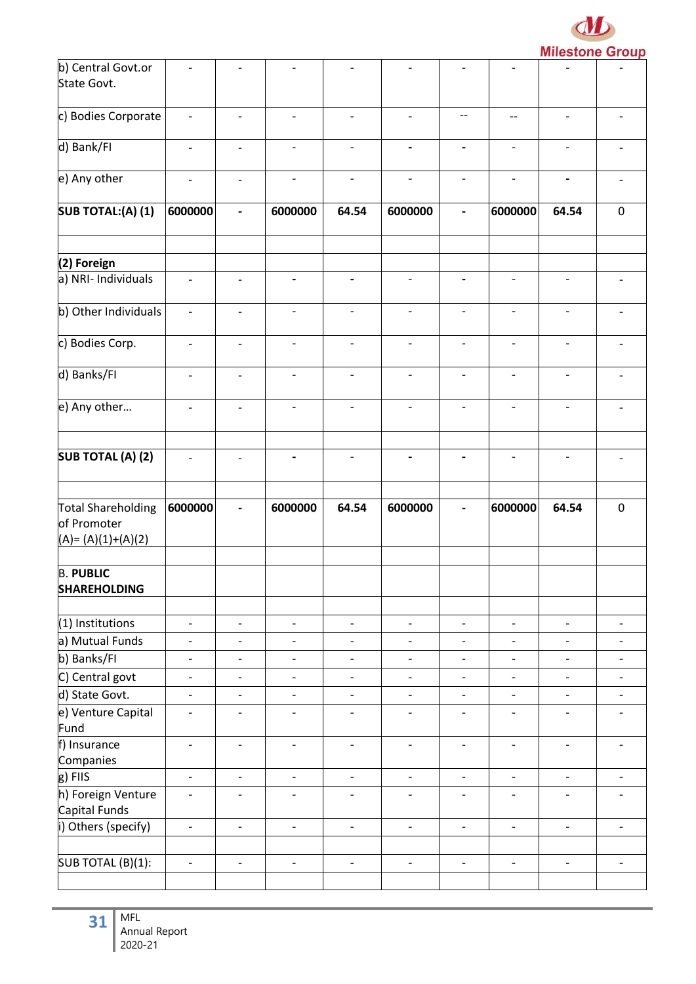

| b) Central Govt.or<br>State Govt.                               |                              |                              |                              |                          |                              |                              |                          |                              |                          |
|-----------------------------------------------------------------|------------------------------|------------------------------|------------------------------|--------------------------|------------------------------|------------------------------|--------------------------|------------------------------|--------------------------|
| c) Bodies Corporate                                             | $\blacksquare$               | $\overline{\phantom{a}}$     | $\qquad \qquad \blacksquare$ | $\overline{\phantom{a}}$ | $\overline{\phantom{a}}$     | --                           | --                       | $\qquad \qquad \blacksquare$ | $\overline{\phantom{a}}$ |
| d) Bank/FI                                                      | $\overline{\phantom{0}}$     | $\overline{\phantom{0}}$     | $\overline{\phantom{a}}$     | $\overline{\phantom{a}}$ | $\qquad \qquad \blacksquare$ | $\overline{\phantom{0}}$     | $\overline{a}$           | $\overline{\phantom{a}}$     |                          |
| e) Any other                                                    | $\blacksquare$               | $\overline{\phantom{a}}$     | $\blacksquare$               | $\overline{\phantom{a}}$ | $\overline{\phantom{a}}$     | $\qquad \qquad \blacksquare$ | $\overline{\phantom{0}}$ | $\qquad \qquad \blacksquare$ | $\overline{\phantom{a}}$ |
| <b>SUB TOTAL:(A) (1)</b>                                        | 6000000                      | $\blacksquare$               | 6000000                      | 64.54                    | 6000000                      | $\overline{a}$               | 6000000                  | 64.54                        | $\pmb{0}$                |
| (2) Foreign                                                     |                              |                              |                              |                          |                              |                              |                          |                              |                          |
| a) NRI- Individuals                                             | $\overline{\phantom{0}}$     | $\overline{\phantom{a}}$     | $\qquad \qquad \blacksquare$ | $\overline{\phantom{a}}$ | $\overline{\phantom{a}}$     | $\qquad \qquad \blacksquare$ | $\overline{\phantom{a}}$ | $\blacksquare$               |                          |
| b) Other Individuals                                            | $\blacksquare$               | $\overline{\phantom{a}}$     | $\qquad \qquad \blacksquare$ | $\overline{\phantom{a}}$ | $\overline{\phantom{a}}$     | $\overline{\phantom{0}}$     |                          | $\overline{\phantom{a}}$     | $\overline{\phantom{a}}$ |
| c) Bodies Corp.                                                 | $\frac{1}{2}$                | $\overline{\phantom{a}}$     | $\overline{\phantom{a}}$     | $\blacksquare$           | $\blacksquare$               | $\frac{1}{2}$                | $\overline{\phantom{a}}$ | $\overline{\phantom{a}}$     |                          |
| d) Banks/FI                                                     | $\overline{\phantom{a}}$     | $\qquad \qquad \blacksquare$ | $\overline{\phantom{a}}$     | $\overline{\phantom{a}}$ | $\overline{\phantom{a}}$     | $\overline{\phantom{0}}$     |                          | $\overline{\phantom{a}}$     |                          |
| e) Any other                                                    | $\overline{a}$               | $\overline{\phantom{0}}$     | $\qquad \qquad \blacksquare$ | $\frac{1}{2}$            | $\overline{\phantom{0}}$     | $\overline{a}$               |                          | $\frac{1}{2}$                |                          |
| SUB TOTAL (A) (2)                                               | $\overline{a}$               | $\overline{\phantom{a}}$     |                              |                          |                              | $\overline{\phantom{0}}$     |                          |                              |                          |
| <b>Total Shareholding</b><br>of Promoter<br>$(A)=(A)(1)+(A)(2)$ | 6000000                      | $\overline{\phantom{0}}$     | 6000000                      | 64.54                    | 6000000                      |                              | 6000000                  | 64.54                        | $\mathbf 0$              |
| <b>B. PUBLIC</b><br><b>SHAREHOLDING</b>                         |                              |                              |                              |                          |                              |                              |                          |                              |                          |
| (1) Institutions                                                | $\blacksquare$               | $\overline{\phantom{a}}$     | $\blacksquare$               | $\overline{\phantom{a}}$ | $\overline{\phantom{m}}$     | $\frac{1}{2}$                | $\overline{\phantom{a}}$ | $\overline{\phantom{a}}$     | $\overline{\phantom{a}}$ |
| a) Mutual Funds                                                 | $\overline{\phantom{a}}$     | $\qquad \qquad \blacksquare$ | $\overline{\phantom{a}}$     | $\overline{\phantom{a}}$ | $\overline{\phantom{a}}$     | $\qquad \qquad \blacksquare$ | $\qquad \qquad -$        | $\qquad \qquad -$            | $\overline{\phantom{a}}$ |
| b) Banks/FI                                                     | $\qquad \qquad \blacksquare$ | $\overline{\phantom{a}}$     | $\qquad \qquad \blacksquare$ | $\overline{\phantom{a}}$ | $\overline{\phantom{0}}$     | $\overline{\phantom{0}}$     | $\overline{\phantom{0}}$ | $\blacksquare$               | $\overline{\phantom{a}}$ |
| C) Central govt                                                 | $\overline{\phantom{a}}$     | $\qquad \qquad \blacksquare$ | $\overline{\phantom{a}}$     | $\overline{\phantom{a}}$ | $\overline{\phantom{a}}$     | $\qquad \qquad \blacksquare$ | $\overline{\phantom{a}}$ | $\qquad \qquad \blacksquare$ | $\overline{\phantom{a}}$ |
| d) State Govt.                                                  | $\frac{1}{2}$                | $\overline{\phantom{a}}$     | $\frac{1}{2}$                | $\overline{\phantom{a}}$ | $\overline{\phantom{a}}$     | $\overline{\phantom{0}}$     | $\overline{\phantom{0}}$ | $\frac{1}{2}$                | $\frac{1}{2}$            |
| e) Venture Capital<br>Fund                                      | $\overline{\phantom{a}}$     | $\qquad \qquad -$            | $\qquad \qquad \blacksquare$ | $\overline{\phantom{a}}$ | $\qquad \qquad -$            | $\qquad \qquad -$            | $\overline{\phantom{a}}$ | $\qquad \qquad -$            | $\overline{\phantom{a}}$ |
| f) Insurance<br>Companies                                       | $\qquad \qquad \blacksquare$ | $\overline{\phantom{a}}$     | $\overline{\phantom{a}}$     | $\overline{\phantom{a}}$ | $\overline{\phantom{a}}$     | $\overline{\phantom{0}}$     | $\overline{\phantom{a}}$ | $\overline{\phantom{a}}$     | $\overline{\phantom{a}}$ |
| g) FIIS                                                         | $\overline{\phantom{a}}$     | $\blacksquare$               | $\overline{\phantom{a}}$     | $\overline{\phantom{a}}$ | $\overline{\phantom{a}}$     | $\qquad \qquad \blacksquare$ | $\overline{\phantom{a}}$ | $\overline{\phantom{a}}$     | $\overline{\phantom{a}}$ |
| h) Foreign Venture<br>Capital Funds                             | $\overline{\phantom{a}}$     | $\overline{\phantom{a}}$     | $\qquad \qquad \blacksquare$ | $\overline{\phantom{a}}$ | $\qquad \qquad -$            | $\qquad \qquad -$            | $\qquad \qquad -$        | $\overline{\phantom{a}}$     | $\qquad \qquad -$        |
| i) Others (specify)                                             | $\blacksquare$               | $\overline{\phantom{a}}$     | $\overline{\phantom{a}}$     | $\blacksquare$           | $\blacksquare$               | $\overline{\phantom{a}}$     | $\blacksquare$           | $\blacksquare$               | $\frac{1}{2}$            |
| SUB TOTAL (B)(1):                                               | $\qquad \qquad \blacksquare$ | $\qquad \qquad \blacksquare$ | $\qquad \qquad \blacksquare$ | $\overline{\phantom{a}}$ | $\qquad \qquad \blacksquare$ | $\overline{\phantom{0}}$     | $\overline{\phantom{0}}$ | $\qquad \qquad \blacksquare$ | $\overline{\phantom{a}}$ |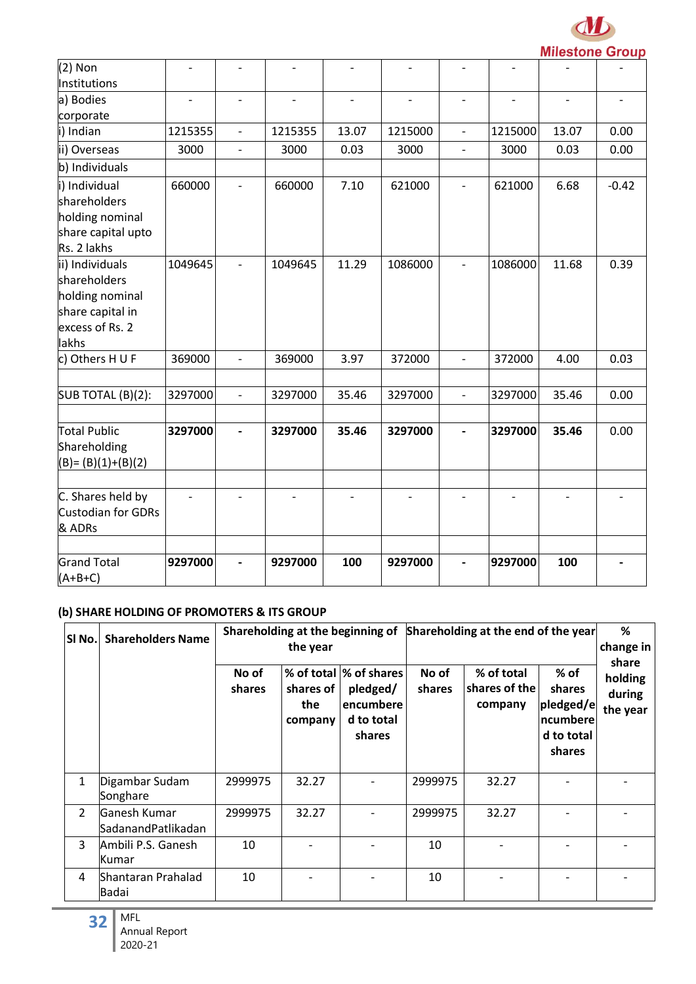

| $(2)$ Non                                                                                          |         |                          |         |                          |                          |                          |         |       |         |
|----------------------------------------------------------------------------------------------------|---------|--------------------------|---------|--------------------------|--------------------------|--------------------------|---------|-------|---------|
| Institutions                                                                                       |         |                          |         |                          |                          |                          |         |       |         |
| a) Bodies                                                                                          |         | $\overline{a}$           |         | $\overline{\phantom{a}}$ | $\overline{\phantom{a}}$ | $\overline{\phantom{0}}$ |         |       |         |
| corporate                                                                                          |         |                          |         |                          |                          |                          |         |       |         |
| i) Indian                                                                                          | 1215355 | $\frac{1}{2}$            | 1215355 | 13.07                    | 1215000                  | $\blacksquare$           | 1215000 | 13.07 | 0.00    |
| ii) Overseas                                                                                       | 3000    | $\overline{\phantom{a}}$ | 3000    | 0.03                     | 3000                     | $\blacksquare$           | 3000    | 0.03  | 0.00    |
| b) Individuals                                                                                     |         |                          |         |                          |                          |                          |         |       |         |
| i) Individual<br>shareholders<br>holding nominal<br>share capital upto<br>Rs. 2 lakhs              | 660000  | $\overline{\phantom{0}}$ | 660000  | 7.10                     | 621000                   | $\overline{\phantom{a}}$ | 621000  | 6.68  | $-0.42$ |
| ii) Individuals<br>shareholders<br>holding nominal<br>share capital in<br>excess of Rs. 2<br>lakhs | 1049645 |                          | 1049645 | 11.29                    | 1086000                  |                          | 1086000 | 11.68 | 0.39    |
| c) Others H U F                                                                                    | 369000  | $\blacksquare$           | 369000  | 3.97                     | 372000                   | $\frac{1}{2}$            | 372000  | 4.00  | 0.03    |
|                                                                                                    |         |                          |         |                          |                          |                          |         |       |         |
| SUB TOTAL (B)(2):                                                                                  | 3297000 | $\overline{\phantom{a}}$ | 3297000 | 35.46                    | 3297000                  | $\overline{\phantom{a}}$ | 3297000 | 35.46 | 0.00    |
| <b>Total Public</b><br>Shareholding<br>$(B)=(B)(1)+(B)(2)$                                         | 3297000 |                          | 3297000 | 35.46                    | 3297000                  |                          | 3297000 | 35.46 | 0.00    |
| C. Shares held by<br><b>Custodian for GDRs</b><br>& ADRs                                           |         |                          |         |                          |                          |                          |         |       |         |
| <b>Grand Total</b><br>$(A+B+C)$                                                                    | 9297000 |                          | 9297000 | 100                      | 9297000                  |                          | 9297000 | 100   |         |

#### **(b) SHARE HOLDING OF PROMOTERS & ITS GROUP**

| SI No.        | <b>Shareholders Name</b>           | Shareholding at the beginning of<br>the year |                             |                                                                          | Shareholding at the end of the year | %<br>change in<br>share                |                                                                 |                               |
|---------------|------------------------------------|----------------------------------------------|-----------------------------|--------------------------------------------------------------------------|-------------------------------------|----------------------------------------|-----------------------------------------------------------------|-------------------------------|
|               |                                    | No of<br>shares                              | shares of<br>the<br>company | % of total  % of shares<br>pledged/<br>encumbere<br>d to total<br>shares | No of<br>shares                     | % of total<br>shares of the<br>company | % of<br>shares<br>pledged/e<br>ncumbere<br>d to total<br>shares | holding<br>during<br>the year |
| $\mathbf{1}$  | Digambar Sudam<br>Songhare         | 2999975                                      | 32.27                       |                                                                          | 2999975                             | 32.27                                  |                                                                 |                               |
| $\mathcal{P}$ | Ganesh Kumar<br>SadanandPatlikadan | 2999975                                      | 32.27                       |                                                                          | 2999975                             | 32.27                                  |                                                                 |                               |
| 3             | Ambili P.S. Ganesh<br><b>Kumar</b> | 10                                           |                             |                                                                          | 10                                  |                                        |                                                                 |                               |
| 4             | Shantaran Prahalad<br><b>Badai</b> | 10                                           |                             |                                                                          | 10                                  |                                        |                                                                 |                               |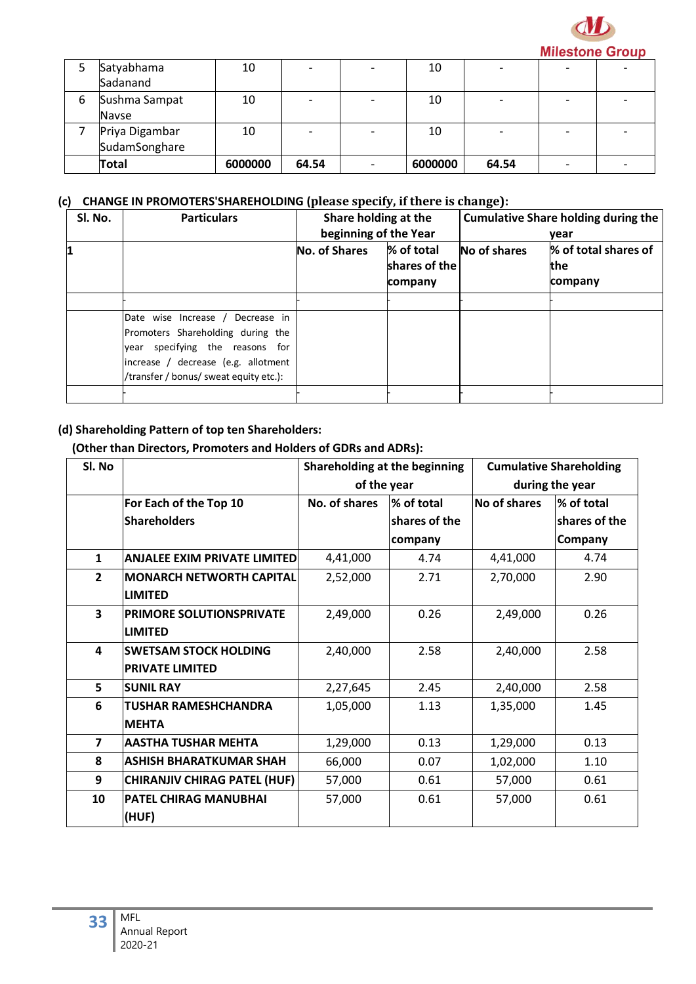

|   | Satyabhama<br>Sadanand          | 10      | -     | 10      | $\overline{\phantom{0}}$ |  |
|---|---------------------------------|---------|-------|---------|--------------------------|--|
| 6 | Sushma Sampat<br>Navse          | 10      |       | 10      | $\overline{\phantom{0}}$ |  |
|   | Priya Digambar<br>SudamSonghare | 10      |       | 10      | $\overline{\phantom{0}}$ |  |
|   | <b>Total</b>                    | 6000000 | 64.54 | 6000000 | 64.54                    |  |

# **(c) CHANGE IN PROMOTERS'SHAREHOLDING (please specify, if there is change):**

| Sl. No. | <b>Particulars</b>                                                                                                                                                                           | Share holding at the<br>beginning of the Year |                                        | <b>Cumulative Share holding during the</b><br>year |                                        |  |
|---------|----------------------------------------------------------------------------------------------------------------------------------------------------------------------------------------------|-----------------------------------------------|----------------------------------------|----------------------------------------------------|----------------------------------------|--|
|         |                                                                                                                                                                                              | <b>No. of Shares</b>                          | % of total<br>shares of the<br>company | <b>No of shares</b>                                | % of total shares of<br>the<br>company |  |
|         |                                                                                                                                                                                              |                                               |                                        |                                                    |                                        |  |
|         | Date wise Increase / Decrease in<br>Promoters Shareholding during the<br>specifying the reasons for<br>vear<br>increase / decrease (e.g. allotment<br>/transfer / bonus/ sweat equity etc.): |                                               |                                        |                                                    |                                        |  |
|         |                                                                                                                                                                                              |                                               |                                        |                                                    |                                        |  |

# **(d) Shareholding Pattern of top ten Shareholders:**

 **(Other than Directors, Promoters and Holders of GDRs and ADRs):**

| Sl. No         |                                     | Shareholding at the beginning |               | <b>Cumulative Shareholding</b> |                |  |
|----------------|-------------------------------------|-------------------------------|---------------|--------------------------------|----------------|--|
|                |                                     | of the year                   |               | during the year                |                |  |
|                | For Each of the Top 10              | No. of shares                 | % of total    | <b>No of shares</b>            | % of total     |  |
|                | <b>Shareholders</b>                 |                               | shares of the |                                | shares of the  |  |
|                |                                     |                               | company       |                                | <b>Company</b> |  |
| $\mathbf{1}$   | <b>ANJALEE EXIM PRIVATE LIMITED</b> | 4,41,000                      | 4.74          | 4,41,000                       | 4.74           |  |
| $\overline{2}$ | <b>MONARCH NETWORTH CAPITAL</b>     | 2,52,000                      | 2.71          | 2,70,000                       | 2.90           |  |
|                | <b>LIMITED</b>                      |                               |               |                                |                |  |
| 3              | <b>PRIMORE SOLUTIONSPRIVATE</b>     | 2,49,000                      | 0.26          | 2,49,000                       | 0.26           |  |
|                | <b>LIMITED</b>                      |                               |               |                                |                |  |
| 4              | <b>SWETSAM STOCK HOLDING</b>        | 2,40,000                      | 2.58          | 2,40,000                       | 2.58           |  |
|                | <b>PRIVATE LIMITED</b>              |                               |               |                                |                |  |
| 5              | <b>SUNIL RAY</b>                    | 2,27,645                      | 2.45          | 2,40,000                       | 2.58           |  |
| 6              | <b>TUSHAR RAMESHCHANDRA</b>         | 1,05,000                      | 1.13          | 1,35,000                       | 1.45           |  |
|                | <b>MEHTA</b>                        |                               |               |                                |                |  |
| $\overline{7}$ | <b>AASTHA TUSHAR MEHTA</b>          | 1,29,000                      | 0.13          | 1,29,000                       | 0.13           |  |
| 8              | <b>ASHISH BHARATKUMAR SHAH</b>      | 66,000                        | 0.07          | 1,02,000                       | 1.10           |  |
| 9              | <b>CHIRANJIV CHIRAG PATEL (HUF)</b> | 57,000                        | 0.61          | 57,000                         | 0.61           |  |
| 10             | <b>PATEL CHIRAG MANUBHAI</b>        | 57,000                        | 0.61          | 57,000                         | 0.61           |  |
|                | (HUF)                               |                               |               |                                |                |  |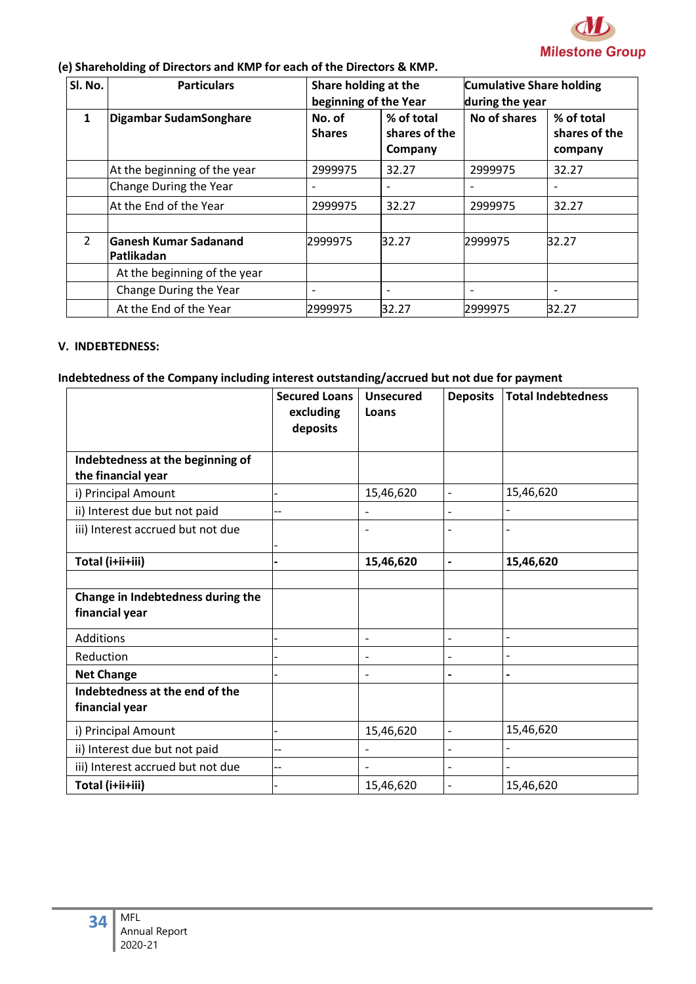

# **(e) Shareholding of Directors and KMP for each of the Directors & KMP.**

| Sl. No.       | <b>Particulars</b>                                 | Share holding at the<br>beginning of the Year |                                        | <b>Cumulative Share holding</b><br>during the year |                                        |  |
|---------------|----------------------------------------------------|-----------------------------------------------|----------------------------------------|----------------------------------------------------|----------------------------------------|--|
| 1             | Digambar SudamSonghare                             | No. of<br><b>Shares</b>                       | % of total<br>shares of the<br>Company | No of shares                                       | % of total<br>shares of the<br>company |  |
|               | At the beginning of the year                       | 2999975                                       | 32.27                                  | 2999975                                            | 32.27                                  |  |
|               | Change During the Year                             | $\overline{\phantom{a}}$                      |                                        |                                                    |                                        |  |
|               | At the End of the Year                             | 2999975                                       | 32.27                                  | 2999975                                            | 32.27                                  |  |
| $\mathcal{P}$ | <b>Ganesh Kumar Sadanand</b><br><b>IPatlikadan</b> | 2999975                                       | 32.27                                  | 2999975                                            | 32.27                                  |  |
|               | At the beginning of the year                       |                                               |                                        |                                                    |                                        |  |
|               | Change During the Year                             | $\overline{\phantom{a}}$                      |                                        |                                                    |                                        |  |
|               | At the End of the Year                             | 2999975                                       | 32.27                                  | 2999975                                            | 32.27                                  |  |

## **V. INDEBTEDNESS:**

#### **Indebtedness of the Company including interest outstanding/accrued but not due for payment**

|                                                        | <b>Secured Loans</b><br>excluding<br>deposits | <b>Unsecured</b><br>Loans | <b>Deposits</b>              | <b>Total Indebtedness</b> |
|--------------------------------------------------------|-----------------------------------------------|---------------------------|------------------------------|---------------------------|
| Indebtedness at the beginning of<br>the financial year |                                               |                           |                              |                           |
| i) Principal Amount                                    |                                               | 15,46,620                 | $\overline{a}$               | 15,46,620                 |
| ii) Interest due but not paid                          |                                               |                           | $\overline{a}$               |                           |
| iii) Interest accrued but not due                      |                                               | $\overline{a}$            | $\overline{a}$               |                           |
| Total (i+ii+iii)                                       |                                               | 15,46,620                 | $\qquad \qquad \blacksquare$ | 15,46,620                 |
| Change in Indebtedness during the<br>financial year    |                                               |                           |                              |                           |
| Additions                                              |                                               | $\overline{\phantom{a}}$  | $\overline{a}$               |                           |
| Reduction                                              |                                               | $\overline{a}$            | $\overline{a}$               |                           |
| <b>Net Change</b>                                      |                                               |                           | $\blacksquare$               |                           |
| Indebtedness at the end of the<br>financial year       |                                               |                           |                              |                           |
| i) Principal Amount                                    |                                               | 15,46,620                 | $\overline{\phantom{a}}$     | 15,46,620                 |
| ii) Interest due but not paid                          | --                                            | $\overline{\phantom{a}}$  | $\overline{a}$               |                           |
| iii) Interest accrued but not due                      |                                               |                           | $\overline{a}$               |                           |
| Total (i+ii+iii)                                       |                                               | 15,46,620                 | $\overline{\phantom{a}}$     | 15,46,620                 |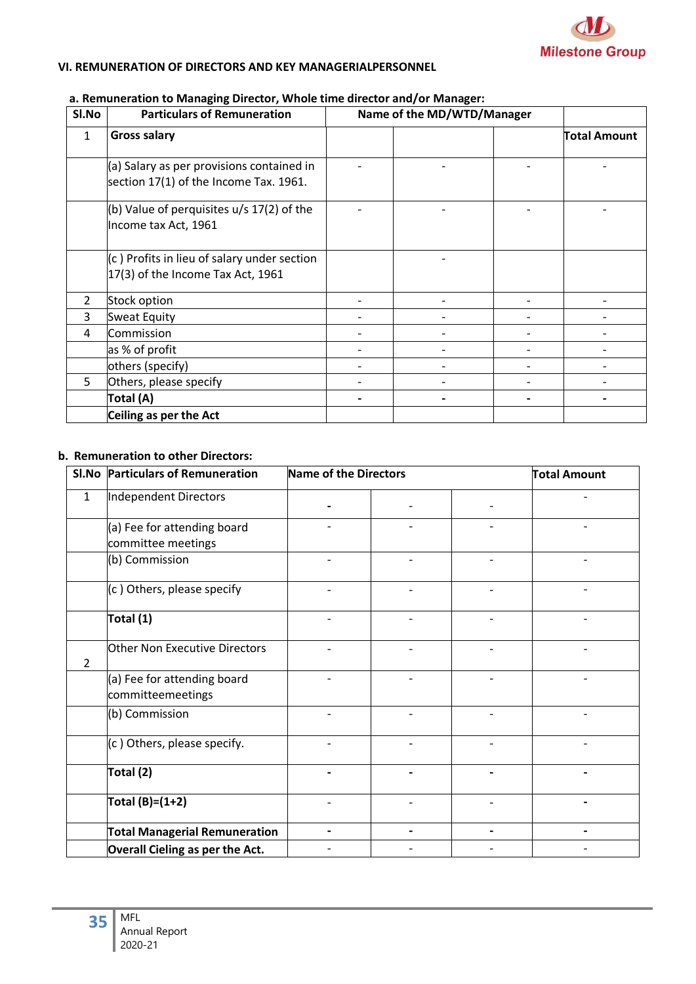

#### **VI. REMUNERATION OF DIRECTORS AND KEY MANAGERIALPERSONNEL**

| SI.No        | <b>Particulars of Remuneration</b>                                                    | Name of the MD/WTD/Manager |  |                     |
|--------------|---------------------------------------------------------------------------------------|----------------------------|--|---------------------|
| $\mathbf{1}$ | <b>Gross salary</b>                                                                   |                            |  | <b>Total Amount</b> |
|              | (a) Salary as per provisions contained in<br>section 17(1) of the Income Tax. 1961.   |                            |  |                     |
|              | (b) Value of perquisites $u/s$ 17(2) of the<br>Income tax Act, 1961                   |                            |  |                     |
|              | $(c)$ Profits in lieu of salary under section<br>$ 17(3)$ of the Income Tax Act, 1961 |                            |  |                     |
| 2            | Stock option                                                                          |                            |  |                     |
| 3            | <b>Sweat Equity</b>                                                                   |                            |  |                     |
| 4            | Commission                                                                            |                            |  |                     |
|              | as % of profit                                                                        |                            |  |                     |
|              | others (specify)                                                                      |                            |  |                     |
| 5            | Others, please specify                                                                |                            |  |                     |
|              | Total (A)                                                                             |                            |  |                     |
|              | Ceiling as per the Act                                                                |                            |  |                     |

### **a. Remuneration to Managing Director, Whole time director and/or Manager:**

#### **b. Remuneration to other Directors:**

|                | SI.No Particulars of Remuneration                 | Name of the Directors    |                          | <b>Total Amount</b> |
|----------------|---------------------------------------------------|--------------------------|--------------------------|---------------------|
| $\mathbf{1}$   | Independent Directors                             |                          |                          |                     |
|                | (a) Fee for attending board<br>committee meetings |                          |                          |                     |
|                | (b) Commission                                    | $\overline{\phantom{0}}$ | $\overline{\phantom{0}}$ |                     |
|                | (c) Others, please specify                        |                          |                          |                     |
|                | Total (1)                                         |                          |                          |                     |
| $\overline{2}$ | Other Non Executive Directors                     |                          |                          |                     |
|                | (a) Fee for attending board<br>committeemeetings  |                          |                          |                     |
|                | (b) Commission                                    |                          |                          |                     |
|                | (c) Others, please specify.                       |                          |                          |                     |
|                | Total (2)                                         | $\overline{\phantom{0}}$ | $\blacksquare$           | $\blacksquare$      |
|                | $\overline{\text{Total (B)}} = (1+2)$             |                          |                          |                     |
|                | <b>Total Managerial Remuneration</b>              |                          |                          |                     |
|                | Overall Cieling as per the Act.                   |                          |                          |                     |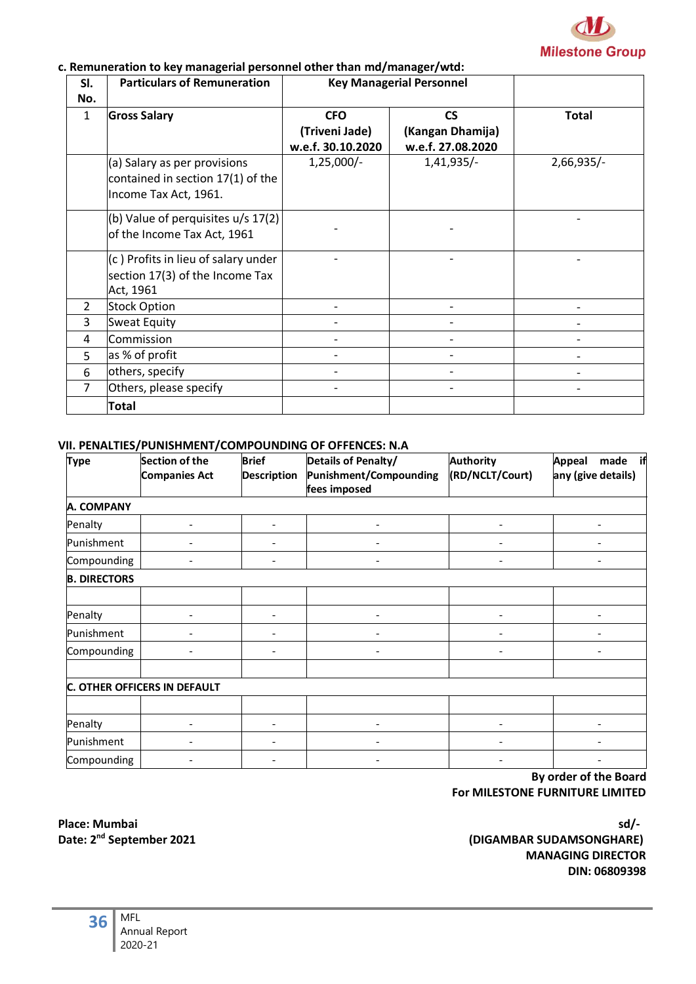

#### **c. Remuneration to key managerial personnel other than md/manager/wtd:**

| SI.            | <b>Particulars of Remuneration</b>                                                         | <b>Key Managerial Personnel</b>                   |                                                    |              |
|----------------|--------------------------------------------------------------------------------------------|---------------------------------------------------|----------------------------------------------------|--------------|
| No.<br>1       | <b>Gross Salary</b>                                                                        | <b>CFO</b><br>(Triveni Jade)<br>w.e.f. 30.10.2020 | <b>CS</b><br>(Kangan Dhamija)<br>w.e.f. 27.08.2020 | <b>Total</b> |
|                | (a) Salary as per provisions<br>contained in section 17(1) of the<br>Income Tax Act, 1961. | $1,25,000/-$                                      | $1,41,935/-$                                       | $2,66,935/-$ |
|                | (b) Value of perquisites u/s 17(2)<br>of the Income Tax Act, 1961                          |                                                   |                                                    |              |
|                | (c) Profits in lieu of salary under<br>section 17(3) of the Income Tax<br>Act, 1961        |                                                   |                                                    |              |
| $\overline{2}$ | <b>Stock Option</b>                                                                        |                                                   |                                                    |              |
| 3              | <b>Sweat Equity</b>                                                                        |                                                   |                                                    |              |
| 4              | Commission                                                                                 |                                                   |                                                    |              |
| 5              | as % of profit                                                                             |                                                   |                                                    |              |
| 6              | others, specify                                                                            |                                                   |                                                    |              |
| 7              | Others, please specify                                                                     |                                                   |                                                    |              |
|                | <b>Total</b>                                                                               |                                                   |                                                    |              |

#### **VII. PENALTIES/PUNISHMENT/COMPOUNDING OF OFFENCES: N.A**

| <b>Type</b>         | Section of the               | <b>Brief</b>                 | Details of Penalty/          | <b>Authority</b>         | <b>if</b><br><b>Appeal</b><br>made |
|---------------------|------------------------------|------------------------------|------------------------------|--------------------------|------------------------------------|
|                     | <b>Companies Act</b>         | <b>Description</b>           | Punishment/Compounding       | (RD/NCLT/Court)          | any (give details)                 |
|                     |                              |                              | fees imposed                 |                          |                                    |
| <b>A. COMPANY</b>   |                              |                              |                              |                          |                                    |
| Penalty             |                              | $\qquad \qquad \blacksquare$ |                              |                          |                                    |
| Punishment          |                              | $\qquad \qquad \blacksquare$ |                              |                          |                                    |
| Compounding         |                              |                              |                              |                          |                                    |
| <b>B. DIRECTORS</b> |                              |                              |                              |                          |                                    |
|                     |                              |                              |                              |                          |                                    |
| Penalty             |                              | $\overline{\phantom{0}}$     | $\qquad \qquad \blacksquare$ |                          | $\overline{\phantom{a}}$           |
| Punishment          |                              |                              |                              |                          |                                    |
| Compounding         |                              |                              |                              |                          |                                    |
|                     |                              |                              |                              |                          |                                    |
|                     | C. OTHER OFFICERS IN DEFAULT |                              |                              |                          |                                    |
|                     |                              |                              |                              |                          |                                    |
| Penalty             | $\qquad \qquad \blacksquare$ | -                            | $\overline{\phantom{a}}$     | $\overline{\phantom{a}}$ | $\overline{\phantom{a}}$           |
| Punishment          |                              |                              |                              |                          |                                    |
| Compounding         |                              |                              |                              |                          |                                    |

**By order of the Board For MILESTONE FURNITURE LIMITED**

Date: 2<sup>nd</sup> September 2021

**Place: Mumbai sd/ nd September 2021 (DIGAMBAR SUDAMSONGHARE) MANAGING DIRECTOR**

**DIN: 06809398**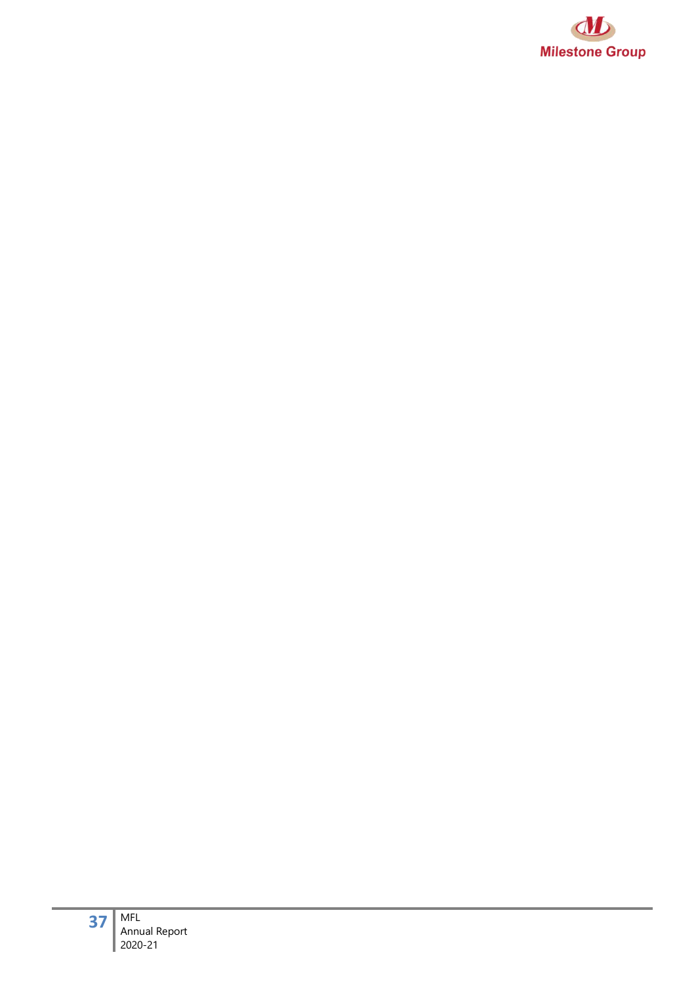

#### **37** MFL Annual Report 2020-21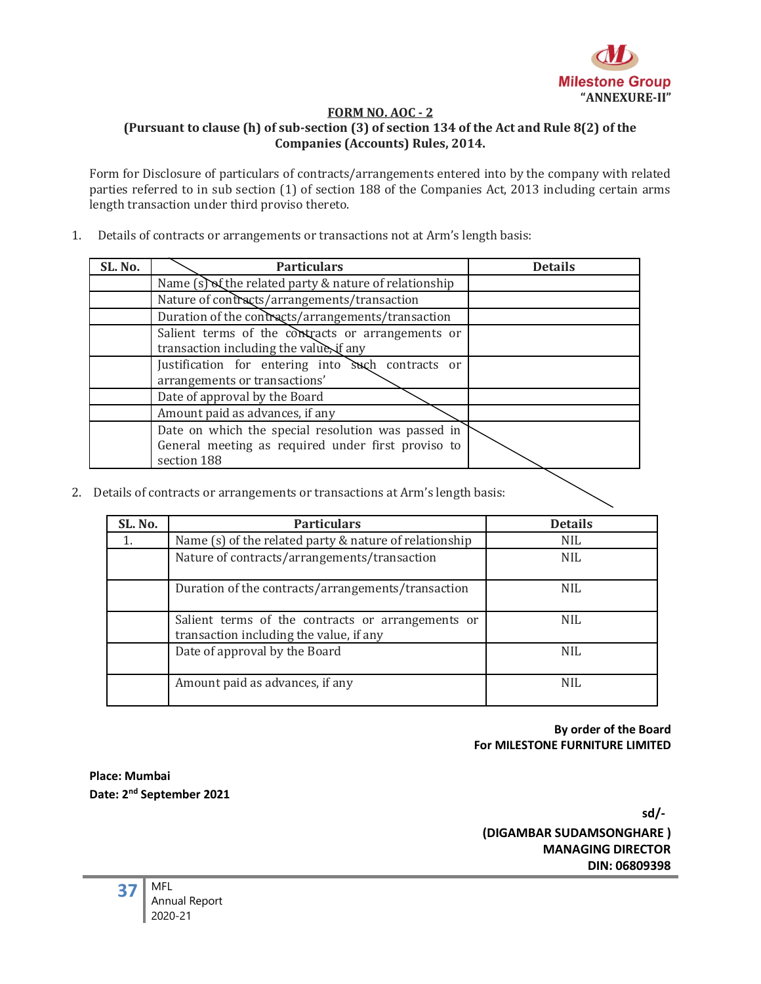

#### **FORM NO. AOC - 2**

# **(Pursuant to clause (h) of sub-section (3) of section 134 of the Act and Rule 8(2) of the Companies (Accounts) Rules, 2014.**

Form for Disclosure of particulars of contracts/arrangements entered into by the company with related parties referred to in sub section (1) of section 188 of the Companies Act, 2013 including certain arms length transaction under third proviso thereto.

1. Details of contracts or arrangements or transactions not at Arm's length basis:

| SL. No. | <b>Particulars</b>                                                                           | <b>Details</b> |
|---------|----------------------------------------------------------------------------------------------|----------------|
|         | Name (s) of the related party & nature of relationship                                       |                |
|         | Nature of contracts/arrangements/transaction                                                 |                |
|         | Duration of the contracts/arrangements/transaction                                           |                |
|         | Salient terms of the contracts or arrangements or<br>transaction including the value, if any |                |
|         | Justification for entering into such contracts or<br>arrangements or transactions'           |                |
|         | Date of approval by the Board                                                                |                |
|         | Amount paid as advances, if any                                                              |                |
|         | Date on which the special resolution was passed in                                           |                |
|         | General meeting as required under first proviso to<br>section 188                            |                |

2. Details of contracts or arrangements or transactions at Arm's length basis:

| SL. No. | <b>Particulars</b>                                                                           | <b>Details</b> |
|---------|----------------------------------------------------------------------------------------------|----------------|
|         | Name (s) of the related party & nature of relationship                                       | <b>NIL</b>     |
|         | Nature of contracts/arrangements/transaction                                                 | <b>NIL</b>     |
|         | Duration of the contracts/arrangements/transaction                                           | <b>NIL</b>     |
|         | Salient terms of the contracts or arrangements or<br>transaction including the value, if any | <b>NIL</b>     |
|         | Date of approval by the Board                                                                | NIL.           |
|         | Amount paid as advances, if any                                                              | NIL            |

**By order of the Board For MILESTONE FURNITURE LIMITED**

**Place: Mumbai Date: 2nd September 2021** 

> **sd/- (DIGAMBAR SUDAMSONGHARE ) MANAGING DIRECTOR DIN: 06809398**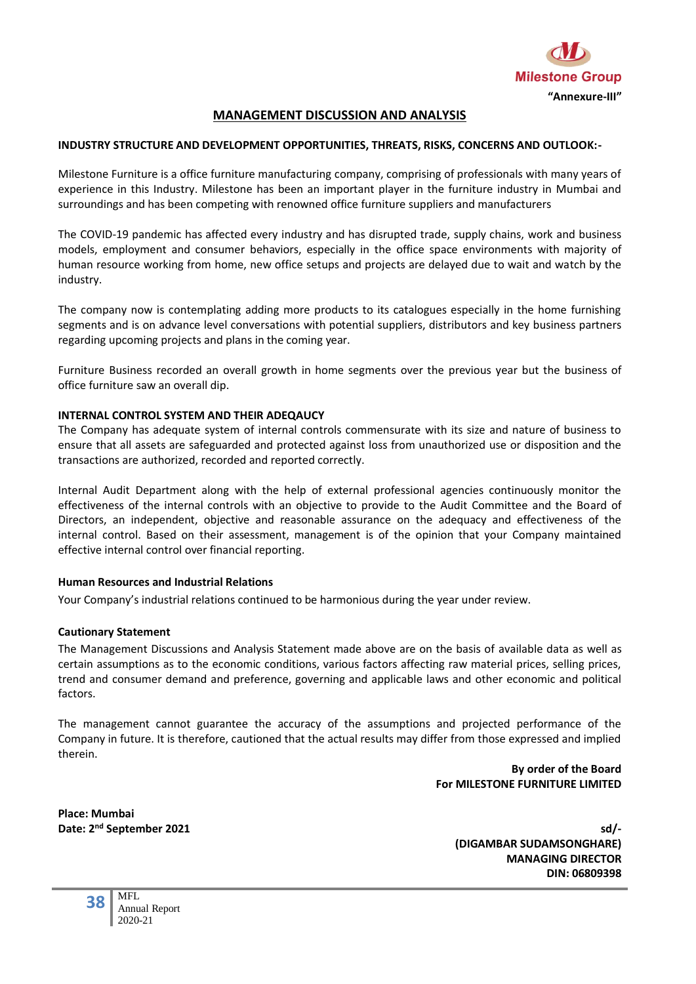

#### **MANAGEMENT DISCUSSION AND ANALYSIS**

#### **INDUSTRY STRUCTURE AND DEVELOPMENT OPPORTUNITIES, THREATS, RISKS, CONCERNS AND OUTLOOK:-**

Milestone Furniture is a office furniture manufacturing company, comprising of professionals with many years of experience in this Industry. Milestone has been an important player in the furniture industry in Mumbai and surroundings and has been competing with renowned office furniture suppliers and manufacturers

The COVID-19 pandemic has affected every industry and has disrupted trade, supply chains, work and business models, employment and consumer behaviors, especially in the office space environments with majority of human resource working from home, new office setups and projects are delayed due to wait and watch by the industry.

The company now is contemplating adding more products to its catalogues especially in the home furnishing segments and is on advance level conversations with potential suppliers, distributors and key business partners regarding upcoming projects and plans in the coming year.

Furniture Business recorded an overall growth in home segments over the previous year but the business of office furniture saw an overall dip.

#### **INTERNAL CONTROL SYSTEM AND THEIR ADEQAUCY**

The Company has adequate system of internal controls commensurate with its size and nature of business to ensure that all assets are safeguarded and protected against loss from unauthorized use or disposition and the transactions are authorized, recorded and reported correctly.

Internal Audit Department along with the help of external professional agencies continuously monitor the effectiveness of the internal controls with an objective to provide to the Audit Committee and the Board of Directors, an independent, objective and reasonable assurance on the adequacy and effectiveness of the internal control. Based on their assessment, management is of the opinion that your Company maintained effective internal control over financial reporting.

#### **Human Resources and Industrial Relations**

Your Company's industrial relations continued to be harmonious during the year under review.

#### **Cautionary Statement**

The Management Discussions and Analysis Statement made above are on the basis of available data as well as certain assumptions as to the economic conditions, various factors affecting raw material prices, selling prices, trend and consumer demand and preference, governing and applicable laws and other economic and political factors.

The management cannot guarantee the accuracy of the assumptions and projected performance of the Company in future. It is therefore, cautioned that the actual results may differ from those expressed and implied therein.

> **By order of the Board For MILESTONE FURNITURE LIMITED**

**Place: Mumbai** 

**Date:**  $2^{nd}$  September 2021 sd/-**(DIGAMBAR SUDAMSONGHARE) MANAGING DIRECTOR DIN: 06809398**

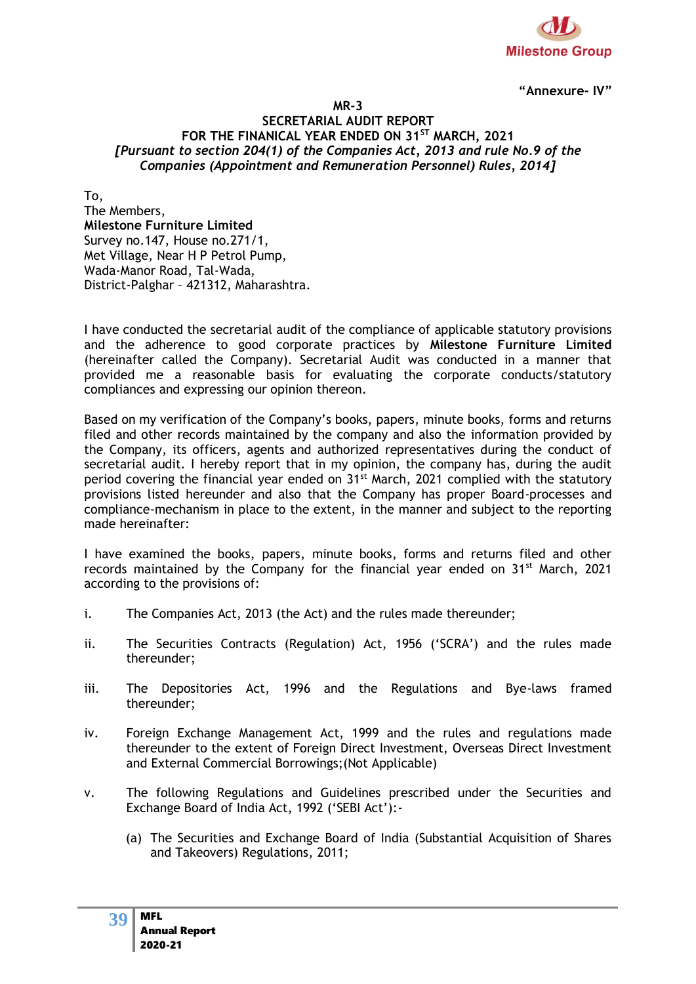

# **"Annexure- IV"**

**MR-3**

# **SECRETARIAL AUDIT REPORT FOR THE FINANICAL YEAR ENDED ON 31ST MARCH, 2021** *[Pursuant to section 204(1) of the Companies Act, 2013 and rule No.9 of the Companies (Appointment and Remuneration Personnel) Rules, 2014]*

To, The Members, **Milestone Furniture Limited** Survey no.147, House no.271/1, Met Village, Near H P Petrol Pump, Wada-Manor Road, Tal-Wada, District-Palghar – 421312, Maharashtra.

I have conducted the secretarial audit of the compliance of applicable statutory provisions and the adherence to good corporate practices by **Milestone Furniture Limited** (hereinafter called the Company). Secretarial Audit was conducted in a manner that provided me a reasonable basis for evaluating the corporate conducts/statutory compliances and expressing our opinion thereon.

Based on my verification of the Company's books, papers, minute books, forms and returns filed and other records maintained by the company and also the information provided by the Company, its officers, agents and authorized representatives during the conduct of secretarial audit. I hereby report that in my opinion, the company has, during the audit period covering the financial year ended on 31<sup>st</sup> March, 2021 complied with the statutory provisions listed hereunder and also that the Company has proper Board-processes and compliance-mechanism in place to the extent, in the manner and subject to the reporting made hereinafter:

I have examined the books, papers, minute books, forms and returns filed and other records maintained by the Company for the financial year ended on 31st March, 2021 according to the provisions of:

- i. The Companies Act, 2013 (the Act) and the rules made thereunder;
- ii. The Securities Contracts (Regulation) Act, 1956 ('SCRA') and the rules made thereunder;
- iii. The Depositories Act, 1996 and the Regulations and Bye-laws framed thereunder;
- iv. Foreign Exchange Management Act, 1999 and the rules and regulations made thereunder to the extent of Foreign Direct Investment, Overseas Direct Investment and External Commercial Borrowings;(Not Applicable)
- v. The following Regulations and Guidelines prescribed under the Securities and Exchange Board of India Act, 1992 ('SEBI Act'):-
	- (a) The Securities and Exchange Board of India (Substantial Acquisition of Shares and Takeovers) Regulations, 2011;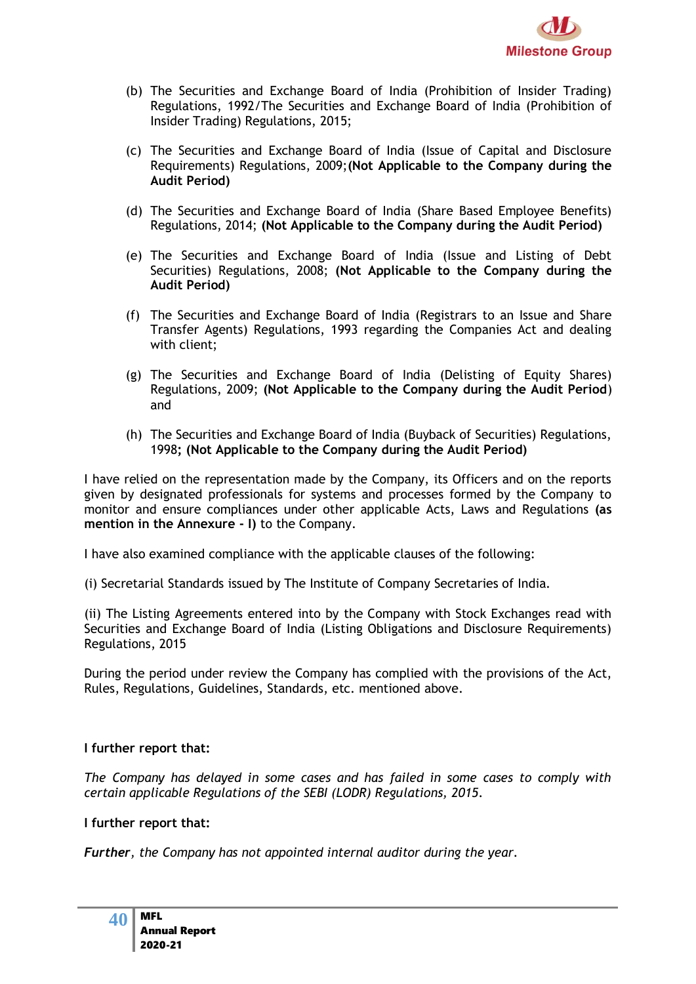

- (b) The Securities and Exchange Board of India (Prohibition of Insider Trading) Regulations, 1992/The Securities and Exchange Board of India (Prohibition of Insider Trading) Regulations, 2015;
- (c) The Securities and Exchange Board of India (Issue of Capital and Disclosure Requirements) Regulations, 2009;**(Not Applicable to the Company during the Audit Period)**
- (d) The Securities and Exchange Board of India (Share Based Employee Benefits) Regulations, 2014; **(Not Applicable to the Company during the Audit Period)**
- (e) The Securities and Exchange Board of India (Issue and Listing of Debt Securities) Regulations, 2008; **(Not Applicable to the Company during the Audit Period)**
- (f) The Securities and Exchange Board of India (Registrars to an Issue and Share Transfer Agents) Regulations, 1993 regarding the Companies Act and dealing with client;
- (g) The Securities and Exchange Board of India (Delisting of Equity Shares) Regulations, 2009; **(Not Applicable to the Company during the Audit Period**) and
- (h) The Securities and Exchange Board of India (Buyback of Securities) Regulations, 1998**; (Not Applicable to the Company during the Audit Period)**

I have relied on the representation made by the Company, its Officers and on the reports given by designated professionals for systems and processes formed by the Company to monitor and ensure compliances under other applicable Acts, Laws and Regulations **(as mention in the Annexure - I)** to the Company.

I have also examined compliance with the applicable clauses of the following:

(i) Secretarial Standards issued by The Institute of Company Secretaries of India.

(ii) The Listing Agreements entered into by the Company with Stock Exchanges read with Securities and Exchange Board of India (Listing Obligations and Disclosure Requirements) Regulations, 2015

During the period under review the Company has complied with the provisions of the Act, Rules, Regulations, Guidelines, Standards, etc. mentioned above.

## **I further report that:**

*The Company has delayed in some cases and has failed in some cases to comply with certain applicable Regulations of the SEBI (LODR) Regulations, 2015*.

## **I further report that:**

*Further, the Company has not appointed internal auditor during the year.*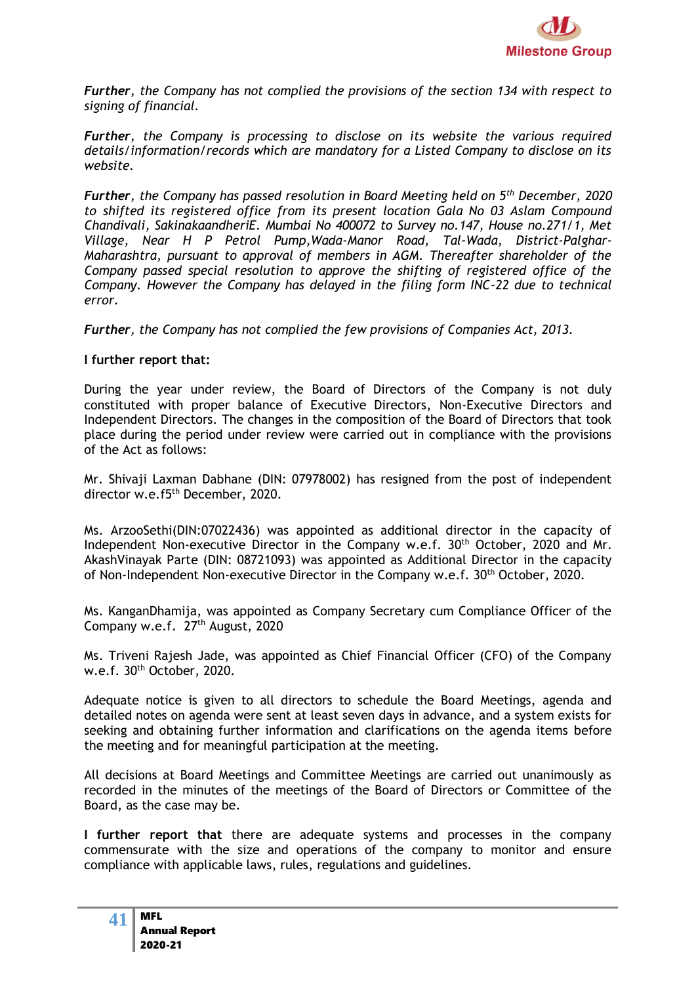

*Further, the Company has not complied the provisions of the section 134 with respect to signing of financial.*

*Further, the Company is processing to disclose on its website the various required details/information/records which are mandatory for a Listed Company to disclose on its website.*

*Further, the Company has passed resolution in Board Meeting held on 5th December, 2020 to shifted its registered office from its present location Gala No 03 Aslam Compound Chandivali, SakinakaandheriE. Mumbai No 400072 to Survey no.147, House no.271/1, Met Village, Near H P Petrol Pump,Wada-Manor Road, Tal-Wada, District-Palghar-Maharashtra, pursuant to approval of members in AGM. Thereafter shareholder of the Company passed special resolution to approve the shifting of registered office of the Company. However the Company has delayed in the filing form INC-22 due to technical error.*

*Further, the Company has not complied the few provisions of Companies Act, 2013.*

# **I further report that:**

During the year under review, the Board of Directors of the Company is not duly constituted with proper balance of Executive Directors, Non-Executive Directors and Independent Directors. The changes in the composition of the Board of Directors that took place during the period under review were carried out in compliance with the provisions of the Act as follows:

Mr. Shivaji Laxman Dabhane (DIN: 07978002) has resigned from the post of independent director w.e.f5<sup>th</sup> December, 2020.

Ms. ArzooSethi(DIN:07022436) was appointed as additional director in the capacity of Independent Non-executive Director in the Company w.e.f. 30<sup>th</sup> October, 2020 and Mr. AkashVinayak Parte (DIN: 08721093) was appointed as Additional Director in the capacity of Non-Independent Non-executive Director in the Company w.e.f. 30th October, 2020.

Ms. KanganDhamija, was appointed as Company Secretary cum Compliance Officer of the Company w.e.f. 27<sup>th</sup> August, 2020

Ms. Triveni Rajesh Jade, was appointed as Chief Financial Officer (CFO) of the Company w.e.f. 30<sup>th</sup> October, 2020.

Adequate notice is given to all directors to schedule the Board Meetings, agenda and detailed notes on agenda were sent at least seven days in advance, and a system exists for seeking and obtaining further information and clarifications on the agenda items before the meeting and for meaningful participation at the meeting.

All decisions at Board Meetings and Committee Meetings are carried out unanimously as recorded in the minutes of the meetings of the Board of Directors or Committee of the Board, as the case may be.

**I further report that** there are adequate systems and processes in the company commensurate with the size and operations of the company to monitor and ensure compliance with applicable laws, rules, regulations and guidelines.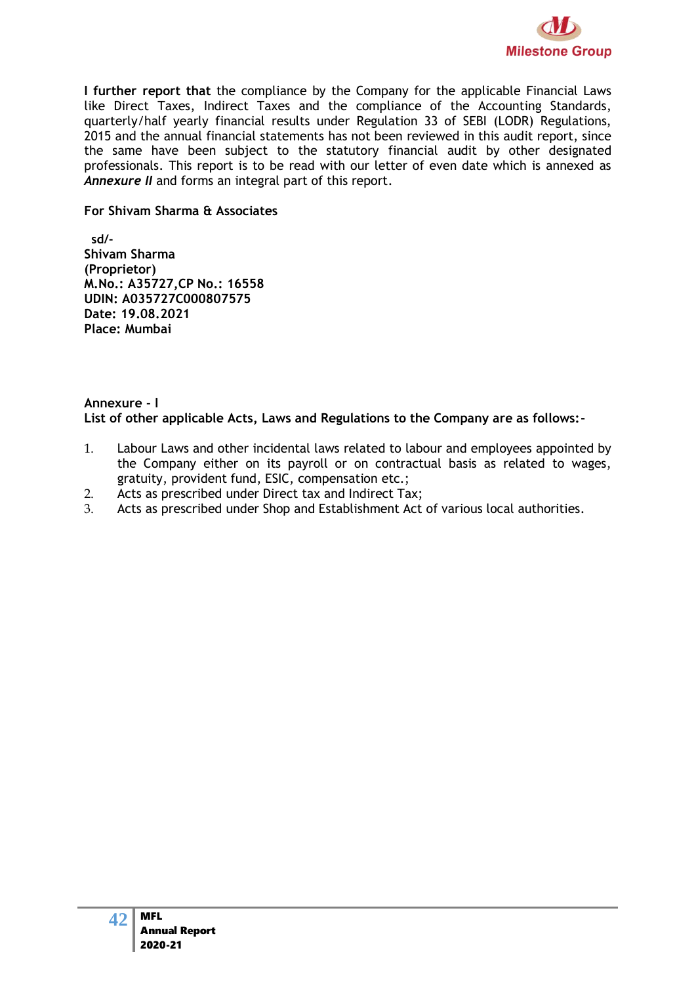

**I further report that** the compliance by the Company for the applicable Financial Laws like Direct Taxes, Indirect Taxes and the compliance of the Accounting Standards, quarterly/half yearly financial results under Regulation 33 of SEBI (LODR) Regulations, 2015 and the annual financial statements has not been reviewed in this audit report, since the same have been subject to the statutory financial audit by other designated professionals. This report is to be read with our letter of even date which is annexed as *Annexure II* and forms an integral part of this report.

## **For Shivam Sharma & Associates**

 **sd/- Shivam Sharma (Proprietor) M.No.: A35727,CP No.: 16558 UDIN: A035727C000807575 Date: 19.08.2021 Place: Mumbai**

# **Annexure - I List of other applicable Acts, Laws and Regulations to the Company are as follows:-**

- 1. Labour Laws and other incidental laws related to labour and employees appointed by the Company either on its payroll or on contractual basis as related to wages, gratuity, provident fund, ESIC, compensation etc.;
- 2. Acts as prescribed under Direct tax and Indirect Tax;
- 3. Acts as prescribed under Shop and Establishment Act of various local authorities.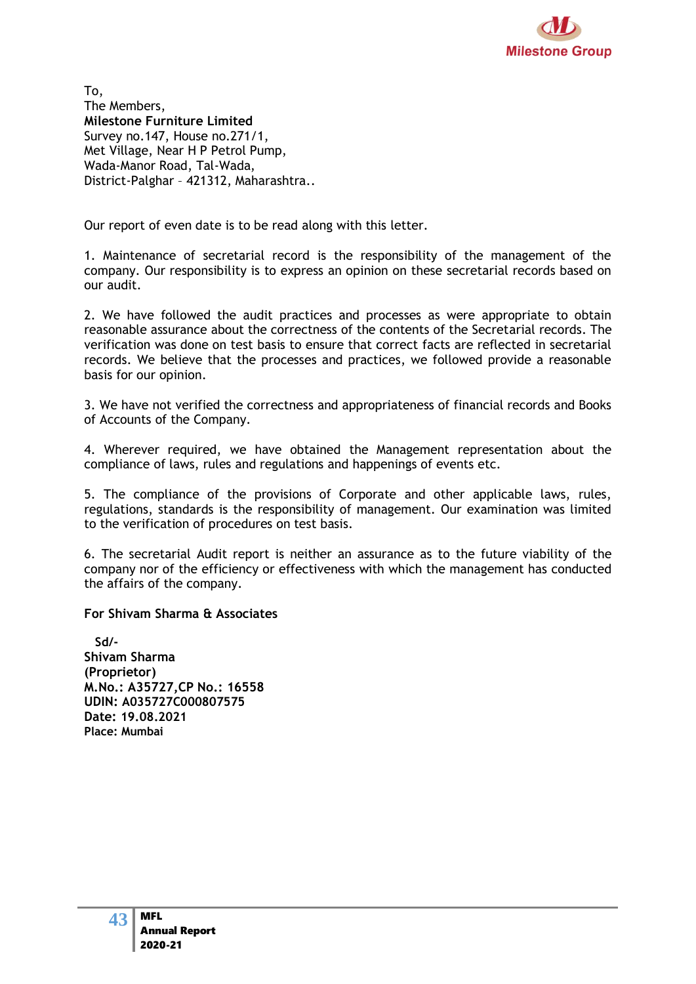

To, The Members, **Milestone Furniture Limited** Survey no.147, House no.271/1, Met Village, Near H P Petrol Pump, Wada-Manor Road, Tal-Wada, District-Palghar – 421312, Maharashtra..

Our report of even date is to be read along with this letter.

1. Maintenance of secretarial record is the responsibility of the management of the company. Our responsibility is to express an opinion on these secretarial records based on our audit.

2. We have followed the audit practices and processes as were appropriate to obtain reasonable assurance about the correctness of the contents of the Secretarial records. The verification was done on test basis to ensure that correct facts are reflected in secretarial records. We believe that the processes and practices, we followed provide a reasonable basis for our opinion.

3. We have not verified the correctness and appropriateness of financial records and Books of Accounts of the Company.

4. Wherever required, we have obtained the Management representation about the compliance of laws, rules and regulations and happenings of events etc.

5. The compliance of the provisions of Corporate and other applicable laws, rules, regulations, standards is the responsibility of management. Our examination was limited to the verification of procedures on test basis.

6. The secretarial Audit report is neither an assurance as to the future viability of the company nor of the efficiency or effectiveness with which the management has conducted the affairs of the company.

## **For Shivam Sharma & Associates**

 **Sd/- Shivam Sharma (Proprietor) M.No.: A35727,CP No.: 16558 UDIN: A035727C000807575 Date: 19.08.2021 Place: Mumbai**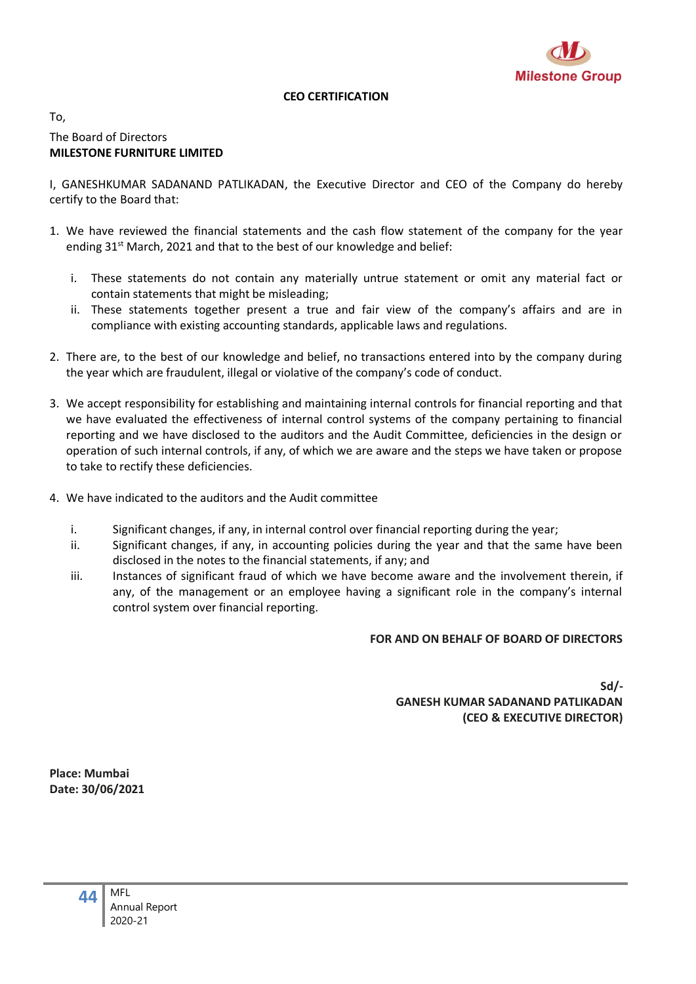

#### **CEO CERTIFICATION**

# To, The Board of Directors **MILESTONE FURNITURE LIMITED**

I, GANESHKUMAR SADANAND PATLIKADAN, the Executive Director and CEO of the Company do hereby certify to the Board that:

- 1. We have reviewed the financial statements and the cash flow statement of the company for the year ending 31<sup>st</sup> March, 2021 and that to the best of our knowledge and belief:
	- i. These statements do not contain any materially untrue statement or omit any material fact or contain statements that might be misleading;
	- ii. These statements together present a true and fair view of the company's affairs and are in compliance with existing accounting standards, applicable laws and regulations.
- 2. There are, to the best of our knowledge and belief, no transactions entered into by the company during the year which are fraudulent, illegal or violative of the company's code of conduct.
- 3. We accept responsibility for establishing and maintaining internal controls for financial reporting and that we have evaluated the effectiveness of internal control systems of the company pertaining to financial reporting and we have disclosed to the auditors and the Audit Committee, deficiencies in the design or operation of such internal controls, if any, of which we are aware and the steps we have taken or propose to take to rectify these deficiencies.
- 4. We have indicated to the auditors and the Audit committee
	- i. Significant changes, if any, in internal control over financial reporting during the year;
	- ii. Significant changes, if any, in accounting policies during the year and that the same have been disclosed in the notes to the financial statements, if any; and
	- iii. Instances of significant fraud of which we have become aware and the involvement therein, if any, of the management or an employee having a significant role in the company's internal control system over financial reporting.

## **FOR AND ON BEHALF OF BOARD OF DIRECTORS**

**Sd/- GANESH KUMAR SADANAND PATLIKADAN (CEO & EXECUTIVE DIRECTOR)**

**Place: Mumbai Date: 30/06/2021**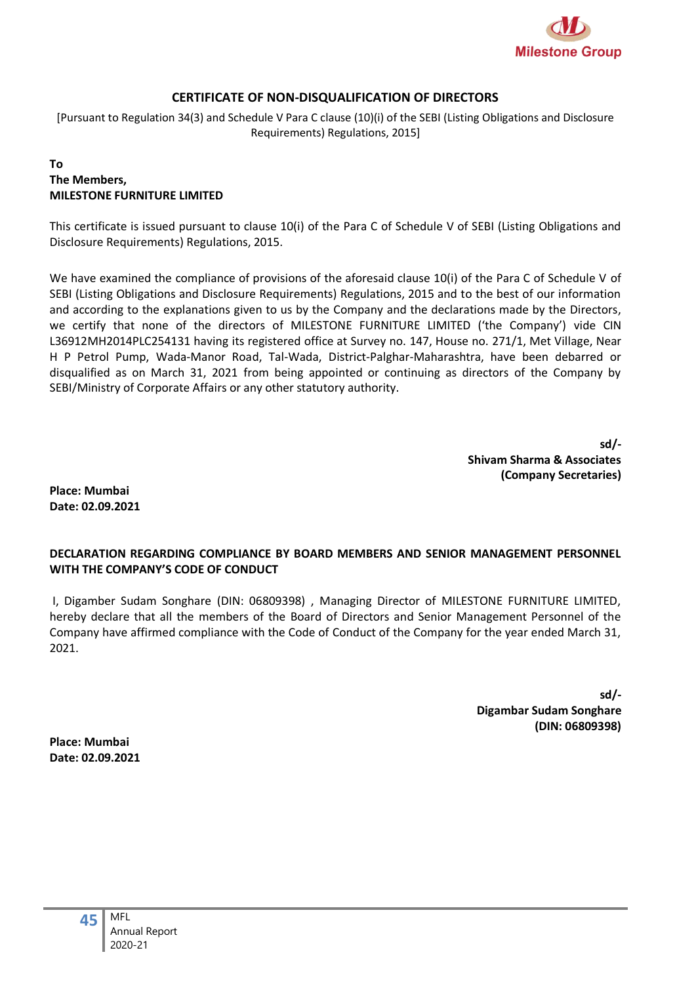

# **CERTIFICATE OF NON-DISQUALIFICATION OF DIRECTORS**

[Pursuant to Regulation 34(3) and Schedule V Para C clause (10)(i) of the SEBI (Listing Obligations and Disclosure Requirements) Regulations, 2015]

#### **To The Members, MILESTONE FURNITURE LIMITED**

This certificate is issued pursuant to clause 10(i) of the Para C of Schedule V of SEBI (Listing Obligations and Disclosure Requirements) Regulations, 2015.

We have examined the compliance of provisions of the aforesaid clause 10(i) of the Para C of Schedule V of SEBI (Listing Obligations and Disclosure Requirements) Regulations, 2015 and to the best of our information and according to the explanations given to us by the Company and the declarations made by the Directors, we certify that none of the directors of MILESTONE FURNITURE LIMITED ('the Company') vide CIN L36912MH2014PLC254131 having its registered office at Survey no. 147, House no. 271/1, Met Village, Near H P Petrol Pump, Wada-Manor Road, Tal-Wada, District-Palghar-Maharashtra, have been debarred or disqualified as on March 31, 2021 from being appointed or continuing as directors of the Company by SEBI/Ministry of Corporate Affairs or any other statutory authority.

> **sd/- Shivam Sharma & Associates (Company Secretaries)**

**Place: Mumbai Date: 02.09.2021**

## **DECLARATION REGARDING COMPLIANCE BY BOARD MEMBERS AND SENIOR MANAGEMENT PERSONNEL WITH THE COMPANY'S CODE OF CONDUCT**

I, Digamber Sudam Songhare (DIN: 06809398) , Managing Director of MILESTONE FURNITURE LIMITED, hereby declare that all the members of the Board of Directors and Senior Management Personnel of the Company have affirmed compliance with the Code of Conduct of the Company for the year ended March 31, 2021.

> **sd/- Digambar Sudam Songhare (DIN: 06809398)**

**Place: Mumbai Date: 02.09.2021**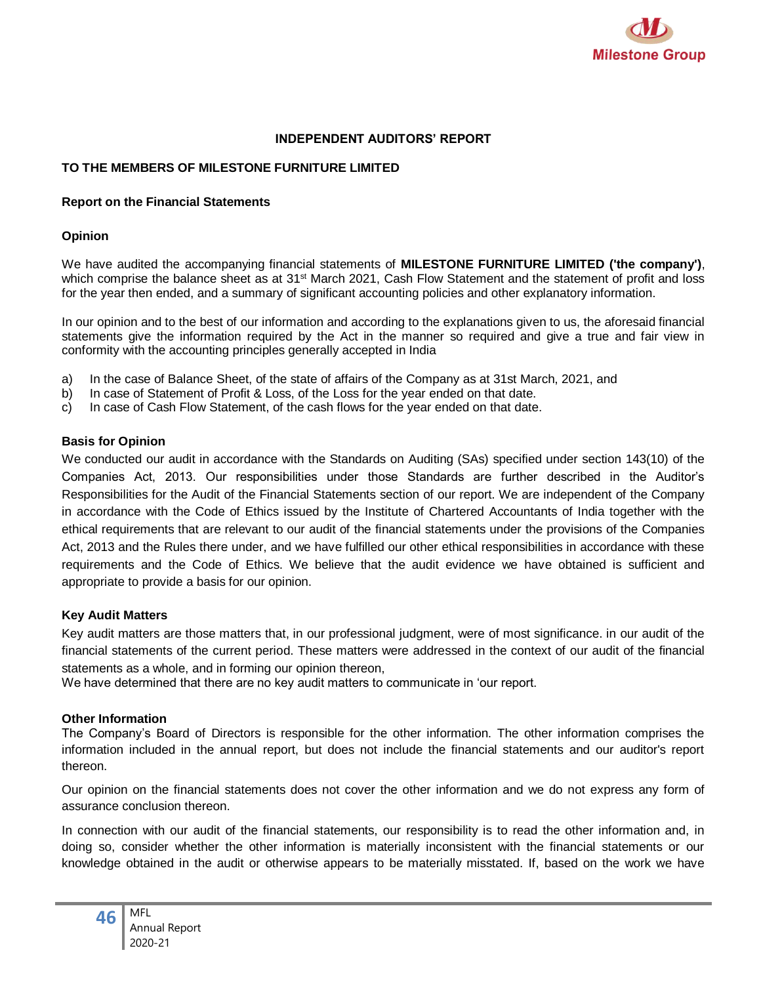

#### **INDEPENDENT AUDITORS' REPORT**

#### **TO THE MEMBERS OF MILESTONE FURNITURE LIMITED**

#### **Report on the Financial Statements**

#### **Opinion**

We have audited the accompanying financial statements of **MILESTONE FURNITURE LIMITED ('the company')**, which comprise the balance sheet as at 31<sup>st</sup> March 2021, Cash Flow Statement and the statement of profit and loss for the year then ended, and a summary of significant accounting policies and other explanatory information.

In our opinion and to the best of our information and according to the explanations given to us, the aforesaid financial statements give the information required by the Act in the manner so required and give a true and fair view in conformity with the accounting principles generally accepted in India

- a) In the case of Balance Sheet, of the state of affairs of the Company as at 31st March, 2021, and
- b) In case of Statement of Profit & Loss, of the Loss for the year ended on that date.
- c) In case of Cash Flow Statement, of the cash flows for the year ended on that date.

#### **Basis for Opinion**

We conducted our audit in accordance with the Standards on Auditing (SAs) specified under section 143(10) of the Companies Act, 2013. Our responsibilities under those Standards are further described in the Auditor's Responsibilities for the Audit of the Financial Statements section of our report. We are independent of the Company in accordance with the Code of Ethics issued by the Institute of Chartered Accountants of India together with the ethical requirements that are relevant to our audit of the financial statements under the provisions of the Companies Act, 2013 and the Rules there under, and we have fulfilled our other ethical responsibilities in accordance with these requirements and the Code of Ethics. We believe that the audit evidence we have obtained is sufficient and appropriate to provide a basis for our opinion.

#### **Key Audit Matters**

Key audit matters are those matters that, in our professional judgment, were of most significance. in our audit of the financial statements of the current period. These matters were addressed in the context of our audit of the financial statements as a whole, and in forming our opinion thereon,

We have determined that there are no key audit matters to communicate in 'our report.

#### **Other Information**

The Company's Board of Directors is responsible for the other information. The other information comprises the information included in the annual report, but does not include the financial statements and our auditor's report thereon.

Our opinion on the financial statements does not cover the other information and we do not express any form of assurance conclusion thereon.

In connection with our audit of the financial statements, our responsibility is to read the other information and, in doing so, consider whether the other information is materially inconsistent with the financial statements or our knowledge obtained in the audit or otherwise appears to be materially misstated. If, based on the work we have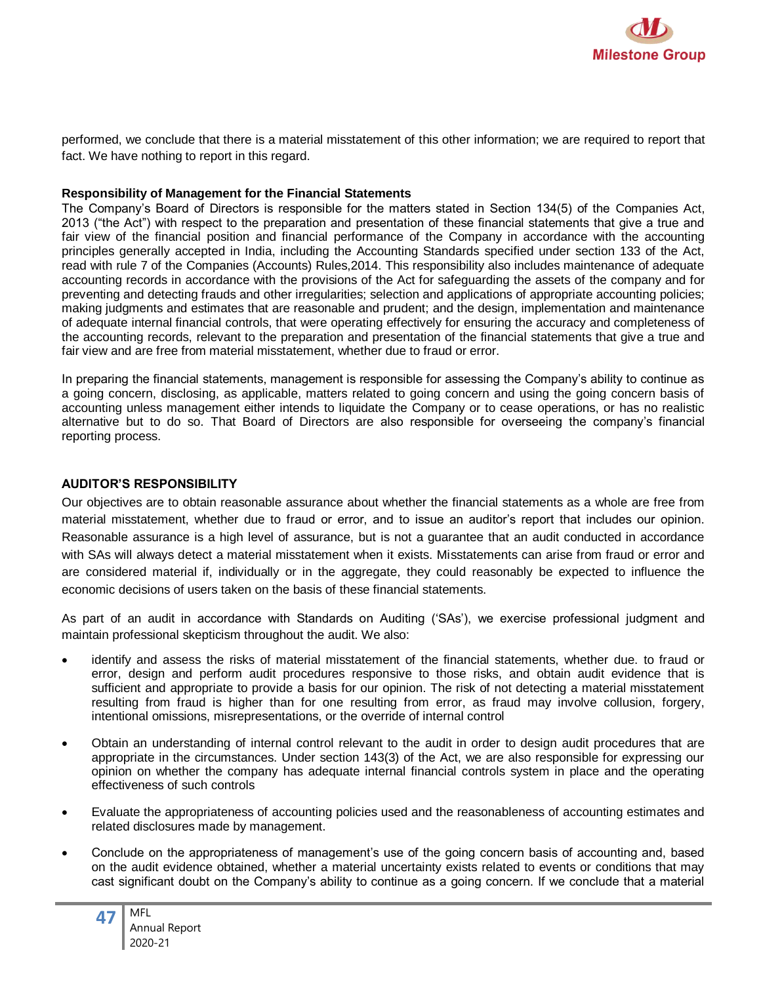

performed, we conclude that there is a material misstatement of this other information; we are required to report that fact. We have nothing to report in this regard.

#### **Responsibility of Management for the Financial Statements**

The Company's Board of Directors is responsible for the matters stated in Section 134(5) of the Companies Act, 2013 ("the Act") with respect to the preparation and presentation of these financial statements that give a true and fair view of the financial position and financial performance of the Company in accordance with the accounting principles generally accepted in India, including the Accounting Standards specified under section 133 of the Act, read with rule 7 of the Companies (Accounts) Rules,2014. This responsibility also includes maintenance of adequate accounting records in accordance with the provisions of the Act for safeguarding the assets of the company and for preventing and detecting frauds and other irregularities; selection and applications of appropriate accounting policies; making judgments and estimates that are reasonable and prudent; and the design, implementation and maintenance of adequate internal financial controls, that were operating effectively for ensuring the accuracy and completeness of the accounting records, relevant to the preparation and presentation of the financial statements that give a true and fair view and are free from material misstatement, whether due to fraud or error.

In preparing the financial statements, management is responsible for assessing the Company's ability to continue as a going concern, disclosing, as applicable, matters related to going concern and using the going concern basis of accounting unless management either intends to liquidate the Company or to cease operations, or has no realistic alternative but to do so. That Board of Directors are also responsible for overseeing the company's financial reporting process.

#### **AUDITOR'S RESPONSIBILITY**

Our objectives are to obtain reasonable assurance about whether the financial statements as a whole are free from material misstatement, whether due to fraud or error, and to issue an auditor's report that includes our opinion. Reasonable assurance is a high level of assurance, but is not a guarantee that an audit conducted in accordance with SAs will always detect a material misstatement when it exists. Misstatements can arise from fraud or error and are considered material if, individually or in the aggregate, they could reasonably be expected to influence the economic decisions of users taken on the basis of these financial statements.

As part of an audit in accordance with Standards on Auditing ('SAs'), we exercise professional judgment and maintain professional skepticism throughout the audit. We also:

- identify and assess the risks of material misstatement of the financial statements, whether due. to fraud or error, design and perform audit procedures responsive to those risks, and obtain audit evidence that is sufficient and appropriate to provide a basis for our opinion. The risk of not detecting a material misstatement resulting from fraud is higher than for one resulting from error, as fraud may involve collusion, forgery, intentional omissions, misrepresentations, or the override of internal control
- Obtain an understanding of internal control relevant to the audit in order to design audit procedures that are appropriate in the circumstances. Under section 143(3) of the Act, we are also responsible for expressing our opinion on whether the company has adequate internal financial controls system in place and the operating effectiveness of such controls
- Evaluate the appropriateness of accounting policies used and the reasonableness of accounting estimates and related disclosures made by management.
- Conclude on the appropriateness of management's use of the going concern basis of accounting and, based on the audit evidence obtained, whether a material uncertainty exists related to events or conditions that may cast significant doubt on the Company's ability to continue as a going concern. If we conclude that a material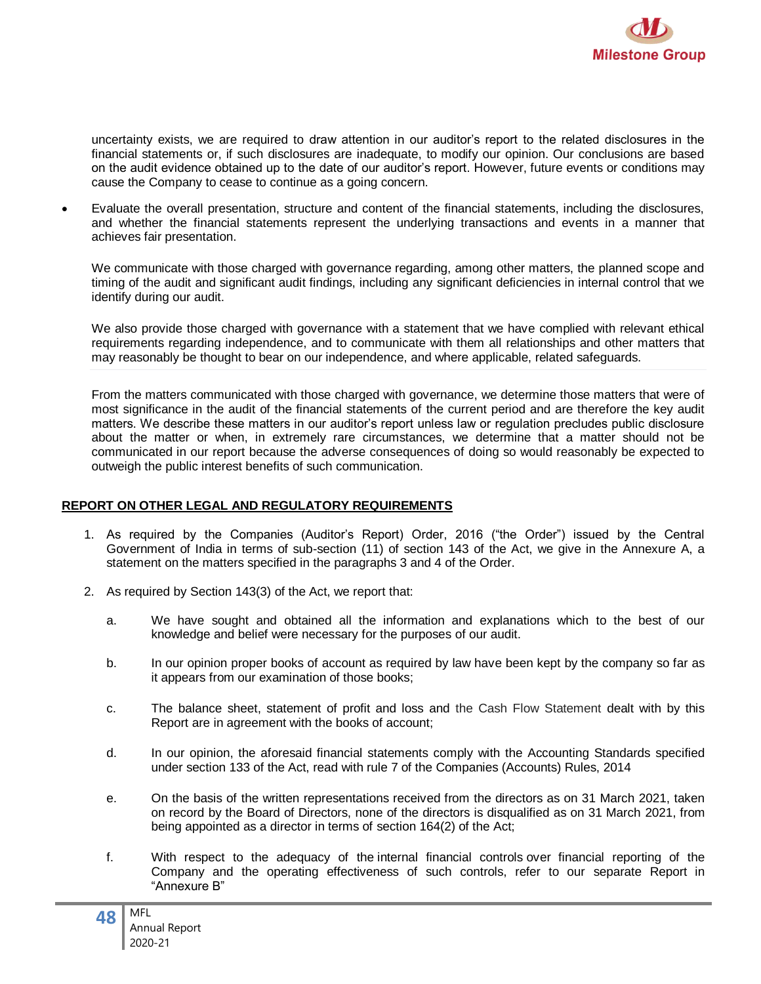

uncertainty exists, we are required to draw attention in our auditor's report to the related disclosures in the financial statements or, if such disclosures are inadequate, to modify our opinion. Our conclusions are based on the audit evidence obtained up to the date of our auditor's report. However, future events or conditions may cause the Company to cease to continue as a going concern.

 Evaluate the overall presentation, structure and content of the financial statements, including the disclosures, and whether the financial statements represent the underlying transactions and events in a manner that achieves fair presentation.

We communicate with those charged with governance regarding, among other matters, the planned scope and timing of the audit and significant audit findings, including any significant deficiencies in internal control that we identify during our audit.

We also provide those charged with governance with a statement that we have complied with relevant ethical requirements regarding independence, and to communicate with them all relationships and other matters that may reasonably be thought to bear on our independence, and where applicable, related safeguards.

From the matters communicated with those charged with governance, we determine those matters that were of most significance in the audit of the financial statements of the current period and are therefore the key audit matters. We describe these matters in our auditor's report unless law or regulation precludes public disclosure about the matter or when, in extremely rare circumstances, we determine that a matter should not be communicated in our report because the adverse consequences of doing so would reasonably be expected to outweigh the public interest benefits of such communication.

#### **REPORT ON OTHER LEGAL AND REGULATORY REQUIREMENTS**

- 1. As required by the Companies (Auditor's Report) Order, 2016 ("the Order") issued by the Central Government of India in terms of sub-section (11) of section 143 of the Act, we give in the Annexure A, a statement on the matters specified in the paragraphs 3 and 4 of the Order.
- 2. As required by Section 143(3) of the Act, we report that:
	- a. We have sought and obtained all the information and explanations which to the best of our knowledge and belief were necessary for the purposes of our audit.
	- b. In our opinion proper books of account as required by law have been kept by the company so far as it appears from our examination of those books;
	- c. The balance sheet, statement of profit and loss and the Cash Flow Statement dealt with by this Report are in agreement with the books of account;
	- d. In our opinion, the aforesaid financial statements comply with the Accounting Standards specified under section 133 of the Act, read with rule 7 of the Companies (Accounts) Rules, 2014
	- e. On the basis of the written representations received from the directors as on 31 March 2021, taken on record by the Board of Directors, none of the directors is disqualified as on 31 March 2021, from being appointed as a director in terms of section 164(2) of the Act;
	- f. With respect to the adequacy of the [internal financial controls](https://taxguru.in/company-law/applicability-caro-2016-ifc-reporting-ind.html) over financial reporting of the Company and the operating effectiveness of such controls, refer to our separate Report in "Annexure B"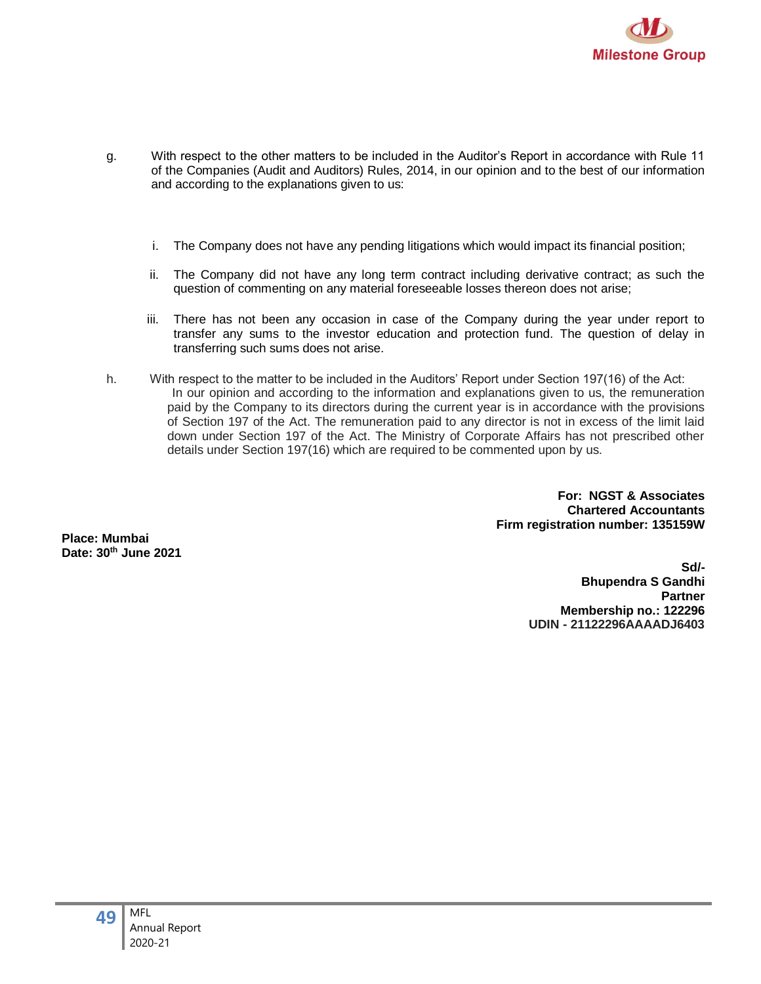

- g. With respect to the other matters to be included in the Auditor's Report in accordance with Rule 11 of the Companies (Audit and Auditors) Rules, 2014, in our opinion and to the best of our information and according to the explanations given to us:
	- i. The Company does not have any pending litigations which would impact its financial position;
	- ii. The Company did not have any long term contract including derivative contract; as such the question of commenting on any material foreseeable losses thereon does not arise;
	- iii. There has not been any occasion in case of the Company during the year under report to transfer any sums to the investor education and protection fund. The question of delay in transferring such sums does not arise.
- h. With respect to the matter to be included in the Auditors' Report under Section 197(16) of the Act: In our opinion and according to the information and explanations given to us, the remuneration paid by the Company to its directors during the current year is in accordance with the provisions of Section 197 of the Act. The remuneration paid to any director is not in excess of the limit laid down under Section 197 of the Act. The Ministry of Corporate Affairs has not prescribed other details under Section 197(16) which are required to be commented upon by us.

**For: NGST & Associates Chartered Accountants Firm registration number: 135159W**

**Place: Mumbai Date: 30 th June 2021**

> **Sd/- Bhupendra S Gandhi Partner Membership no.: 122296 UDIN - 21122296AAAADJ6403**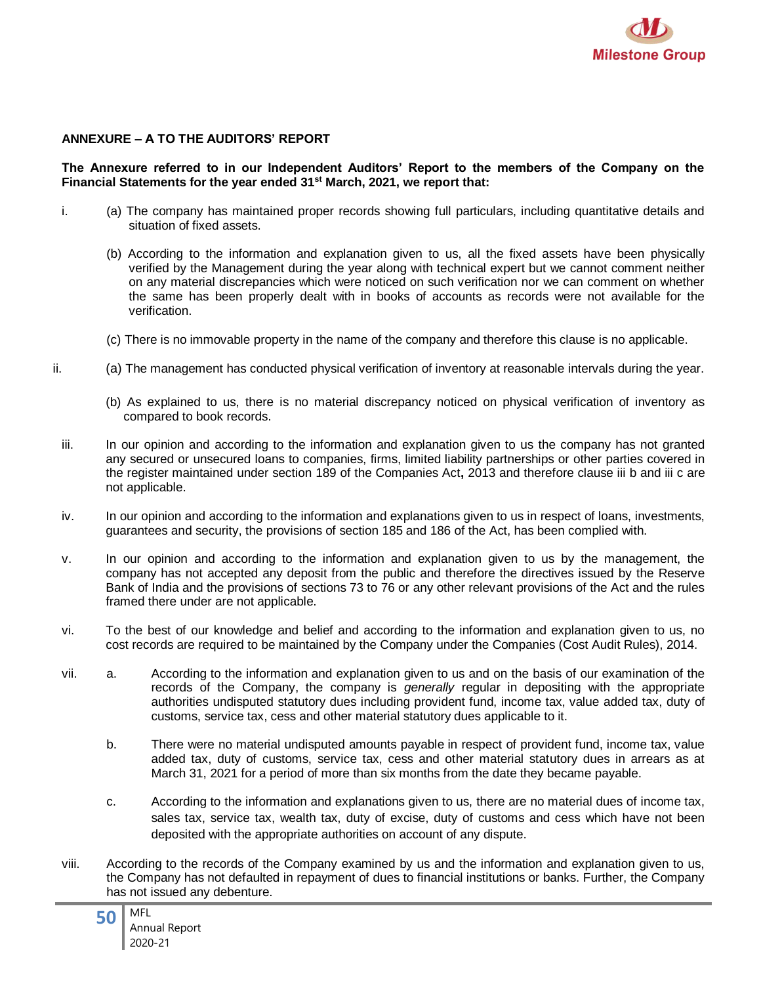

#### **ANNEXURE – A TO THE AUDITORS' REPORT**

#### **The Annexure referred to in our Independent Auditors' Report to the members of the Company on the Financial Statements for the year ended 31st March, 2021, we report that:**

- i. (a) The company has maintained proper records showing full particulars, including quantitative details and situation of fixed assets.
	- (b) According to the information and explanation given to us, all the fixed assets have been physically verified by the Management during the year along with technical expert but we cannot comment neither on any material discrepancies which were noticed on such verification nor we can comment on whether the same has been properly dealt with in books of accounts as records were not available for the verification.
	- (c) There is no immovable property in the name of the company and therefore this clause is no applicable.
- ii. (a) The management has conducted physical verification of inventory at reasonable intervals during the year.
	- (b) As explained to us, there is no material discrepancy noticed on physical verification of inventory as compared to book records.
	- iii. In our opinion and according to the information and explanation given to us the company has not granted any secured or unsecured loans to companies, firms, limited liability partnerships or other parties covered in the register maintained under section 189 of the Companies Act**,** 2013 and therefore clause iii b and iii c are not applicable.
	- iv. In our opinion and according to the information and explanations given to us in respect of loans, investments, guarantees and security, the provisions of section 185 and 186 of the Act, has been complied with.
	- v. In our opinion and according to the information and explanation given to us by the management, the company has not accepted any deposit from the public and therefore the directives issued by the Reserve Bank of India and the provisions of sections 73 to 76 or any other relevant provisions of the Act and the rules framed there under are not applicable.
	- vi. To the best of our knowledge and belief and according to the information and explanation given to us, no cost records are required to be maintained by the Company under the Companies (Cost Audit Rules), 2014.
	- vii. a. According to the information and explanation given to us and on the basis of our examination of the records of the Company, the company is *generally* regular in depositing with the appropriate authorities undisputed statutory dues including provident fund, income tax, value added tax, duty of customs, service tax, cess and other material statutory dues applicable to it.
		- b. There were no material undisputed amounts payable in respect of provident fund, income tax, value added tax, duty of customs, service tax, cess and other material statutory dues in arrears as at March 31, 2021 for a period of more than six months from the date they became payable.
		- c. According to the information and explanations given to us, there are no material dues of income tax, sales tax, service tax, wealth tax, duty of excise, duty of customs and cess which have not been deposited with the appropriate authorities on account of any dispute.
	- viii. According to the records of the Company examined by us and the information and explanation given to us, the Company has not defaulted in repayment of dues to financial institutions or banks. Further, the Company has not issued any debenture.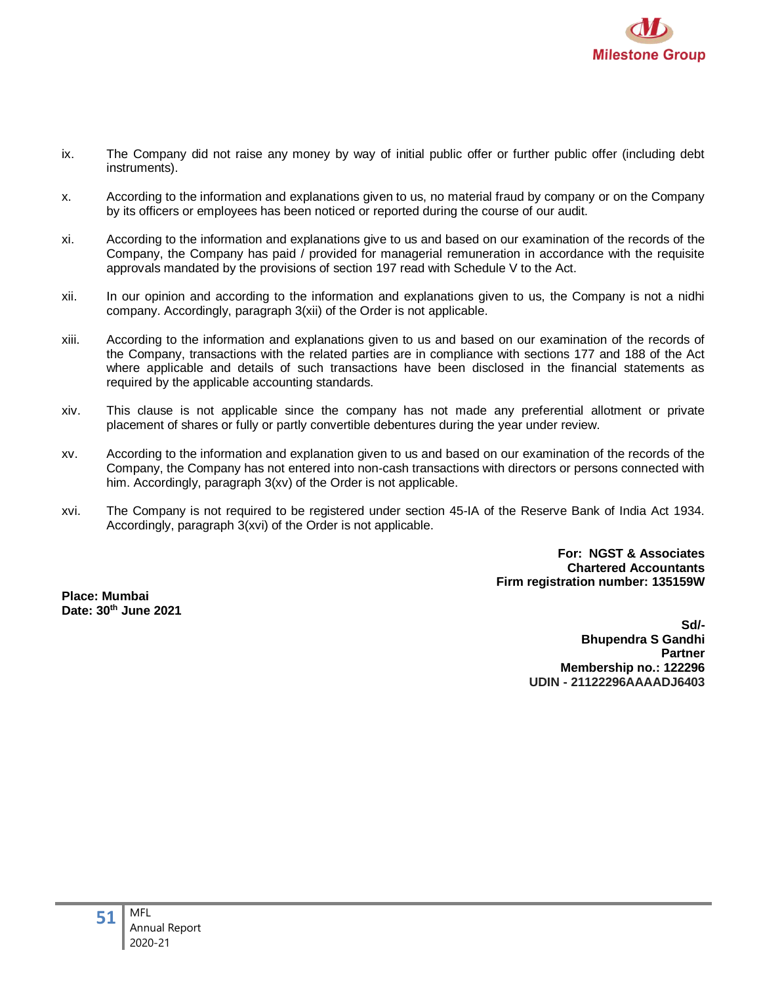

- ix. The Company did not raise any money by way of initial public offer or further public offer (including debt instruments).
- x. According to the information and explanations given to us, no material fraud by company or on the Company by its officers or employees has been noticed or reported during the course of our audit.
- xi. According to the information and explanations give to us and based on our examination of the records of the Company, the Company has paid / provided for managerial remuneration in accordance with the requisite approvals mandated by the provisions of section 197 read with Schedule V to the Act.
- xii. In our opinion and according to the information and explanations given to us, the Company is not a nidhi company. Accordingly, paragraph 3(xii) of the Order is not applicable.
- xiii. According to the information and explanations given to us and based on our examination of the records of the Company, transactions with the related parties are in compliance with sections 177 and 188 of the Act where applicable and details of such transactions have been disclosed in the financial statements as required by the applicable accounting standards.
- xiv. This clause is not applicable since the company has not made any preferential allotment or private placement of shares or fully or partly convertible debentures during the year under review.
- xv. According to the information and explanation given to us and based on our examination of the records of the Company, the Company has not entered into non-cash transactions with directors or persons connected with him. Accordingly, paragraph 3(xv) of the Order is not applicable.
- xvi. The Company is not required to be registered under section 45-IA of the Reserve Bank of India Act 1934. Accordingly, paragraph 3(xvi) of the Order is not applicable.

**For: NGST & Associates Chartered Accountants Firm registration number: 135159W**

**Place: Mumbai Date: 30 th June 2021**

> **Sd/- Bhupendra S Gandhi Partner Membership no.: 122296 UDIN - 21122296AAAADJ6403**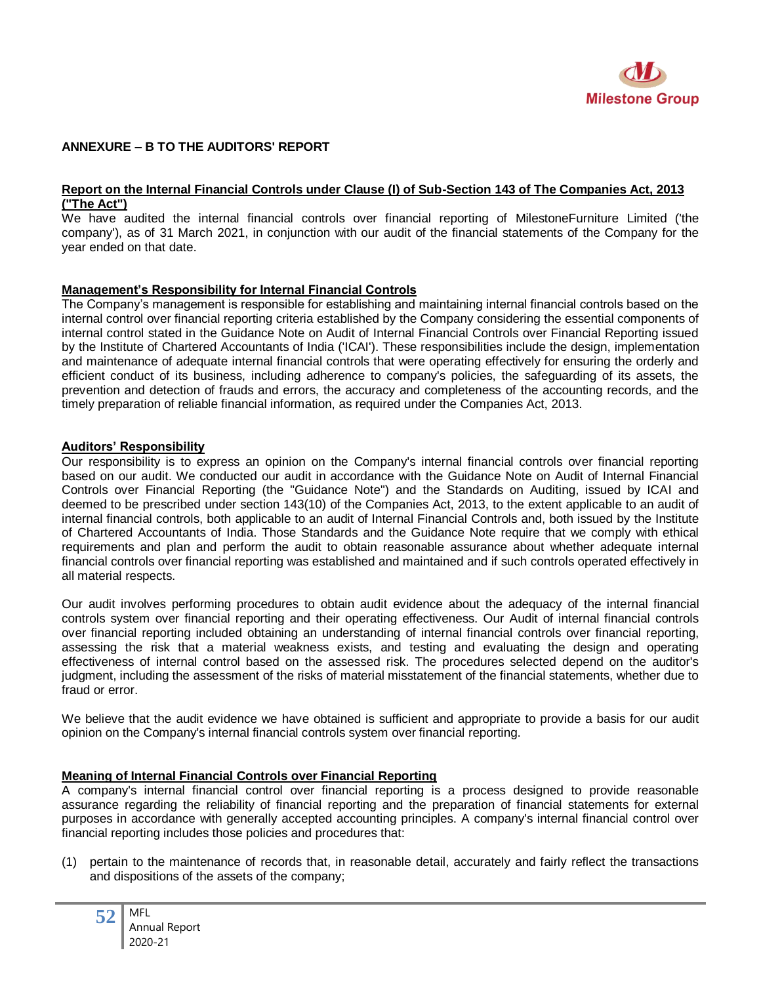

#### **ANNEXURE – B TO THE AUDITORS' REPORT**

#### **Report on the Internal Financial Controls under Clause (I) of Sub-Section 143 of The Companies Act, 2013 ("The Act")**

We have audited the internal financial controls over financial reporting of MilestoneFurniture Limited ('the company'), as of 31 March 2021, in conjunction with our audit of the financial statements of the Company for the year ended on that date.

#### **Management's Responsibility for Internal Financial Controls**

The Company's management is responsible for establishing and maintaining internal financial controls based on the internal control over financial reporting criteria established by the Company considering the essential components of internal control stated in the Guidance Note on Audit of Internal Financial Controls over Financial Reporting issued by the Institute of Chartered Accountants of India ('ICAI'). These responsibilities include the design, implementation and maintenance of adequate internal financial controls that were operating effectively for ensuring the orderly and efficient conduct of its business, including adherence to company's policies, the safeguarding of its assets, the prevention and detection of frauds and errors, the accuracy and completeness of the accounting records, and the timely preparation of reliable financial information, as required under the Companies Act, 2013.

#### **Auditors' Responsibility**

Our responsibility is to express an opinion on the Company's internal financial controls over financial reporting based on our audit. We conducted our audit in accordance with the Guidance Note on Audit of Internal Financial Controls over Financial Reporting (the "Guidance Note") and the Standards on Auditing, issued by ICAI and deemed to be prescribed under section 143(10) of the Companies Act, 2013, to the extent applicable to an audit of internal financial controls, both applicable to an audit of Internal Financial Controls and, both issued by the Institute of Chartered Accountants of India. Those Standards and the Guidance Note require that we comply with ethical requirements and plan and perform the audit to obtain reasonable assurance about whether adequate internal financial controls over financial reporting was established and maintained and if such controls operated effectively in all material respects.

Our audit involves performing procedures to obtain audit evidence about the adequacy of the internal financial controls system over financial reporting and their operating effectiveness. Our Audit of internal financial controls over financial reporting included obtaining an understanding of internal financial controls over financial reporting, assessing the risk that a material weakness exists, and testing and evaluating the design and operating effectiveness of internal control based on the assessed risk. The procedures selected depend on the auditor's judgment, including the assessment of the risks of material misstatement of the financial statements, whether due to fraud or error.

We believe that the audit evidence we have obtained is sufficient and appropriate to provide a basis for our audit opinion on the Company's internal financial controls system over financial reporting.

#### **Meaning of Internal Financial Controls over Financial Reporting**

A company's internal financial control over financial reporting is a process designed to provide reasonable assurance regarding the reliability of financial reporting and the preparation of financial statements for external purposes in accordance with generally accepted accounting principles. A company's internal financial control over financial reporting includes those policies and procedures that:

(1) pertain to the maintenance of records that, in reasonable detail, accurately and fairly reflect the transactions and dispositions of the assets of the company;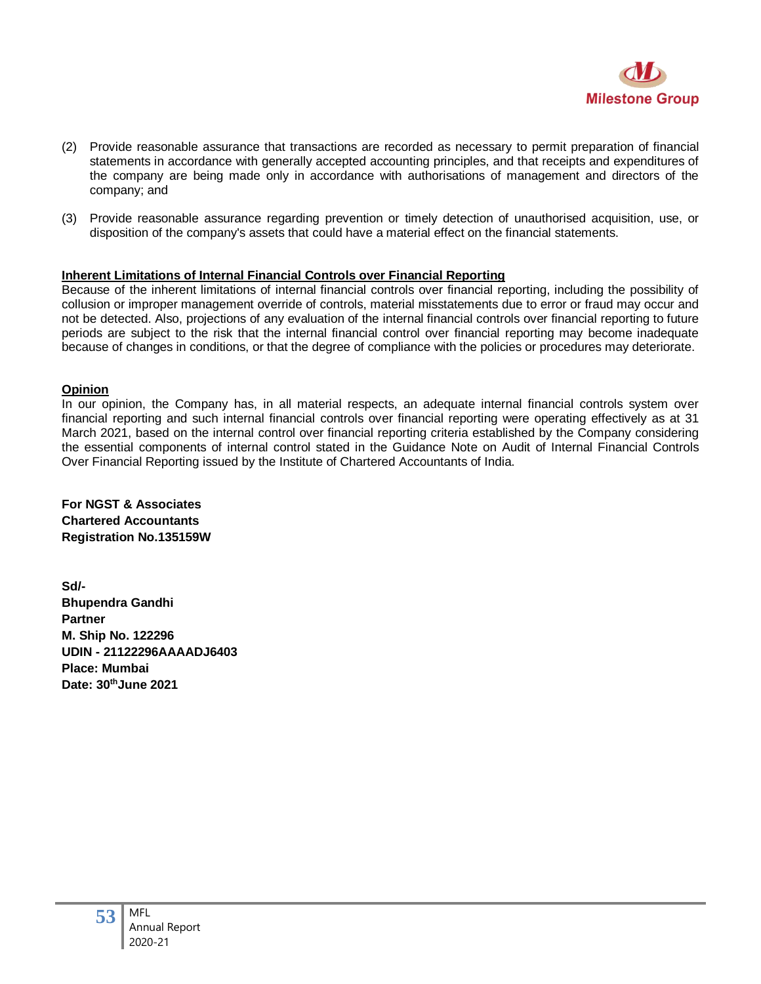

- (2) Provide reasonable assurance that transactions are recorded as necessary to permit preparation of financial statements in accordance with generally accepted accounting principles, and that receipts and expenditures of the company are being made only in accordance with authorisations of management and directors of the company; and
- (3) Provide reasonable assurance regarding prevention or timely detection of unauthorised acquisition, use, or disposition of the company's assets that could have a material effect on the financial statements.

#### **Inherent Limitations of Internal Financial Controls over Financial Reporting**

Because of the inherent limitations of internal financial controls over financial reporting, including the possibility of collusion or improper management override of controls, material misstatements due to error or fraud may occur and not be detected. Also, projections of any evaluation of the internal financial controls over financial reporting to future periods are subject to the risk that the internal financial control over financial reporting may become inadequate because of changes in conditions, or that the degree of compliance with the policies or procedures may deteriorate.

#### **Opinion**

In our opinion, the Company has, in all material respects, an adequate internal financial controls system over financial reporting and such internal financial controls over financial reporting were operating effectively as at 31 March 2021, based on the internal control over financial reporting criteria established by the Company considering the essential components of internal control stated in the Guidance Note on Audit of Internal Financial Controls Over Financial Reporting issued by the Institute of Chartered Accountants of India.

**For NGST & Associates Chartered Accountants Registration No.135159W**

**Sd/- Bhupendra Gandhi Partner M. Ship No. 122296 UDIN - 21122296AAAADJ6403 Place: Mumbai Date: 30 thJune 2021**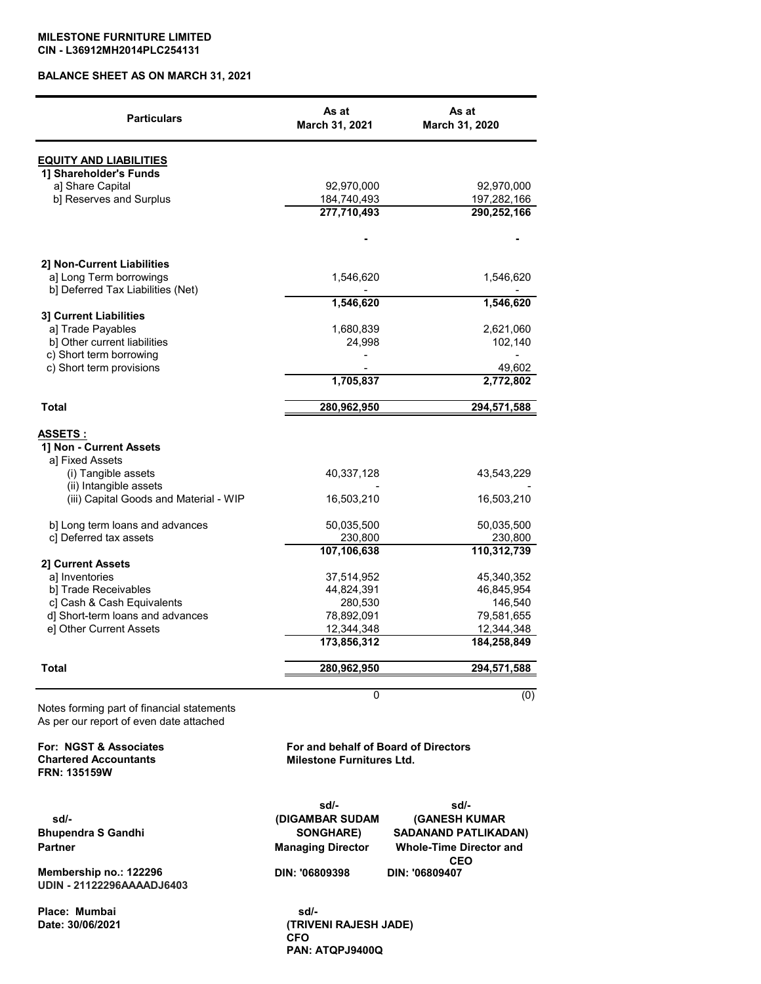#### **BALANCE SHEET AS ON MARCH 31, 2021**

| <b>Particulars</b>                                                                    | As at<br>March 31, 2021 | As at<br>March 31, 2020 |
|---------------------------------------------------------------------------------------|-------------------------|-------------------------|
| <b>EQUITY AND LIABILITIES</b>                                                         |                         |                         |
| 1] Shareholder's Funds                                                                |                         |                         |
| a] Share Capital                                                                      | 92,970,000              | 92,970,000              |
| b] Reserves and Surplus                                                               | 184,740,493             | 197,282,166             |
|                                                                                       | 277,710,493             | 290,252,166             |
|                                                                                       |                         |                         |
| 2] Non-Current Liabilities                                                            |                         |                         |
| a] Long Term borrowings                                                               | 1,546,620               | 1,546,620               |
| b] Deferred Tax Liabilities (Net)                                                     |                         |                         |
|                                                                                       | 1,546,620               | 1,546,620               |
| <b>3] Current Liabilities</b>                                                         |                         |                         |
| a] Trade Payables<br>b] Other current liabilities                                     | 1,680,839<br>24,998     | 2,621,060<br>102,140    |
| c) Short term borrowing                                                               |                         |                         |
| c) Short term provisions                                                              |                         | 49,602                  |
|                                                                                       | 1,705,837               | 2,772,802               |
| <b>Total</b>                                                                          | 280,962,950             | 294,571,588             |
| <b>ASSETS :</b>                                                                       |                         |                         |
| 1] Non - Current Assets                                                               |                         |                         |
| a] Fixed Assets                                                                       |                         |                         |
| (i) Tangible assets                                                                   | 40,337,128              | 43,543,229              |
| (ii) Intangible assets                                                                |                         |                         |
| (iii) Capital Goods and Material - WIP                                                | 16,503,210              | 16,503,210              |
| b] Long term loans and advances                                                       | 50,035,500              | 50,035,500              |
| c] Deferred tax assets                                                                | 230,800                 | 230,800                 |
|                                                                                       | 107,106,638             | 110,312,739             |
| 2] Current Assets                                                                     |                         |                         |
| a] Inventories                                                                        | 37,514,952              | 45,340,352              |
| b] Trade Receivables                                                                  | 44,824,391              | 46,845,954              |
| c] Cash & Cash Equivalents<br>d] Short-term loans and advances                        | 280,530<br>78,892,091   | 146,540<br>79,581,655   |
| e] Other Current Assets                                                               | 12,344,348              | 12,344,348              |
|                                                                                       | 173,856,312             | 184,258,849             |
| Total                                                                                 | 280,962,950             | 294,571,588             |
|                                                                                       | $\mathbf 0$             | (0)                     |
| Notes forming part of financial statements<br>As per our report of even date attached |                         |                         |

**FRN: 135159W**

 **sd/- Bhupendra S Gandhi**

**Membership no.: 122296 DIN: '06809398 UDIN - 21122296AAAADJ6403**

Place: Mumbai sd/-<br>Date: 30/06/2021 **Solution State: 30/06/2021** (TRIVE

**For: NGST & Associates For and behalf of Board of Directors Milestone Furnitures Ltd.** 

> **sd/- (DIGAMBAR SUDAM SONGHARE)**

**Partner Managing Director Whole-Time Director and CEO**<br>DIN: '06809407 **sd/- (GANESH KUMAR SADANAND PATLIKADAN)**

> **Date: 30/06/2021 (TRIVENI RAJESH JADE) CFO PAN: ATQPJ9400Q**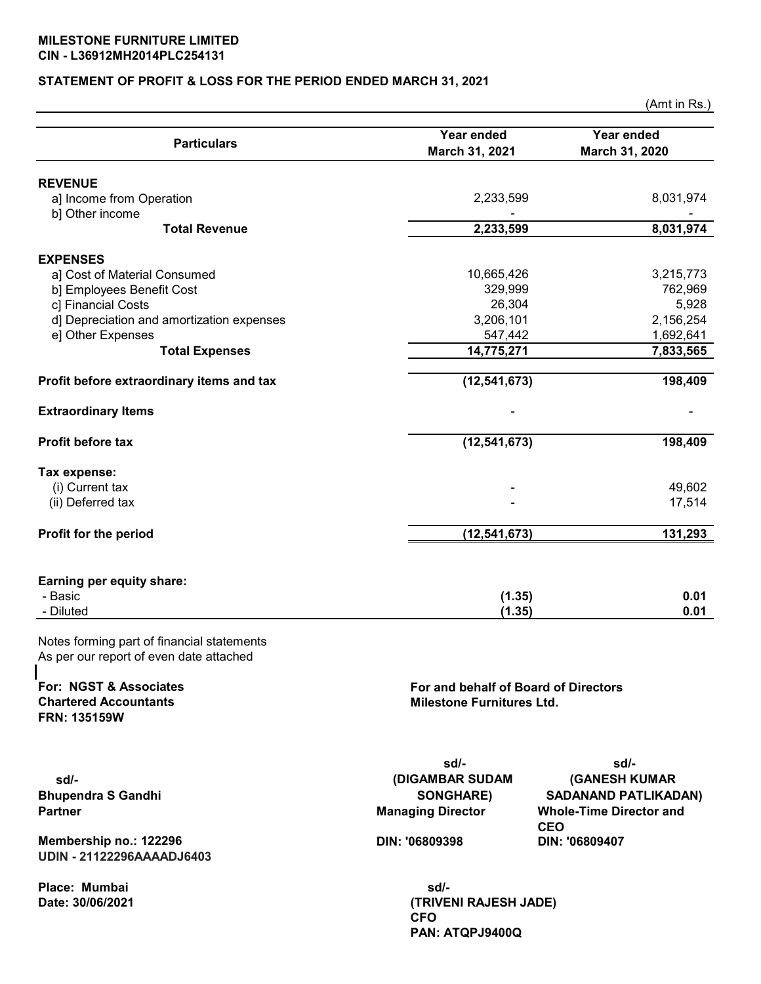#### **CIN - L36912MH2014PLC254131 MILESTONE FURNITURE LIMITED**

# **STATEMENT OF PROFIT & LOSS FOR THE PERIOD ENDED MARCH 31, 2021**

(Amt in Rs.)

| <b>Particulars</b>                                                                    | Year ended                                                               |                | Year ended                     |
|---------------------------------------------------------------------------------------|--------------------------------------------------------------------------|----------------|--------------------------------|
|                                                                                       | March 31, 2021                                                           |                | March 31, 2020                 |
| <b>REVENUE</b><br>a] Income from Operation                                            |                                                                          | 2,233,599      | 8,031,974                      |
| b] Other income                                                                       |                                                                          |                |                                |
| <b>Total Revenue</b>                                                                  |                                                                          | 2,233,599      | 8,031,974                      |
| <b>EXPENSES</b>                                                                       |                                                                          |                |                                |
| a] Cost of Material Consumed                                                          |                                                                          | 10,665,426     | 3,215,773                      |
| b] Employees Benefit Cost                                                             |                                                                          | 329,999        | 762,969                        |
| c] Financial Costs                                                                    |                                                                          | 26,304         | 5,928                          |
| d] Depreciation and amortization expenses                                             |                                                                          | 3,206,101      | 2,156,254                      |
| e] Other Expenses                                                                     |                                                                          | 547,442        | 1,692,641                      |
| <b>Total Expenses</b>                                                                 |                                                                          | 14,775,271     | 7,833,565                      |
| Profit before extraordinary items and tax                                             |                                                                          | (12, 541, 673) | 198,409                        |
| <b>Extraordinary Items</b>                                                            |                                                                          |                |                                |
| <b>Profit before tax</b>                                                              |                                                                          | (12, 541, 673) | 198,409                        |
| Tax expense:                                                                          |                                                                          |                |                                |
| (i) Current tax                                                                       |                                                                          |                | 49,602                         |
| (ii) Deferred tax                                                                     |                                                                          |                | 17,514                         |
|                                                                                       |                                                                          |                |                                |
| Profit for the period                                                                 |                                                                          | (12, 541, 673) | 131,293                        |
|                                                                                       |                                                                          |                |                                |
| Earning per equity share:                                                             |                                                                          |                |                                |
| - Basic                                                                               |                                                                          | (1.35)         | 0.01                           |
| - Diluted                                                                             |                                                                          | (1.35)         | 0.01                           |
| Notes forming part of financial statements<br>As per our report of even date attached |                                                                          |                |                                |
|                                                                                       |                                                                          |                |                                |
| For: NGST & Associates<br><b>Chartered Accountants</b>                                | For and behalf of Board of Directors<br><b>Milestone Furnitures Ltd.</b> |                |                                |
| <b>FRN: 135159W</b>                                                                   |                                                                          |                |                                |
|                                                                                       |                                                                          |                |                                |
|                                                                                       | $sd/-$                                                                   |                | $sd/-$                         |
| sd/-                                                                                  | (DIGAMBAR SUDAM                                                          |                | <b>(GANESH KUMAR</b>           |
| <b>Bhupendra S Gandhi</b>                                                             | <b>SONGHARE)</b>                                                         |                | <b>SADANAND PATLIKADAN)</b>    |
| <b>Partner</b>                                                                        | <b>Managing Director</b>                                                 |                | <b>Whole-Time Director and</b> |
|                                                                                       |                                                                          | <b>CEO</b>     |                                |
| Membership no.: 122296<br><b>UDIN - 21122296AAAADJ6403</b>                            | DIN: '06809398                                                           |                | DIN: '06809407                 |
| Place: Mumbai                                                                         | sd/-                                                                     |                |                                |
| Date: 30/06/2021                                                                      | (TRIVENI RAJESH JADE)<br><b>CFO</b>                                      |                |                                |

**PAN: ATQPJ9400Q**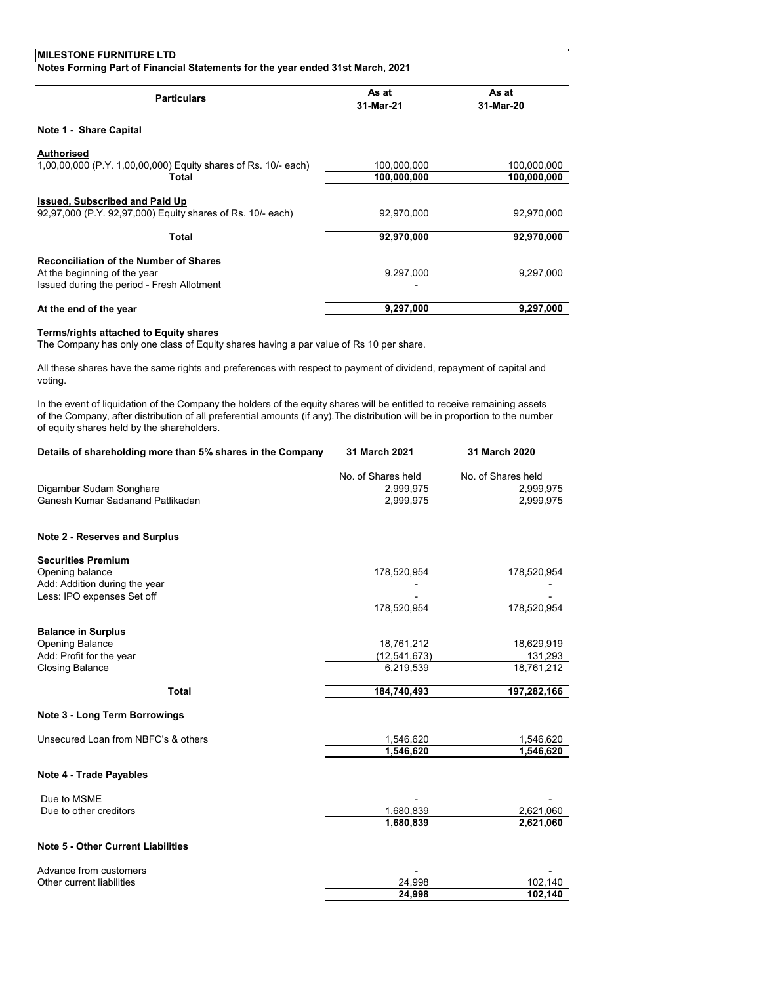#### **MILESTONE FURNITURE LTD**

**Notes Forming Part of Financial Statements for the year ended 31st March, 2021**

| <b>Particulars</b>                                                                                                          | As at<br>31-Mar-21 | As at<br>31-Mar-20 |  |
|-----------------------------------------------------------------------------------------------------------------------------|--------------------|--------------------|--|
| Note 1 - Share Capital                                                                                                      |                    |                    |  |
| <b>Authorised</b>                                                                                                           |                    |                    |  |
| 1,00,00,000 (P.Y. 1,00,00,000) Equity shares of Rs. 10/- each)                                                              | 100.000.000        | 100.000.000        |  |
| Total                                                                                                                       | 100,000,000        | 100,000,000        |  |
| <b>Issued, Subscribed and Paid Up</b><br>92,97,000 (P.Y. 92,97,000) Equity shares of Rs. 10/- each)                         | 92,970,000         | 92,970,000         |  |
| Total                                                                                                                       | 92,970,000         | 92,970,000         |  |
| <b>Reconciliation of the Number of Shares</b><br>At the beginning of the year<br>Issued during the period - Fresh Allotment | 9,297,000          | 9,297,000          |  |
| At the end of the year                                                                                                      | 9,297,000          | 9,297,000          |  |
| Terms/rights attached to Equity shares                                                                                      |                    |                    |  |

The Company has only one class of Equity shares having a par value of Rs 10 per share.

All these shares have the same rights and preferences with respect to payment of dividend, repayment of capital and voting.

In the event of liquidation of the Company the holders of the equity shares will be entitled to receive remaining assets of the Company, after distribution of all preferential amounts (if any).The distribution will be in proportion to the number of equity shares held by the shareholders.

| Details of shareholding more than 5% shares in the Company                                                  | 31 March 2021                                | 31 March 2020                                |
|-------------------------------------------------------------------------------------------------------------|----------------------------------------------|----------------------------------------------|
| Digambar Sudam Songhare<br>Ganesh Kumar Sadanand Patlikadan                                                 | No. of Shares held<br>2,999,975<br>2,999,975 | No. of Shares held<br>2,999,975<br>2,999,975 |
| <b>Note 2 - Reserves and Surplus</b>                                                                        |                                              |                                              |
| <b>Securities Premium</b><br>Opening balance<br>Add: Addition during the year<br>Less: IPO expenses Set off | 178,520,954                                  | 178,520,954                                  |
|                                                                                                             | 178,520,954                                  | 178,520,954                                  |
| <b>Balance in Surplus</b><br><b>Opening Balance</b><br>Add: Profit for the year<br><b>Closing Balance</b>   | 18,761,212<br>(12, 541, 673)<br>6,219,539    | 18,629,919<br>131,293<br>18,761,212          |
| <b>Total</b>                                                                                                | 184,740,493                                  | 197,282,166                                  |
| Note 3 - Long Term Borrowings                                                                               |                                              |                                              |
| Unsecured Loan from NBFC's & others                                                                         | 1,546,620<br>1,546,620                       | 1,546,620<br>1,546,620                       |
| <b>Note 4 - Trade Payables</b>                                                                              |                                              |                                              |
| Due to MSME<br>Due to other creditors                                                                       | 1,680,839<br>1,680,839                       | 2,621,060<br>2,621,060                       |
| <b>Note 5 - Other Current Liabilities</b>                                                                   |                                              |                                              |
| Advance from customers<br>Other current liabilities                                                         | 24,998<br>24,998                             | 102,140<br>102,140                           |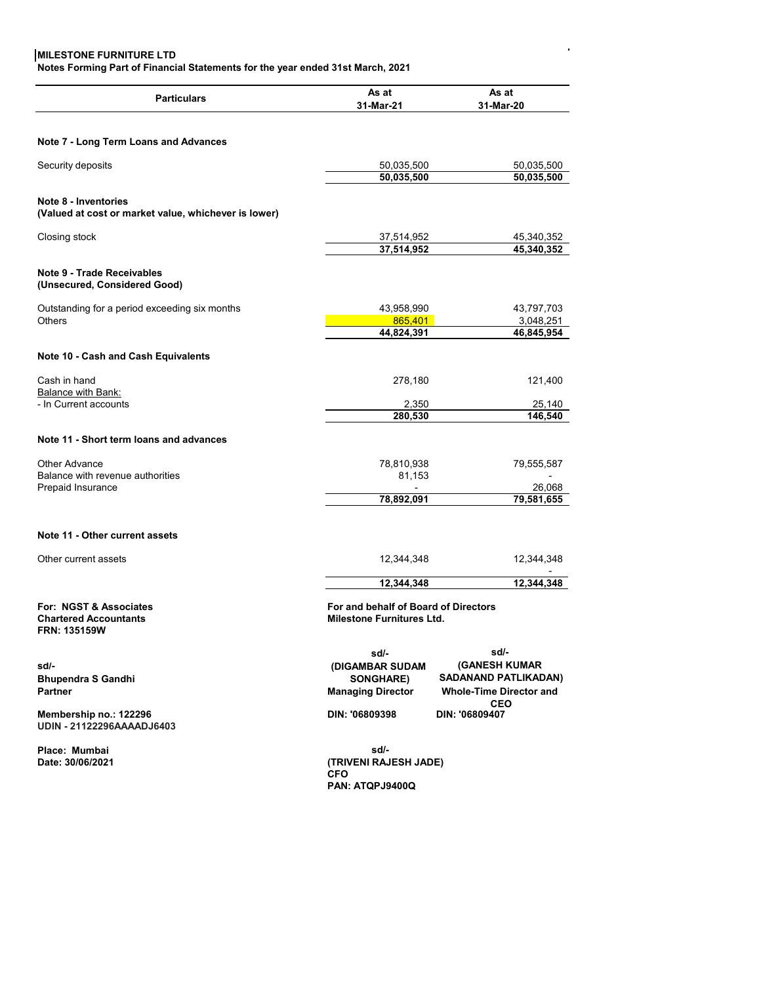#### **MILESTONE FURNITURE LTD**

**Notes Forming Part of Financial Statements for the year ended 31st March, 2021**

| <b>Particulars</b>                                                            | As at<br>31-Mar-21                                                       | As at<br>31-Mar-20                                                                            |
|-------------------------------------------------------------------------------|--------------------------------------------------------------------------|-----------------------------------------------------------------------------------------------|
| Note 7 - Long Term Loans and Advances                                         |                                                                          |                                                                                               |
|                                                                               |                                                                          |                                                                                               |
| Security deposits                                                             | 50,035,500<br>50,035,500                                                 | 50,035,500<br>50,035,500                                                                      |
| Note 8 - Inventories<br>(Valued at cost or market value, whichever is lower)  |                                                                          |                                                                                               |
| Closing stock                                                                 | 37,514,952<br>37,514,952                                                 | 45,340,352<br>45,340,352                                                                      |
| Note 9 - Trade Receivables<br>(Unsecured, Considered Good)                    |                                                                          |                                                                                               |
| Outstanding for a period exceeding six months<br><b>Others</b>                | 43,958,990<br>865,401<br>44,824,391                                      | 43,797,703<br>3,048,251<br>46,845,954                                                         |
| Note 10 - Cash and Cash Equivalents                                           |                                                                          |                                                                                               |
| Cash in hand<br>Balance with Bank:                                            | 278,180                                                                  | 121,400                                                                                       |
| - In Current accounts                                                         | 2,350                                                                    | 25,140                                                                                        |
|                                                                               | 280,530                                                                  | 146,540                                                                                       |
| Note 11 - Short term loans and advances                                       |                                                                          |                                                                                               |
| <b>Other Advance</b><br>Balance with revenue authorities                      | 78,810,938<br>81,153                                                     | 79,555,587                                                                                    |
| Prepaid Insurance                                                             | 78,892,091                                                               | 26,068<br>79,581,655                                                                          |
| Note 11 - Other current assets                                                |                                                                          |                                                                                               |
| Other current assets                                                          | 12,344,348                                                               | 12,344,348                                                                                    |
|                                                                               | 12,344,348                                                               | 12,344,348                                                                                    |
| For: NGST & Associates<br><b>Chartered Accountants</b><br><b>FRN: 135159W</b> | For and behalf of Board of Directors<br><b>Milestone Furnitures Ltd.</b> |                                                                                               |
| $sd/-$<br><b>Bhupendra S Gandhi</b><br><b>Partner</b>                         | sd/-<br>(DIGAMBAR SUDAM<br><b>SONGHARE)</b><br><b>Managing Director</b>  | sd/-<br><b>(GANESH KUMAR</b><br>SADANAND PATLIKADAN)<br><b>Whole-Time Director and</b><br>CEO |
| Membership no.: 122296<br>UDIN - 21122296AAAADJ6403                           | DIN: '06809398                                                           | DIN: '06809407                                                                                |
| Place: Mumbai<br>Date: 30/06/2021                                             | sd/-<br>(TRIVENI RAJESH JADE)<br><b>CFO</b>                              |                                                                                               |

**PAN: ATQPJ9400Q** 

 $\hat{\mathbf{r}}$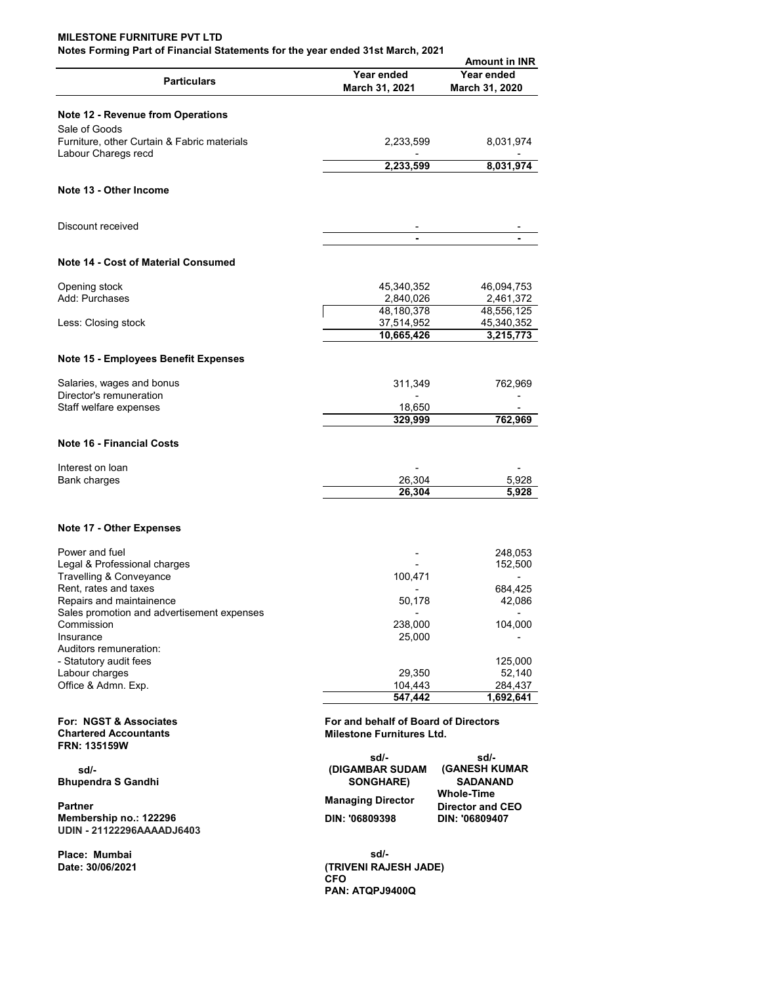#### **MILESTONE FURNITURE PVT LTD**

**Notes Forming Part of Financial Statements for the year ended 31st March, 2021**

|                                                        |                                                                          | <b>Amount in INR</b>                 |  |
|--------------------------------------------------------|--------------------------------------------------------------------------|--------------------------------------|--|
| <b>Particulars</b>                                     | Year ended<br>March 31, 2021                                             | Year ended<br>March 31, 2020         |  |
|                                                        |                                                                          |                                      |  |
| <b>Note 12 - Revenue from Operations</b>               |                                                                          |                                      |  |
| Sale of Goods                                          |                                                                          |                                      |  |
| Furniture, other Curtain & Fabric materials            | 2,233,599                                                                | 8,031,974                            |  |
| Labour Charegs recd                                    | 2,233,599                                                                | 8,031,974                            |  |
| Note 13 - Other Income                                 |                                                                          |                                      |  |
|                                                        |                                                                          |                                      |  |
| Discount received                                      |                                                                          |                                      |  |
| Note 14 - Cost of Material Consumed                    |                                                                          |                                      |  |
| Opening stock                                          | 45,340,352                                                               | 46,094,753                           |  |
| Add: Purchases                                         | 2,840,026                                                                | 2,461,372                            |  |
|                                                        | 48,180,378                                                               | 48,556,125                           |  |
| Less: Closing stock                                    | 37,514,952                                                               | 45,340,352                           |  |
|                                                        | 10,665,426                                                               | 3,215,773                            |  |
| Note 15 - Employees Benefit Expenses                   |                                                                          |                                      |  |
| Salaries, wages and bonus                              | 311,349                                                                  | 762,969                              |  |
| Director's remuneration<br>Staff welfare expenses      | 18,650                                                                   |                                      |  |
|                                                        | 329,999                                                                  | 762,969                              |  |
| <b>Note 16 - Financial Costs</b>                       |                                                                          |                                      |  |
| Interest on loan                                       |                                                                          |                                      |  |
| Bank charges                                           | 26,304                                                                   | 5,928                                |  |
|                                                        | 26,304                                                                   | 5,928                                |  |
| <b>Note 17 - Other Expenses</b>                        |                                                                          |                                      |  |
| Power and fuel                                         |                                                                          | 248,053                              |  |
| Legal & Professional charges                           |                                                                          | 152,500                              |  |
| Travelling & Conveyance                                | 100,471                                                                  | ٠                                    |  |
| Rent, rates and taxes                                  |                                                                          | 684,425                              |  |
| Repairs and maintainence                               | 50,178                                                                   | 42,086                               |  |
| Sales promotion and advertisement expenses             |                                                                          |                                      |  |
| Commission                                             | 238,000                                                                  | 104,000                              |  |
| Insurance                                              | 25,000                                                                   |                                      |  |
| Auditors remuneration:                                 |                                                                          |                                      |  |
| - Statutory audit fees<br>Labour charges               | 29,350                                                                   | 125,000<br>52,140                    |  |
| Office & Admn. Exp.                                    | 104,443                                                                  | 284,437                              |  |
|                                                        | 547,442                                                                  | 1,692,641                            |  |
| For: NGST & Associates<br><b>Chartered Accountants</b> | For and behalf of Board of Directors<br><b>Milestone Furnitures Ltd.</b> |                                      |  |
| <b>FRN: 135159W</b>                                    |                                                                          |                                      |  |
| sd/-                                                   | sd/-<br>(DIGAMBAR SUDAM                                                  | sd/-<br>(GANESH KUMAR                |  |
| <b>Bhupendra S Gandhi</b>                              | <b>SONGHARE)</b>                                                         | <b>SADANAND</b><br><b>Whole-Time</b> |  |
| Partner                                                | <b>Managing Director</b>                                                 | <b>Director and CEO</b>              |  |
| Membership no.: 122296<br>UDIN - 21122296AAAADJ6403    | DIN: '06809398                                                           | DIN: '06809407                       |  |

**Place: Mumbai sd/- Date: 30/06/2021 (TRIVENI RAJESH JADE) CFO PAN: ATQPJ9400Q**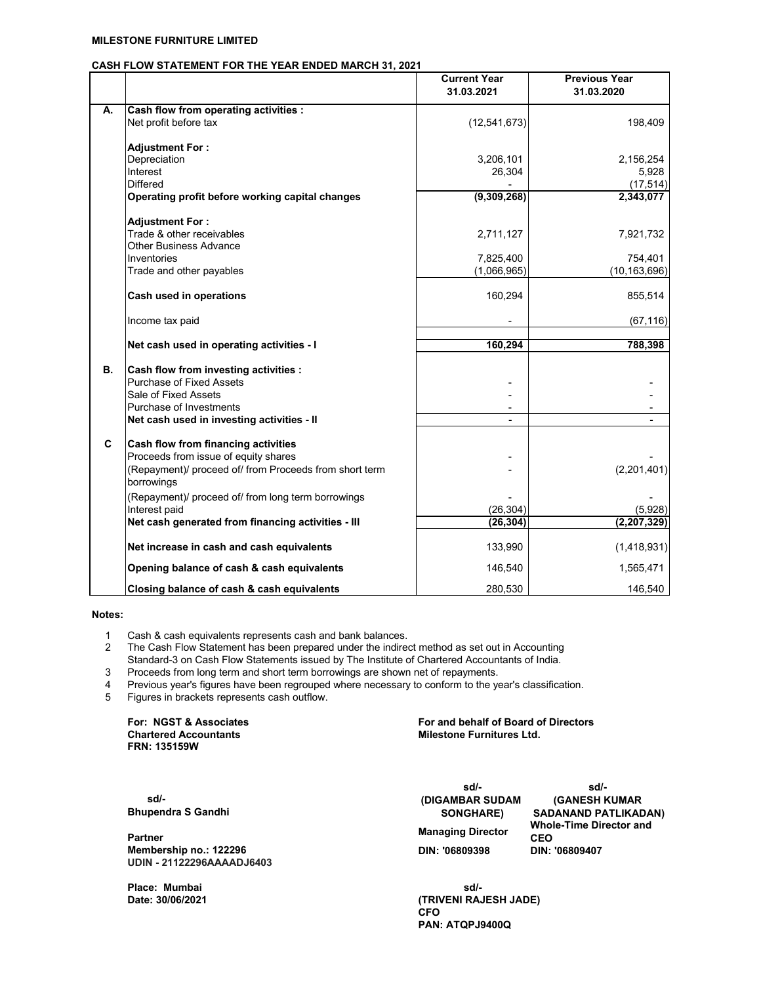#### **CASH FLOW STATEMENT FOR THE YEAR ENDED MARCH 31, 2021**

|    |                                                                      | <b>Current Year</b><br>31.03.2021 | <b>Previous Year</b><br>31.03.2020 |
|----|----------------------------------------------------------------------|-----------------------------------|------------------------------------|
| А. | Cash flow from operating activities :                                |                                   |                                    |
|    | Net profit before tax                                                | (12, 541, 673)                    | 198,409                            |
|    | <b>Adjustment For:</b>                                               |                                   |                                    |
|    | Depreciation                                                         | 3,206,101                         | 2,156,254                          |
|    | Interest                                                             | 26,304                            | 5,928                              |
|    | <b>Differed</b>                                                      |                                   | (17, 514)                          |
|    | Operating profit before working capital changes                      | (9,309,268)                       | 2,343,077                          |
|    | <b>Adjustment For:</b>                                               |                                   |                                    |
|    | Trade & other receivables                                            | 2,711,127                         | 7,921,732                          |
|    | <b>Other Business Advance</b>                                        |                                   |                                    |
|    | Inventories                                                          | 7,825,400                         | 754,401                            |
|    | Trade and other payables                                             | (1,066,965)                       | (10, 163, 696)                     |
|    | Cash used in operations                                              | 160,294                           | 855,514                            |
|    | Income tax paid                                                      |                                   | (67, 116)                          |
|    | Net cash used in operating activities - I                            | 160,294                           | 788,398                            |
| В. | Cash flow from investing activities :                                |                                   |                                    |
|    | Purchase of Fixed Assets                                             |                                   |                                    |
|    | Sale of Fixed Assets                                                 |                                   |                                    |
|    | Purchase of Investments                                              |                                   |                                    |
|    | Net cash used in investing activities - II                           | $\blacksquare$                    |                                    |
| C  | Cash flow from financing activities                                  |                                   |                                    |
|    | Proceeds from issue of equity shares                                 |                                   |                                    |
|    | (Repayment)/ proceed of/ from Proceeds from short term<br>borrowings |                                   | (2,201,401)                        |
|    | (Repayment)/ proceed of/ from long term borrowings                   |                                   |                                    |
|    | Interest paid                                                        | (26, 304)                         | (5,928)                            |
|    | Net cash generated from financing activities - III                   | (26, 304)                         | (2, 207, 329)                      |
|    | Net increase in cash and cash equivalents                            | 133,990                           | (1,418,931)                        |
|    | Opening balance of cash & cash equivalents                           | 146,540                           | 1,565,471                          |
|    | Closing balance of cash & cash equivalents                           | 280,530                           | 146,540                            |

**Notes:**

- 1 Cash & cash equivalents represents cash and bank balances.
- 2 The Cash Flow Statement has been prepared under the indirect method as set out in Accounting Standard-3 on Cash Flow Statements issued by The Institute of Chartered Accountants of India.
- 3 Proceeds from long term and short term borrowings are shown net of repayments.
- 4 Previous year's figures have been regrouped where necessary to conform to the year's classification.
- 5 Figures in brackets represents cash outflow.

**FRN: 135159W**

**For: NGST & Associates For and behalf of Board of Directors Milestone Furnitures Ltd.** 

 **sd/- Bhupendra S Gandhi**

**Membership no.: 122296 UDIN - 21122296AAAADJ6403**

**Place: Mumbai sd/-**

**Partner Managing Director Whole-Time Director and CEO (GANESH KUMAR sd/- (DIGAMBAR SUDAM SONGHARE)**

**SADANAND PATLIKADAN)**

**sd/-** 

**Date: 30/06/2021 (TRIVENI RAJESH JADE) CFO PAN: ATQPJ9400Q**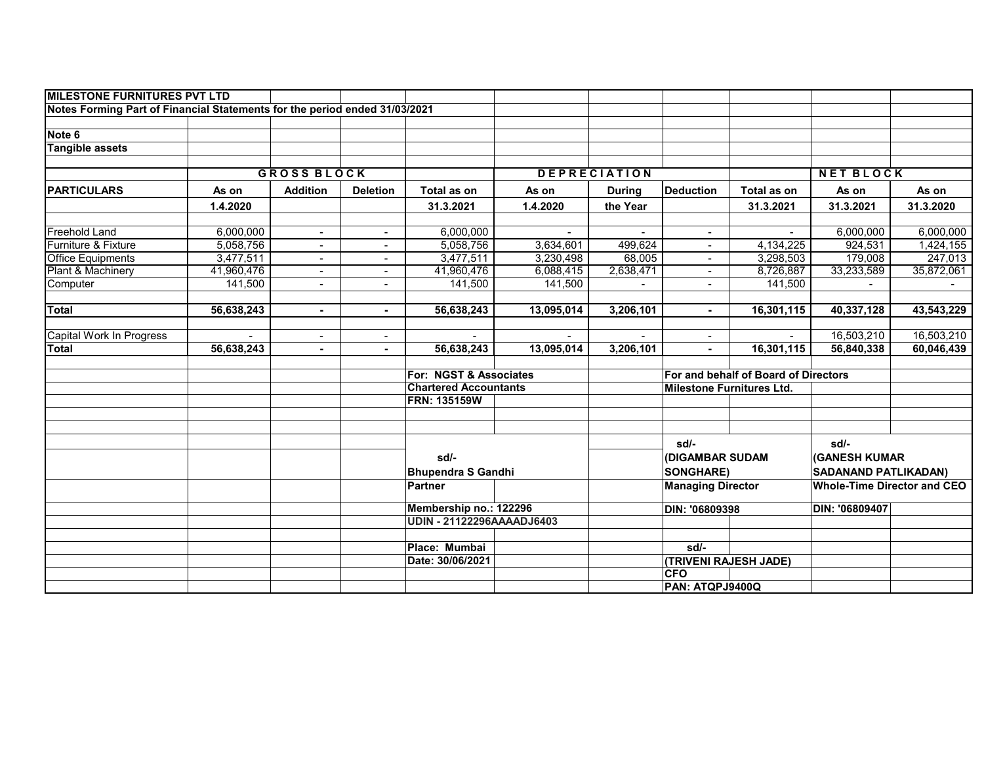| <b>MILESTONE FURNITURES PVT LTD</b>                                        |                |                          |                 |                           |                              |                                                 |                                  |                                      |                      |                                    |
|----------------------------------------------------------------------------|----------------|--------------------------|-----------------|---------------------------|------------------------------|-------------------------------------------------|----------------------------------|--------------------------------------|----------------------|------------------------------------|
| Notes Forming Part of Financial Statements for the period ended 31/03/2021 |                |                          |                 |                           |                              |                                                 |                                  |                                      |                      |                                    |
|                                                                            |                |                          |                 |                           |                              |                                                 |                                  |                                      |                      |                                    |
| Note 6                                                                     |                |                          |                 |                           |                              |                                                 |                                  |                                      |                      |                                    |
| <b>Tangible assets</b>                                                     |                |                          |                 |                           |                              |                                                 |                                  |                                      |                      |                                    |
|                                                                            |                |                          |                 |                           |                              |                                                 |                                  |                                      |                      |                                    |
|                                                                            |                | <b>GROSS BLOCK</b>       |                 |                           | <b>DEPRECIATION</b>          |                                                 |                                  |                                      | <b>NET BLOCK</b>     |                                    |
| <b>PARTICULARS</b>                                                         | As on          | <b>Addition</b>          | <b>Deletion</b> | Total as on               | As on                        | <b>During</b>                                   | <b>Deduction</b>                 | Total as on                          | As on                | As on                              |
|                                                                            | 1.4.2020       |                          |                 | 31.3.2021                 | 1.4.2020                     | the Year                                        |                                  | 31.3.2021                            | 31.3.2021            | 31.3.2020                          |
| <b>Freehold Land</b>                                                       | 6,000,000      | $\blacksquare$           |                 | 6,000,000                 |                              | $\overline{\phantom{a}}$                        | $\sim$                           |                                      | 6,000,000            | 6,000,000                          |
| Furniture & Fixture                                                        | 5,058,756      | $\blacksquare$           |                 | 5,058,756                 | 3,634,601                    | 499,624                                         | $\sim$                           | 4,134,225                            | 924,531              | 1,424,155                          |
| <b>Office Equipments</b>                                                   | 3,477,511      | $\overline{\phantom{a}}$ |                 | 3,477,511                 | 3,230,498                    | 68,005                                          | $\overline{\phantom{a}}$         | 3,298,503                            | 179,008              | 247,013                            |
| Plant & Machinery                                                          | 41,960,476     | $\overline{\phantom{a}}$ |                 | 41,960,476                | 6,088,415                    | 2,638,471                                       | $\overline{\phantom{a}}$         | 8,726,887                            | 33,233,589           | 35,872,061                         |
| Computer                                                                   | 141,500        | $\blacksquare$           |                 | 141,500                   | 141,500                      |                                                 | $\overline{\phantom{a}}$         | 141,500                              |                      |                                    |
| <b>Total</b>                                                               | 56,638,243     | $\blacksquare$           |                 | 56,638,243                | 13,095,014                   | 3,206,101                                       |                                  | 16,301,115                           | 40,337,128           | 43,543,229                         |
| <b>Capital Work In Progress</b>                                            | $\blacksquare$ | $\blacksquare$           |                 |                           | $\overline{\phantom{a}}$     | $\sim$                                          | $\blacksquare$                   | $\sim$                               | 16,503,210           | 16,503,210                         |
| <b>Total</b>                                                               | 56,638,243     | $\blacksquare$           |                 | 56,638,243                | 13,095,014                   | 3,206,101                                       | $\blacksquare$                   | 16,301,115                           | 56,840,338           | 60,046,439                         |
|                                                                            |                |                          |                 | For: NGST & Associates    |                              |                                                 |                                  | For and behalf of Board of Directors |                      |                                    |
|                                                                            |                |                          |                 |                           | <b>Chartered Accountants</b> |                                                 | <b>Milestone Furnitures Ltd.</b> |                                      |                      |                                    |
|                                                                            |                |                          |                 | FRN: 135159W              |                              |                                                 |                                  |                                      |                      |                                    |
|                                                                            |                |                          |                 |                           |                              |                                                 |                                  |                                      |                      |                                    |
|                                                                            |                |                          |                 |                           |                              |                                                 | $sd/-$                           |                                      | $sd/-$               |                                    |
|                                                                            |                |                          |                 | sd/-                      |                              |                                                 | (DIGAMBAR SUDAM                  |                                      | <b>(GANESH KUMAR</b> |                                    |
|                                                                            |                |                          |                 | <b>Bhupendra S Gandhi</b> |                              | <b>SONGHARE)</b><br><b>SADANAND PATLIKADAN)</b> |                                  |                                      |                      |                                    |
|                                                                            |                |                          |                 | Partner                   |                              |                                                 | <b>Managing Director</b>         |                                      |                      | <b>Whole-Time Director and CEO</b> |
|                                                                            |                |                          |                 | Membership no.: 122296    |                              |                                                 | DIN: '06809398                   |                                      | DIN: '06809407       |                                    |
|                                                                            |                |                          |                 | UDIN - 21122296AAAADJ6403 |                              |                                                 |                                  |                                      |                      |                                    |
|                                                                            |                |                          |                 |                           |                              |                                                 |                                  |                                      |                      |                                    |
|                                                                            |                |                          |                 | Place: Mumbai             |                              |                                                 | sd/-                             |                                      |                      |                                    |
|                                                                            |                |                          |                 | Date: 30/06/2021          |                              |                                                 |                                  | (TRIVENI RAJESH JADE)                |                      |                                    |
|                                                                            |                |                          |                 |                           |                              |                                                 | <b>CFO</b>                       |                                      |                      |                                    |
|                                                                            |                |                          |                 |                           |                              |                                                 | PAN: ATQPJ9400Q                  |                                      |                      |                                    |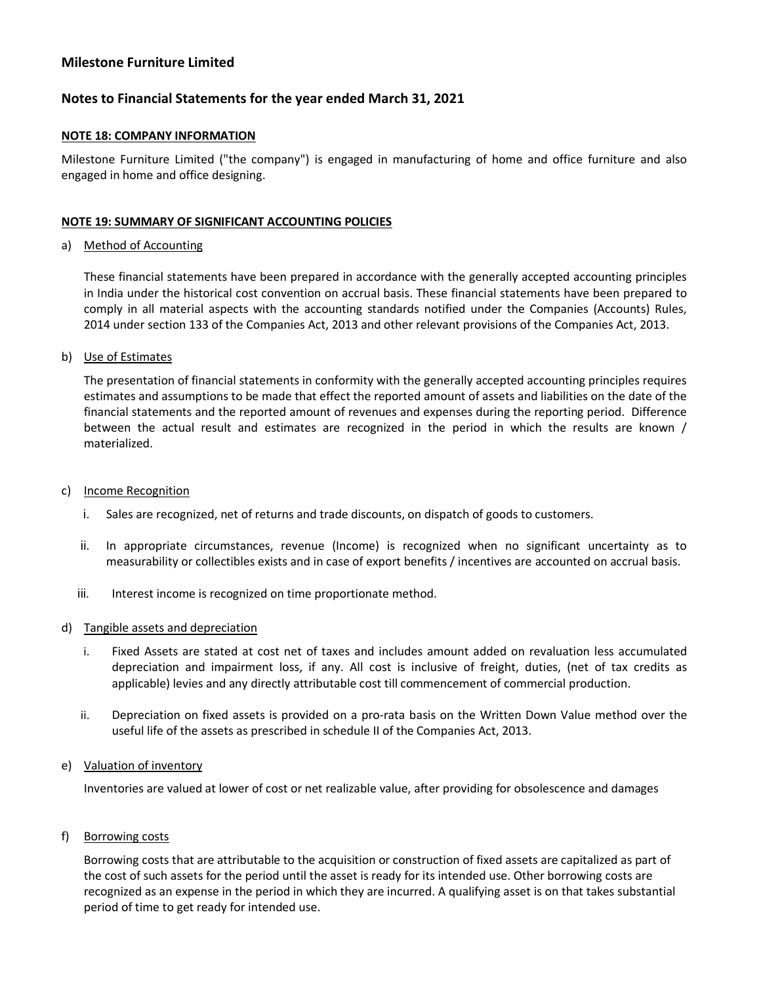#### **Notes to Financial Statements for the year ended March 31, 2021**

#### **NOTE 18: COMPANY INFORMATION**

Milestone Furniture Limited ("the company") is engaged in manufacturing of home and office furniture and also engaged in home and office designing.

#### **NOTE 19: SUMMARY OF SIGNIFICANT ACCOUNTING POLICIES**

#### a) Method of Accounting

These financial statements have been prepared in accordance with the generally accepted accounting principles in India under the historical cost convention on accrual basis. These financial statements have been prepared to comply in all material aspects with the accounting standards notified under the Companies (Accounts) Rules, 2014 under section 133 of the Companies Act, 2013 and other relevant provisions of the Companies Act, 2013.

b) Use of Estimates

The presentation of financial statements in conformity with the generally accepted accounting principles requires estimates and assumptions to be made that effect the reported amount of assets and liabilities on the date of the financial statements and the reported amount of revenues and expenses during the reporting period. Difference between the actual result and estimates are recognized in the period in which the results are known / materialized.

#### c) Income Recognition

- i. Sales are recognized, net of returns and trade discounts, on dispatch of goods to customers.
- ii. In appropriate circumstances, revenue (Income) is recognized when no significant uncertainty as to measurability or collectibles exists and in case of export benefits / incentives are accounted on accrual basis.
- iii. Interest income is recognized on time proportionate method.

#### d) Tangible assets and depreciation

- i. Fixed Assets are stated at cost net of taxes and includes amount added on revaluation less accumulated depreciation and impairment loss, if any. All cost is inclusive of freight, duties, (net of tax credits as applicable) levies and any directly attributable cost till commencement of commercial production.
- ii. Depreciation on fixed assets is provided on a pro-rata basis on the Written Down Value method over the useful life of the assets as prescribed in schedule II of the Companies Act, 2013.

#### e) Valuation of inventory

Inventories are valued at lower of cost or net realizable value, after providing for obsolescence and damages

#### f) Borrowing costs

Borrowing costs that are attributable to the acquisition or construction of fixed assets are capitalized as part of the cost of such assets for the period until the asset is ready for its intended use. Other borrowing costs are recognized as an expense in the period in which they are incurred. A qualifying asset is on that takes substantial period of time to get ready for intended use.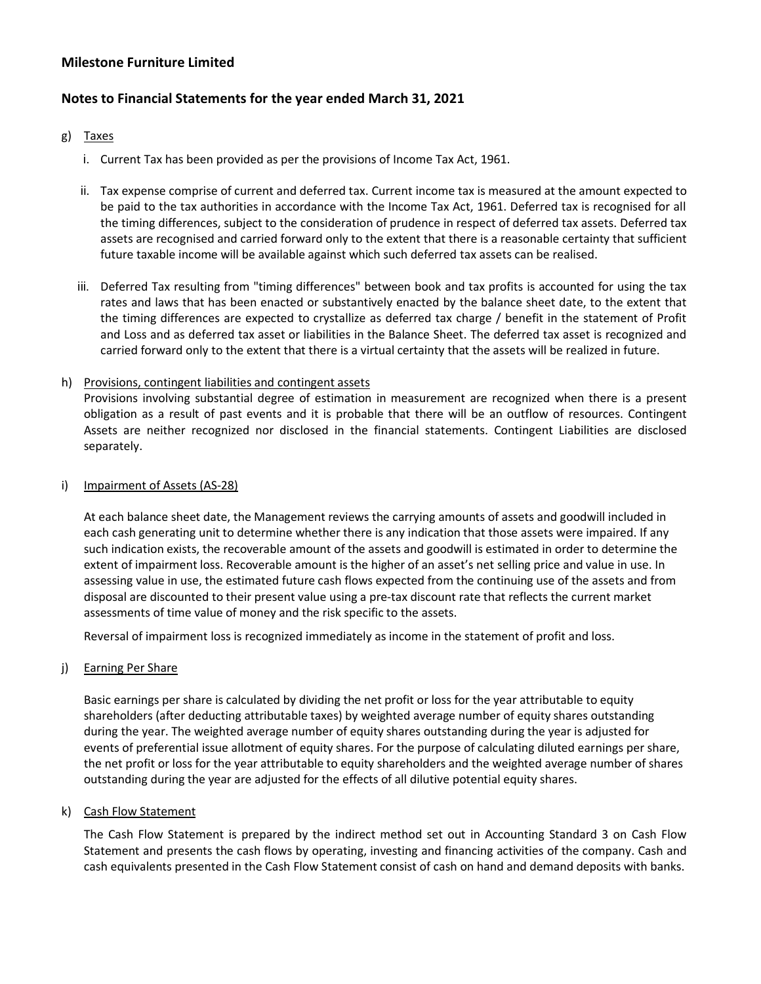#### **Notes to Financial Statements for the year ended March 31, 2021**

#### g) Taxes

- i. Current Tax has been provided as per the provisions of Income Tax Act, 1961.
- ii. Tax expense comprise of current and deferred tax. Current income tax is measured at the amount expected to be paid to the tax authorities in accordance with the Income Tax Act, 1961. Deferred tax is recognised for all the timing differences, subject to the consideration of prudence in respect of deferred tax assets. Deferred tax assets are recognised and carried forward only to the extent that there is a reasonable certainty that sufficient future taxable income will be available against which such deferred tax assets can be realised.
- iii. Deferred Tax resulting from "timing differences" between book and tax profits is accounted for using the tax rates and laws that has been enacted or substantively enacted by the balance sheet date, to the extent that the timing differences are expected to crystallize as deferred tax charge / benefit in the statement of Profit and Loss and as deferred tax asset or liabilities in the Balance Sheet. The deferred tax asset is recognized and carried forward only to the extent that there is a virtual certainty that the assets will be realized in future.

#### h) Provisions, contingent liabilities and contingent assets

Provisions involving substantial degree of estimation in measurement are recognized when there is a present obligation as a result of past events and it is probable that there will be an outflow of resources. Contingent Assets are neither recognized nor disclosed in the financial statements. Contingent Liabilities are disclosed separately.

#### i) Impairment of Assets (AS-28)

At each balance sheet date, the Management reviews the carrying amounts of assets and goodwill included in each cash generating unit to determine whether there is any indication that those assets were impaired. If any such indication exists, the recoverable amount of the assets and goodwill is estimated in order to determine the extent of impairment loss. Recoverable amount is the higher of an asset's net selling price and value in use. In assessing value in use, the estimated future cash flows expected from the continuing use of the assets and from disposal are discounted to their present value using a pre-tax discount rate that reflects the current market assessments of time value of money and the risk specific to the assets.

Reversal of impairment loss is recognized immediately as income in the statement of profit and loss.

#### j) Earning Per Share

Basic earnings per share is calculated by dividing the net profit or loss for the year attributable to equity shareholders (after deducting attributable taxes) by weighted average number of equity shares outstanding during the year. The weighted average number of equity shares outstanding during the year is adjusted for events of preferential issue allotment of equity shares. For the purpose of calculating diluted earnings per share, the net profit or loss for the year attributable to equity shareholders and the weighted average number of shares outstanding during the year are adjusted for the effects of all dilutive potential equity shares.

#### k) Cash Flow Statement

The Cash Flow Statement is prepared by the indirect method set out in Accounting Standard 3 on Cash Flow Statement and presents the cash flows by operating, investing and financing activities of the company. Cash and cash equivalents presented in the Cash Flow Statement consist of cash on hand and demand deposits with banks.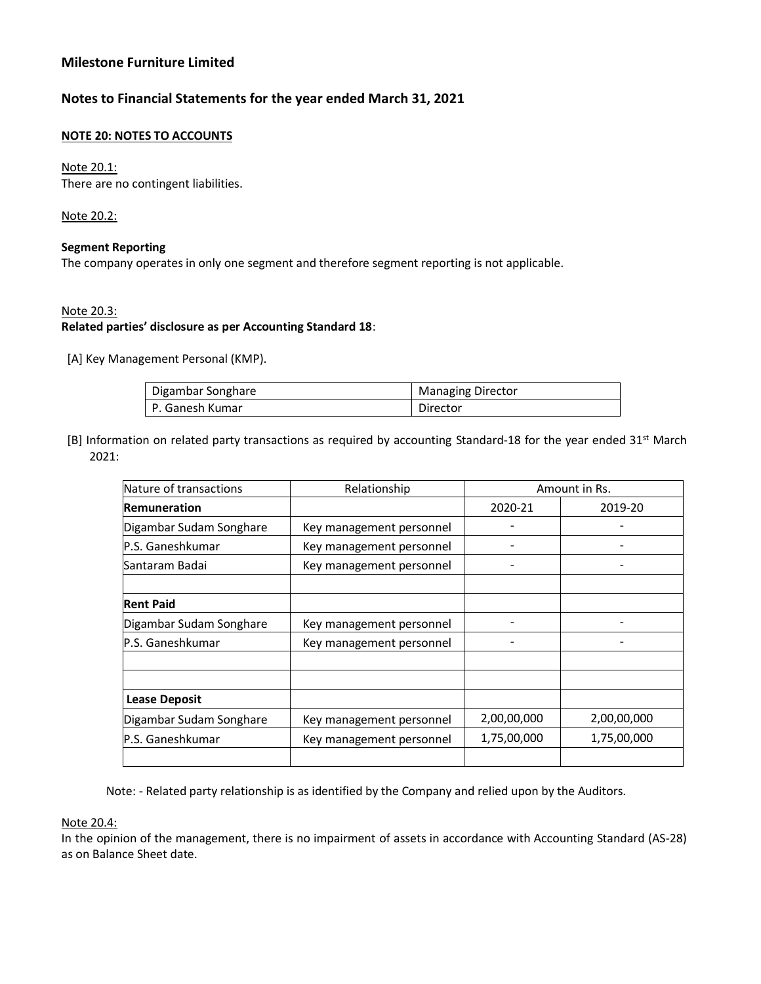#### **Notes to Financial Statements for the year ended March 31, 2021**

#### **NOTE 20: NOTES TO ACCOUNTS**

#### Note 20.1: There are no contingent liabilities.

Note 20.2:

#### **Segment Reporting**

The company operates in only one segment and therefore segment reporting is not applicable.

#### Note 20.3:

#### **Related parties' disclosure as per Accounting Standard 18**:

[A] Key Management Personal (KMP).

| Digambar Songhare | <b>Managing Director</b> |
|-------------------|--------------------------|
| P. Ganesh Kumar   | Director                 |

[B] Information on related party transactions as required by accounting Standard-18 for the year ended 31<sup>st</sup> March 2021:

| Nature of transactions                              | Relationship             | Amount in Rs. |             |  |
|-----------------------------------------------------|--------------------------|---------------|-------------|--|
| <b>Remuneration</b>                                 |                          | 2020-21       | 2019-20     |  |
| Digambar Sudam Songhare                             | Key management personnel |               |             |  |
| IP.S. Ganeshkumar                                   | Key management personnel |               |             |  |
| Key management personnel<br>Santaram Badai          |                          |               |             |  |
|                                                     |                          |               |             |  |
| <b>Rent Paid</b>                                    |                          |               |             |  |
| Digambar Sudam Songhare                             | Key management personnel |               |             |  |
| IP.S. Ganeshkumar                                   | Key management personnel |               |             |  |
|                                                     |                          |               |             |  |
|                                                     |                          |               |             |  |
| <b>Lease Deposit</b>                                |                          |               |             |  |
| Digambar Sudam Songhare<br>Key management personnel |                          | 2,00,00,000   | 2,00,00,000 |  |
| P.S. Ganeshkumar                                    | Key management personnel | 1,75,00,000   | 1,75,00,000 |  |
|                                                     |                          |               |             |  |

Note: - Related party relationship is as identified by the Company and relied upon by the Auditors.

#### Note 20.4:

In the opinion of the management, there is no impairment of assets in accordance with Accounting Standard (AS-28) as on Balance Sheet date.